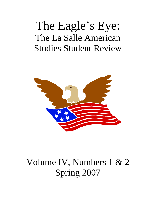# The Eagle's Eye: The La Salle American Studies Student Review



## Volume IV, Numbers 1 & 2 Spring 2007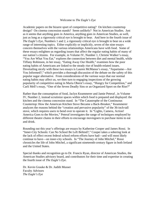#### Welcome to *The Eagle's Eye*

Academic papers on the bizarre sport of competitive eating? On kitchen countertop design? On cinema concession stands? Seem unlikely? Not in American Studies. Just as it seems that anything goes in America, anything goes in American Studies, as well, just as long as a rigorously critical eye is brought to bear. And here in the fourth issue of *The Eagle's Eye*, Numbers 1 and 2, a rigorously critical eye *is* brought to bear on a wide range of interesting topics. Either explicitly or implicitly, seven of the nine essays concern themselves with the various relationships Americans have with food. Some of these essays enlighten us regarding issues that affect the regular eating habits of many of our nation's citizens. For example, in Volume IV, Number 1, Christie Walker's essay, "You Are What You Eat," explores the connection between diet and mental health, while Tiffany Robinson, in her essay, "Eating Away Our Health," examines how the poor eating habits of Americans are linked to the steady rise of health-related issues. Dovetailing nicely with these two essays is Lauren McManus's essay, "Aspartame—Are You Informed?," which provides a thorough discussion of the debate on the safety of this popular sugar alternative. From considerations of the various ways that our normal eating habits may affect us, we then turn to engaging inspections of the growing popularity of competitive eating in Maria Oberst's essay, "Hungry for Competition," and Carli Mell's essay, "One of the Seven Deadly Sins or an Organized Sport on the Rise?"

Rather than the consumption of food, Jaclyn Keammerer and Jamie Peteraf , in Volume IV, Number 2, instead scrutinize spaces within which food is prepared and displayed: the kitchen and the cinema concession stand. In "The Catastrophe of the Continuous Countertop: How the American Kitchen Stove Became a Back-Breaker," Keammerer analyzes the reasons behind the "creation and pervasive popularity" of the 36-inch-tall stove, which requires users to bend over to operate it. In "Lights, Camera, Action! America Goes to the Movies," Peteraf investigates the range of techniques employed by different theatre chains in their efforts to encourage moviegoers to purchase items to eat and drink.

Rounding out this year's offerings are essays by Katherine Cooper and James Rossi. In "Inner-City Schools: Can No School Be Left Behind?," Cooper takes a sobering look at the lack of effect recent federal school reform efforts have had—and will most likely continue to have—on inner-city schools. In "The Journey of John Mitchel," Rossi chronicles the life of John Mitchel, a significant nineteenth-century figure in both Ireland and the United States.

Special thanks and recognition go to Dr. Francis Ryan, director of American Studies, the American Studies advisory board, and contributors for their time and expertise in creating the fourth issue of *The Eagle's Eye*.

Dr. Kevin Grauke & Dr. Judith Musser Faculty Advisors *The Eagle's Eye*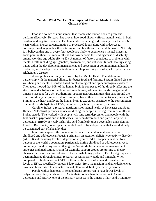#### **You Are What You Eat: The Impact of Food on Mental Health**  Christie Walker

Food is a source of nourishment that enables the human body to grow and perform effectively. Research has proven how food directly affects mental health in both positive and negative manners. The human diet has changed drastically over the past 60 years with an increased consumption of processed foods along with a decreased consumption of vegetables, thus altering mental health status around the world. Not only is it believed that one in every four people are likely to experience a mental illness at some point in their life, mental illness has now become the leading cause of disability among working age adults (Ryrie 23). A number of factors contribute to problems with mental health including age, genetics, environment, and nutrition. In fact, healthy eating habits aid in the development, management, and prevention of common mental health problems, such as depression, attention deficit hyperactivity disorder, schizophrenia, and Alzheimer's disease.

A comprehensive study performed by the Mental Health Foundation, in partnership with the national alliance for better food and farming, Sustain, linked diets to well-being and mental disorders based on physiological and epidemiological evidence. The report showed that 60% of the human brain is composed of fat, directly affecting the structure and substance of the brain cell membranes, while amino acids omega-3 and omega-6 account for 20%. Furthermore, specific neurotransmitters that pass around the brain could only be synthesized, or combined, from other essential nutrients (Simonite 2). Similar to the heart and liver, the human brain is extremely sensitive to the consumption of complex carbohydrates, EFA's, amino acids, vitamins, minerals, and water.

Caroline Stokes, a research nutritionist for mental health at Doncaster and South Hamber NHS Trust, provides advice on dieting for people suffering from mental illness. Stokes stated, "I've worked with people with long term depression and people with the first onset of psychosis and in both cases I've seen differences and particularly, with depression" (Brody 18). Oily fish, folic acid from leafy green vegetables, and selenium found in Brazil nuts, are all specific foods found to fight depression that should already be considered part of a healthy diet.

Iain Ryrie explores the connection between diet and mental health in both childhood and adolescence, focusing primarily on attention deficit hyperactivity disorder (ADHD) and the rising levels of depression in youths. ADHD appears in about four percent of the world's population, particularly during childhood or adolescence, yet is commonly found in boys rather than girls (24). Aside from behavioral management strategies and medication, Ritalin for example, support groups are turning to dietary changes for a more natural solution to the overwhelming problem. Two food groups have been implicated through clinical research: essential fatty acids and minerals. When compared to children without ADHD, those with the disorder have drastically lower levels of EFAs, specifically omega-3 fatty acids. Iron, magnesium, and zinc deficiencies have also been linked to characteristics of attention deficit hyperactivity disorder.

People with a diagnosis of schizophrenia are proven to have lower levels of polyunsaturated fatty acids, or PUFAs, in their bodies than those without. As with depression and ADHD, one of the primary suspects is the omega-3 fatty acid. A number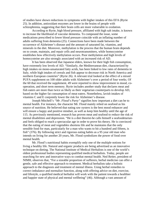of studies have shown reductions in symptoms with higher intakes of this EFA (Ryrie 25). In addition, antioxidant enzymes are lower in the brains of people with schizophrenia, suggesting that their brain cells are more vulnerable to oxidation.

According to Ryrie, high blood pressure, affiliated with high salt intake, is known to increase the likelihood of vascular dementia. To compound the issue, some medications prescribed to lower blood pressure coincide with an inflating number of adults suffering from dementia (25). Connections have been made between the occurrence of Alzheimer's disease and the amount of saturated fat, vitamins, and minerals in the diet. Moreover, methylation is the process that the human brain depends on to create, maintain, and repair cells and neurotransmitters, while homocysteine establishes how effectively methylation occurs. Poor methylation and high levels of homocysteine are also strongly associated with an increased risk of AD.

It has been observed that Japanese elders, known for their high fish consumption, have extremely low levels of AD. "Similarly, the Mediterranean diet, characterized by high intakes on mono-unsaturated fatty acids, has been linked to low rates of dementia in Italy, while high intakes of cereals and fish appear to decrease risk in North America and northern European countries" (Ryrie 26). A relevant trial looked at the effect of a mixed PUFA supplement on 100 older adults with Alzheimer's over a period of four weeks. Of the 60 that received the supplement, 49 were reported to show improvement in mood, cooperation, and short term memory. Ryrie includes another study that declares meat and fish eaters are more than twice as likely as their vegetarian counterparts to develop AD, based on the higher fat consumption of meat eaters. Nonetheless, lavish intakes of vitamins C and E conjointly lower the risk for Alzheimer's disease.

Joseph Mitchell's *"Mr. Flood's Party"* signifies how important a diet can be to mental health. For instance, the character Mr. Flood mainly relied on seafood as his source of nutrition. He believed that eating raw oysters is the best mood enhancer and will ensure a happy and positive mindset, as well as keep him healthy until the age of 115. As previously mentioned, research has proven meat and seafood to reduce the risk of mental disabilities and depression. "He is a diet theorist-he calls himself a seafoodetarianand feels obliged to reach a spectacular age in order to prove his theory. He is convinced that the eating of meat and vegetables shortens life and he maintains that the only sensible food for man, particularly for a man who wants to hit a hundred and fifteen, is fish" (376). By following strict and rigorous eating habits as a 95 year old man who intends on living for another 20 years, Mr. Flood symbolizes the power of food over mental health.

Mr. Flood's nutritional habits exemplify only one of the multiple notions for living a healthy life. Natural and organic products are being advertised as an innovative technique on dieting. The National Institute of Medical Herbalists is one of the world's oldest professional bodies representing qualified medical herbalists. Today, people are searching for new and innovative ways to combat mental health. Ned Reiter, president of NIMH, observes that, "For a sizeable proportion of sufferers, herbal medicine can offer a gentle, safe and effective approach to treatment. Medical herbalists take a holistic approach to the diagnosis and treatment of mental illness. Using herbal remedies to correct imbalance and normalize function, along with offering advice on diet, exercise, and lifestyle, a qualified medical herbalist will work with the patient towards a healthier and happier state of physical and mental wellbeing" (46). Although a vast amount of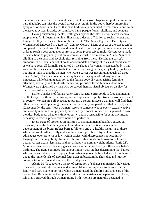medicines claim to increase mental health, St. John's Wort, hypericum perforatum, is an herb that helps can raise the overall effect of serotonin in the body, thereby improving symptoms of depression. Herbs that have traditionally been used to treat anxiety and calm the nervous system include: vervain, kava kava, pasque flower, skullcap, and centaury.

Having outstanding mental health goes beyond the latest diet or newest medical supplement. An influential feminist illustrated a deeper affiliation to societal views and living a healthy life. Leslie Shannon Miller wrote "The Many Figures of Eve: Styles of Womanhood Embodied in a Late 19<sup>th</sup> Century Corset." Many aspects of the corset can be compared to perceptions of food and mental health. For example, women wore corsets in order to reach a desired goal or conform to some preconceived mold. Corsets were made of whale bone to physically restrain a woman's waist to fit in between 20 and 24 inches, alluding to the social and psychological restraints from men. "Despite the corset's embodiment of social control, it could accommodate a variety of roles and moral stances as we have seen, all formally supported by the shape of a woman's corseted body. That some of the roles seem to contradict each other-nurturing mother, sexy harlot, touch-menot virgin- tells us that the woman who wore a corset was not simultaneously all three things" (142). Corsets were contradictory because they symbolized virginity and innocence, while bringing attention to the female body. By emphasizing feminine attributes, sexuality and childbirth became top priorities for both men and women. Women were objectified by men who perceived them as visual objects on display for men to control with their eyes.

Miller's analysis of female American Character corresponds to food and mental health today. Health fads, diet tricks, and sex appeal are top objectives for women to meet in society. Women are still expected to portray a certain image so that men will find them attractive and worth pursuing. Innocence and sexuality are paradoxes that currently exist. Consequently, the term "loose woman" refers to someone who is overly sexually active and morally unbound, yet physically unbound by a corset. Women are supposed to have the ideal body type, whether skinny or curvy, and are responsible for using any means necessary to reach a preconceived notion of perfection.

Every stage of life relies on nutrition to maintain mental health. Conception, pregnancy, and the first three years of an infant's life are critical stages in the development of the brain. Babies born at full term and at a healthy weight (i.e., those whose brains at birth are fully and healthily developed) have physical and cognitive advantages over pre-term or low-weight babies, with discrepancies noticed in IQ, language and reading ability. Infants with low birth weights are known to be less cooperative, less active, less alert, and not as happy as normal weight infants (Ryrie 23). Moreover, extensive evidence suggests that a mother's diet heavily influences a baby's birth rate. The trend continues throughout infancy with studies determining that babies who are breastfed have a neurophysiologic advantage over babies fed with formula milk, due to the higher levels of essential fatty acids in breast milk. Thus, diet and nutrition continue to impact mental health as the child grows.

Alexis De Tocqueville's theory of separation of spheres summarizes the various roles and responsibilities of men and women. Men were supposed to provide for the family and participate in politics, while women raised the children and took care of the house. Joan Burstyn, in fact, emphasizes the current existence of separation of spheres, which is portrayed through women giving birth. Women are naturally designed to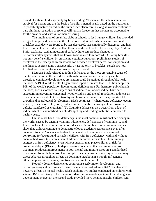provide for their child, especially by breastfeeding. Women are the sole resource for survival for infants and are the basis of a child's mental health based on the nutritional responsibility nature placed on the human race. Therefore, as long as women continue to bare children, separation of spheres will remain forever in that women are accountable for the creation and survival of their offspring.

The implication of breakfast clubs at schools to feed hungry children has provided insight to improved behavior in the classroom. Individuals who consumed a cereal breakfast each day were found to be less depressed, less emotionally distressed, and had lower levels of perceived stress than those who did not eat breakfast every day. Andrew Smith explains, "…that ingestion of carbohydrate can produce changes in neurotransmitter systems that are known to be related to mood" (401). Eating breakfast not only benefits children by enhancing cognitive functions, preliminary studies of breakfast in the elderly show an association between breakfast cereal consumption and intelligence scores (402). Consequently, a vast majority of breakfast cereals are now fortified with micronutrients known to improve mood.

Maureen Black referred to iodine deficiency as the most preventable cause of mental retardation in the world. Even though prenatal iodine deficiency can be tied directly to cognitive development, prevention could be attained through public health methods. A 1993 World Health Organization report estimates that 1.6 billion people or 30% of the world's population live in iodine-deficient area. Furthermore, public health methods, such as iodized salt, injections of iodinated oil or oral iodine, have been successful in preventing congenital hypothyroidism and mental retardation. Iodine is an essential component of at least two thyroid hormones that are necessary for skeletal growth and neurological development. Black continues, "When iodine deficiency occurs in utero, it leads to fetal hypothyroidism and irreversible neurological and cognitive deficits manifested as cretinism" (2). Cognitive delays can also occur from a lack of iodine, which is exemplified in a child's spelling and reading inabilities compared to healthy peers.

On the other hand, iron deficiency is the most common nutritional deficiency in the world, caused by anemia, vitamin A deficiency, deficiencies of vitamin B-12 and folate, malaria, HIV, or other infectious diseases. A number of observational studies show that children continue to demonstrate lower academic performance even after anemia is treated. "When standardized mathematics test scores were examined controlling for background variables, children with iron deficiency, with and without anemia, had lower test scores than children with normal iron status. These findings suggest that iron deficiency, even without anemia, may place children at risk for cognitive delays" (Black 3). In depth research concluded that four months of iron treatment produced improvements in both mental and motor scores on a standardized assessment. Nevertheless, iron has multiple roles in neurotransmitter systems and may affect behavior through its effects on dopamine metabolism, strongly influencing attention, perception, memory, motivation, and motor control.

Not only do zinc deficiencies compromise early motor development and neuropsychological performance, insufficient amounts of vitamin B-12 can also have negative effects on mental health. Black explains two studies conducted on children with vitamin B-12 deficiency. The first report identified severe delays in motor and language development. However, the second study provided more detailed insight; children with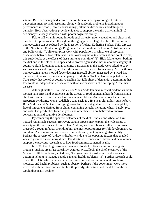vitamin B-12 deficiency had slower reaction time on neuropsychological tests of perception, memory and reasoning, along with academic problems including poor performance in school, lower teacher ratings, attention difficulties, and delinquent behavior. Both observations provide evidence to support the claim that vitamin B-12 deficiency is closely associated with poorer cognitive ability.

Folate, a B vitamin found in foods such as leafy green vegetables and citrus fruit, may help keep brains sharp throughout the aging process. High levels of the amino acid homocysteine can be reduced by the ingestion of folate. Katherine Tucker, PhD, director of the Nutritional Epidemiology Program at Tufts' Friedman School of Nutrition Science and Policy, said: "Unlike our prior work with population, in which we observed an association between low folate levels and lower cognitive test scores at one point in time, this study looks at the effects of these nutrients over time" (1). High folate levels, both in the diet and in the blood, also appeared to protect against declines in another category of cognitive skills known as spatial copying. Participants in the study were asked to copy various shapes and figures, and their drawings were assessed for accuracy. Men with low homocysteine levels showed fewer declines in recall ability, measured by a word-list memory test, as well as in spatial copying. In addition, Tucker also participated in the Tufts study that looked at cognitive decline that falls short of dementia, determining that low folate is independently associated with an increased risk of developing Alzheimer's disease.

Although neither Rita Bradley nor Mona Abdallah have medical credentials, both women have first hand experience on the effects of food on mental health from raising a child with autism. Rita Bradley has a seven year old son, Andrew, who suffers from Aspergers syndrome. Mona Abdallah's son, Zack, is a five year old, mildly autistic boy. Both Andrew and Zack are on rigid glucose free diets. A gluten free diet is completely free of ingredients derived from gluten containing cereals, including wheat, barely, rye, and oats. The pro-biotics found in yeast and other bacteria are believed to improve concentration and cognitive development.

By comparing the apparent outcomes of the diet, Bradley and Abdallah have noticed remarkable success. However, certain aspects may explain the wide range of severity on the autism spectrum. Unlike Andrew, Zack was born at full term and was breastfed through infancy, providing him the most opportunities for full development. As an infant, Andrew was non-responsive and noticeably lacking in cognitive ability. Perhaps the severity of Andrew's disability is due to the opposing factors that enabled Zack to grow at a more normal rate. The drastic differences in childcare and development support the previous research as to how food can impact mental health.

In 1998, the US government mandated folate fortification in flour and grain products, such as breakfast cereal. Dr. Andrew McCulloch, the chief executive of the Mental Health Foundation, stated that, "the government must look to nutrition as an option in helping to manage people's mental health problems" (3). Further research could assess the relationship between better nutrition and a decrease in mental problems, violence, and health problems, such as obesity. Perhaps if the government were more involved with nutrition and mental health, poverty, starvation, and mental disabilities would drastically decline.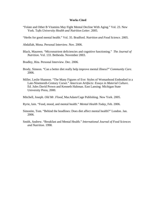#### **Works Cited**

- "Folate and Other B Vitamins May Fight Mental Decline With Aging." Vol. 23. New York. T*ufts University Health and Nutrition Letter*. 2005.
- "Herbs for good mental health." Vol. 35. Bradford. *Nutrition and Food Science*. 2005.
- Abdallah, Mona. Personal Interview. Nov. 2006.
- Black, Maureen. "Micronutrient deficiencies and cognitive functioning." *The Journal of Nutrition*. Vol. 133. Bethesda. November 2003.
- Bradley, Rita. Personal Interview. Dec. 2006.
- Brody, Simeon. "Can a better diet really help improve mental illness?" *Community Care.* 2006.
- Miller, Leslie Shannon. "The Many Figures of Eve: Styles of Womanhood Embodied in a Late-Nineteenth-Century Corset." *American Artifacts: Essays in Material Culture*. Ed. Jules David Prown and Kenneth Haltman. East Lansing: Michigan State University Press, 2000.
- Mitchell, Joseph. *Old Mr. Flood*. MacAdam/Cage Publishing. New York. 2005.
- Ryrie, Iain. "Food, mood, and mental health." *Mental Health Today*. Feb. 2006.
- Simonite, Tom. "Behind the headlines: Does diet affect mental health?" London. Jan. 2006.
- Smith, Andrew. "Breakfast and Mental Health." *International Journal of Food Sciences and Nutrition.* 1998.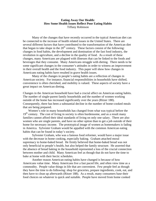#### **Eating Away Our Health: How Some Health Issues Reflect Poor Eating Habits**  Tiffany Robinson

Many of the changes that have recently occurred in the typical American diet can be connected to the increase of health related issues in the United States. There are several different factors that have contributed to the transformation of the American diet that began to take shape in the  $20<sup>th</sup>$  century. These factors consist of the following: changes in food habits, the development and domination of the fast food industry, the revolution in agriculture, and a decline in the quality of food. As a result of these changes, many Americans are plagued with illnesses that can be linked to the foods and beverages that they consume. Many Americans struggle with dieting. There needs to be some significant changes in the consumer's attitudes in order to witness an improvement in their overall health and the food industry. This paper will show how changes in Americans eating habits have resulted in grave health issues.

 Many of the changes in people's eating habits are a reflection of changes in American society. For instance, financial responsibilities in households have shifted, convenience is often cherished, and mobility is valued. These aspects of society have a great impact on American dieting.

Changes in the American household have had a crucial affect on American eating habits. The number of single-parent family households and the number of women working outside of the home has increased significantly over the years (Ritzer 188). Consequently, there has been a substantial decline in the number of home-cooked meals that are being prepared.

 Women's role in many households has changed from what was typical before the  $19<sup>th</sup>$  century. The cost of living in society is often burdensome, and as a result many families cannot afford their ideal standards of living on only one salary. There are also women who are single parents, and have no other option than to get a job outside of their home for necessary income. The prototypical image of women as homemakers is fading in America. Sylvester Graham would be appalled with the common American eating habits that can be found in today's society.

 Sylvester Graham, who was a famous food reformer, would have a major issue with the decrease in home cooking, especially baking. Graham attached moral supremacy to home-baked bread. He firmly believed that home-baked bread was not only beneficial to people's health, but also helped the family structure. He asserted that the absence of bread baking in the household represented a loss of the crucial connection between mother and child. Many American feel as though that do not have the time to bake at home with their hectic schedules.

 Another reason American eating habits have changed is because of how Americans value time. Many Americans live a fast paced life, and often view time as a commodity. People value things in life that are convenient. Few people feel as though they have the time to do following: shop for groceries, prepare ingredients, cook, eat, and then have to clean up afterwards (Ritzer 188). As a result, many consumers base their food choices on whatever is quick and suitable. People have moved from home cooked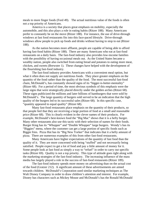meals to more finger foods (Ford 49). The actual nutritious value of the foods is often not a top priority of Americans.

 America is a society that places great emphasis on mobility, especially the automobile, and this also plays a role in eating habits (Ritzer 188). Many Americans prefer to constantly be on the move (Ritzer 188). For instance, the use of drive-through windows at fast food restaurants fits into this face-paced lifestyle. Drive-through windows allow people to pick up foods and drinks without having to stop to eat (Ritzer 188).

 As the nation becomes more affluent, people are capable of being able to afford having fast-food habits (Ritzer 188). There are many Americans who eat at fast-food restaurants on a daily basis. The fast-food industry also provides low-income families with the possibility of having occasional meals out. As the United States became a wealthy nation, people also switched from eating bread and potatoes to eating more meat, chicken, and sweets (Brewster 1). These changes have helped with the development of the flourishing fast-food industry.

 The fast-food industry provides Americans with a convenient meal option, but what it often does not supply are nutritious foods. They place greater emphasis on the quantity of the food rather than the quality of the food. The most successful fast-food chain, McDonald's, has constantly showed signs of its "bigger-is-better-mentality" (Ritzer 68). For a period of time, the most obvious symbols of this emphasis were the large signs that were strategically placed directly under the golden arches (Ritzer 68). These signs publicized the millions and later billions of hamburgers that were sold by McDonald's. The large quantity of burgers sold served to be an indication that the high quality of the burgers led to its successful sales (Ritzer 68). In this specific case, "quantity appeared to equal quality" (Ritzer 68).

 Many fast-food restaurants place emphasis on the quantity of their products, so that people feel that they are receiving a large portion of food at a small and reasonable price (Ritzer 68). This is clearly evident in the clever names of their products. For example, McDonald's best-known food the "Big Mac" shows that it is a hefty burger. Many other restaurants also use this tactic with their selection of names for their foods. Burger King has its "Whopper" and "Double Whopper" large burgers. Wendy's has its "Biggies" menu, where the customer can get a large portion of specific foods such as Biggie fries. Pizza Hut has its "Big New Yorker" that indicates that it a hefty amount of pizza. There are numerous examples of this from other fast-food restaurants.

 Many Americans have higher expectations of the quantity of fast food than the quality of it. They are more concerned with being "stuffed" and not necessarily being satisfied. People expect to get a lot of food and pay a little amount of money for it. Some people look at fast food as simply a way to "refuel" in order to carry out specific tasks (Ritzer 69). Quality is not a top priority. This type of attitude goes right along with the marketing strategies of the fast-food industry. The increasing influence of the mass media has largely played a role in the success of fast-food restaurants (Ritzer 189).

 The fast-food industry spends more money on advertising than on the actual cost of the food (Gratzer 212). A significant amount of these advertisements are aimed towards children. McDonald's Corporation used similar marketing techniques as The Walt Disney Company in order to draw children's attention and interest. For example, Disney has characters such as Mickey Mouse and McDonald's has the Ronald McDonald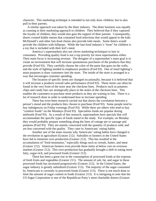character. This marketing technique is intended to not only draw children, but to also pull in their parents.

 A similar approach was taken by the diner industry. The diner business was equally as cunning in their marketing approach to children. They believed that if they captured the loyalty of children, they would also gain the support of their parents. Consequently, diners created kiddie menus that contained food selections that would appeal to the kids. McDonald's and other fast-food chains also provide kids meals. Some diners would provide the children with lollipops. While the fast-food industry's "treat" for children is a toy that is included with their kid's meal.

 America's supermarkets also use clever marketing techniques to lure in consumers. Providing quality food is not a top priority for most supermarkets either. Their main focus is increasing revenue. The designer of a supermarket's main goal is to create an environment that will increase spontaneous purchases of the products that they provide (Ford 93). They carefully choose the color of the paint that goes on the walls, and the style of lighting needed to emphasize products (Ford 93). One of retail lighting's main purposes is draw customers into the store. The inside of the store is arranged in a way that encourages customer spending.

 The location of specific items are changed occasionally, because it is believed that it will increase a products overall sales performance (Ford 93). These items can often be found in the very front of the store near the checkout lines. Products such as potatoes chips and candy bars are strategically place in the aisles of the checkout lines. This enables the customers to purchase more products as they are waiting in line. There is a lot of research done in order to understand how to increase spending.

 There has even been research carried out that shows the correlation between a person's mood and the products they choose to purchase (Ford 93). Some people tend to buy indulgences on Friday evenings (Ford 93). While there are others who tend to buy "comfort foods" on the Mondays (Ford 93). Specialties foods are popular during midweek (Ford 93). As a result of this research, supermarkets have specials that will accommodate the specific types of foods stated in the study. For example, on Monday they would probably prepare something along the lines of cottage pie or sausage and potatoes (Ford 93). They are mainly concerned with the quantity of products sold, and are less concerned with the quality. They cater to Americans' eating habits.

 Another one of the main reasons why Americans' eating habits have changed is the revolution in agriculture (Gratzer 212). Subsidies to farmers in the United States have led to immense over-production (Gratzer 212). This has resulted in the accumulation of "food mountains," especially things such as cereals, butter, and meat (Gratzer 212). American farmers even provide these items at below cost on overseas markets (Gratzer 212). This over-production has gradually brought a shift to eating more fatty, sugar-rich, and processed foods (Gratzer 212).

 There has been a great rise in the consumption of processed foods at the expense of fresh fruits and vegetables (Gratzer 211). The amount of salt, fat, and sugar in these processed foods has increased progressively (Gratzer 212). In the United States, the sugar industry is greatly subsidized (Gratzer 213). The majority of the sugar consumed by Americans is currently in processed foods (Gratzer 213). There is not much done to limit the amount of sugar content in foods (Gratzer 213). It is intriguing to note that the US Sugar Corporation is one of the Republican Party's most charitable donors (Gratzer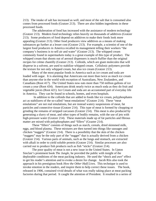213). The intake of salt has increased as well, and most of the salt that is consumed also comes from processed foods (Gratzer 213). There are also hidden ingredients in these processed foods.

 The adulteration of food has increased with the assistance of modern technology (Gratzer 213). Modern food technology relies heavily on thousands of additives (Gratzer 213). Some producers of food depend on additives to make their foods look more appealing (Gratzer 213). Other food producers view additives as a means of making substances go further at a lesser cost (Gratzer 213). For example, a scientist of one of the largest food producers in America recalled its management telling their workers "the company's business is to sell air and water" (Gratzer 213). The whipped cream commonly found in supermarkets today is a great example of this type of product. The whipped cream that shoots out of aerosol dispensers is much fluffier than the original recipes for crème chantilly (Gratzer 213). Colloids, which are giant molecules that will disperse in a solvent, are used to stabilize whipped cream. Cellulosic polymers provide the texture for not only whipped cream, but also ice cream (Gratzer 213).

 Many of the most popular foods in America such as ice cream and soda are loaded with sugar. It is alarming that Americans eat more than twice as much ice cream than anyone else in the world with exception of Australians, New Zealanders, and Canadians (Root 417). The United States now eats more than 750 million gallons of ice cream a year (Root 434). Americans drink nearly twice as much soda as they do fruit and vegetable juices (Root 421). Ice Cream and soda are an accustomed part of everyday life in America. They can be found in schools, homes, and even hospitals.

 In addition to the colloids that are added to foods like ice cream, polyphosphates act as stabilizers of the so-called "meat emulations" (Gratzer 214). These "meat emulations" are not real emulations, but are instead watery suspensions of meat, fat particles and connective tissue (Gratzer 214). This type of meat is formed by chopping or grinding the remains of stripped carcasses (Gratzer 214). This meat is also produced by generating a slurry of meat, and other types of bodily remains, with the use of jets with high-pressure water (Gratzer 214). These materials made up of fat particles and fibrous matter are mixed with polyphosphates and "fillers" (Grazter 214).

These "fillers" consists of things such as starch, cereals, dried skimmed milk, eggs, and blood plasma. These mixtures are then turned into things like sausages and chicken "nuggets" (Gratzer 214). There is a possibility that the skin of the chicken "nuggets" may be the only part of the "nugget" that is actually derived from a chicken (Gratzer 214). Various parts of animals, such as the lungs and stomach, are extracted with alkali in order to yield soluble protein (Gratzer 214). Similar processes are also carried out to produce fish products such as fish "sticks" (Gratzer 214).

 The poor quality of meat is not a new issue in the United States. In Upton Sinclair's prominent book *The Jungle,* he provided the public with insight of the deplorable conditions of the meat packing industry. He used the "shock and awe" effect to get his reader's attention and to evoke a desire for change. Jacob Riis also took the approach in his prestigious book *How the Other Half Lives.* This technique is used to invoke emotion in the readers, and inspire them to help correct these issues. The book, released in 1906, contained vivid details of what was really taking place at meat packing factories during that period. It caught the attention of President. It resulted in a series of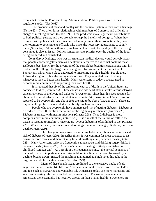events that led to the Food and Drug Administration. Politics play a role in meat regulations today (Nestle 62).

 The producers of meat and poultry use the political system to their own advantage (Nestle 62). They often form relationships with members of Congress and officials in charge of meat regulations (Nestle 62). These producers make significant contributions to both political parties, and they are able to reap the benefits of doing so. When they disagree with polices that they think can potentially hinder their production, they voice their opinion to governments officials who make the necessary adjustments to satisfy them (Nestle 62). Along with meats, such as beef and pork, the quality of the fish being consumed is also an issue. Politics sometimes take priority over the quality of the food being produced and distributed.

 John Harvey Kellogg, who was an American medical doctor, would actively assert that people choose vegetarianism as a healthier alternative to a diet that contains meat. Kellogg is best known for the invention of the corn flakes breakfast cereal along with his brother Will Kellogg. Kellogg is also recognized for his work at the Battle Creek Sanitarium, which was a place dedicated to improving people's health. People there followed a regime of healthy eating and exercise. They were dedicated to doing whatever is took to better their health. Many Americans in today's society need to become more committed to improving their own health.

 It is reported that six of the ten leading causes of death in the United States are connected to diet (Brewster 5). These causes include heart attack, stroke, arteriosclerosis, cancer, cirrhosis of the liver, and diabetes (Brewster 5). These health issues account for about half of all deaths in the United States (Brewster 5). Two-thirds of Americans are reported to be overweight, and about 25% are said to be obese (Gratzer 232). There are major health problems associated with obesity, such as diabetes.

 People who are overweight have an increased risk of getting diabetes. Diabetes is a deadly disease. It involves the failure of the regulatory mechanism (Gratzer 228). Diabetes is treated with insulin injections (Gratzer 228). Type 2 diabetes is more complex and is more common (Gratzer 228). It is a result of the failure of cells in the tissue to respond to insulin (Gratzer 228). Type 2 diabetes is often linked to diet (Gratzer 229). When untreated, diabetes can lead to things like nerve damage, blindness, and even death (Gratzer 229).

 The change in many Americans eating habits contributes to the increased risk of diabetes (Gratzer 229). In earlier times, it was common for most societies to sit down for three meals, and then eat very little, if anything at all, between meals (Gratzer 229). Many Americans today are frequently eating snacks and drinking sugary drinks in between meals (Gratzer 229). A person's pattern of eating is likely established in childhood (Gratzer 229). As a result of the frequent snacking, "the normal sequence of metabolic events, in particular sharp rise in blood insulin after a meal, followed by a decline, breaks down. Instead the insulin is maintained at a high level throughout the day, and metabolic mayhem ensues" (Gratzer 229).

 Many of these health issues are linked to the excessive intake of salt, sugar, and fats (Brewster 6). Most of American's fat intake comes from "separated" oils and fats such as margarine and vegetable oil. Americans today use more margarine and salad and cooking oils than ever before (Brewster 59). The use of sweeteners in Americans diet essentially has negative effects on their overall health. Sweeteners are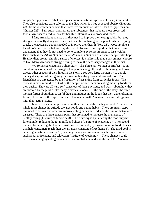simply "empty calories" that can replace more nutritious types of calories (Brewster 47). They also contribute extra calories to the diet, which is a key aspect of obesity (Brewster 48). Some researchers believe that excessive amounts of salt will lead to hypertension (Gratzer 225). Salt, sugar, and fats are the substances that make up most processed foods. Americans need to look for healthier alternatives to processed foods.

 Many Americans realize that they need to improve their eating habits, but they struggle in actually doing so. Some diets can be confusing to the people who are trying to take the necessary actions needed to improve their health (Ford 23). Most involve a list of do's and don'ts that are very difficult to follow. It is important that Americans understand that they do not need to go to complete extremes in order to lose weight. Diets such as the *Atkins Diet* and the *South Breach Diet* can offer some people false hope. Healthy diets are not simply a series of choices; it is a lifestyle that a person must choose to live. Many Americans struggle trying to make the necessary changes in their diet.

 W. Somerset Maugham's short story "The Three Fat Women of Antibes*"* is an entertaining example of the struggles that people can go through with dieting, and how it affects other aspects of their lives. In the story, three very large women try to uphold dietary discipline while fighting their own unhealthy personal desires of food. Their friendships are threatened by the frustration of absenting from particular foods. This process is even more difficult when the people around them are eating the very foods that they desire. They are all very self-conscious of their physique, and worry about how they are viewed by the public, like many Americans today. At the end of the story, the three women forget about their stressful diets and indulge in the foods that they were refraining from. This is often the type of scenario that occurs with Americans who are struggling with their eating habits.

 In order to see an improvement in their diets and the quality of food, America as a whole must change its attitude towards foods and eating habits. There are many steps that need to be taken in order to improve eating habits and reduced the risk of diet-related diseases. There are three general plans that are aimed to increase the prevalence of healthy eating (Institute of Medicine 3). The first way is by "altering the food supply", for example, reducing the fat in milk and cheese (Institute of Medicine 3). The second tactic is by "altering the food acquisition environment", by providing more food choices that help consumers reach their dietary goals (Institute of Medicine 3). The third goal is "altering nutrition education" by sending dietary recommendations through resources such as advertisements and television (Institute of Medicine 4). These changes could help make changing eating habits more accomplishable and less stressful for Americans.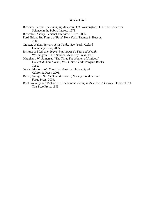## **Works Cited**

| Brewster, Letitia. The Changing Ameican Diet. Washington, D.C.: The Center for     |
|------------------------------------------------------------------------------------|
| Science in the Public Interest, 1978.                                              |
| Brownlee, Ashley. Personal Interview. 1 Dec. 2006.                                 |
| Ford, Brian. The Future of Food. New York: Thames & Hudson,                        |
| 2000.                                                                              |
| Gratzer, Walter. Terrors of the Table. New York: Oxford                            |
| University Press, 2005.                                                            |
| Institute of Medicine. Improving America's Diet and Health.                        |
| Washington, D.C.: National Academy Press, 1991.                                    |
| Maugham, W. Somerset. "The Three Fat Women of Antibes,"                            |
| Collected Short Stories, Vol. 1. New York: Penguin Books,                          |
| 1952.                                                                              |
| Nestle, Marion. Safe Food. Los Angeles: University of                              |
| California Press, 2003.                                                            |
| Ritzer, George. The McDonaldization of Society. London: Pine                       |
| Forge Press, 2004.                                                                 |
| Root, Waverly and Richard De Rochemont, Eating in America: A History. Hopewell NJ: |
| The Ecco Press, 1995.                                                              |
|                                                                                    |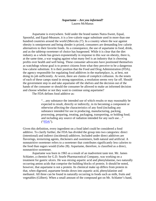#### **Aspartame** *– Are you informed?*  Lauren McManus

Aspartame is everywhere. Sold under the brand names Nutra-Sweet, Equal, Spoonful, and Equal-Measure, it is a low-calorie sugar substitute used in more than one hundred countries around the world (Mercola 27). In a country where the war against obesity is omnipresent and being slender is prized, consumers are demanding low calorie alternatives to their favorite foods. As a consequence, the use of aspartame in food, drink, and as the tabletop sweetener of choice has burgeoned. While it is clear that the diet industry as a whole has grown exponentially in response to this war on obesity, there is, at the same time, a war waging against what many feel is an industry that is choosing profits over health and well being. These consumer advocates have positioned themselves as watchdogs whose goal is to protect citizens from what they perceive to be a dangerous low-calorie substitute. It is their position that the Food and Drug Administration (FDA), the agency responsible for regulating food additives in the marketplace, is, at best, not doing its job sufficiently. At worst, there are claims of complicit collusion. As the tenets of each of these camps stand in strong opposition, a resolution seems very far off. Should the government step in and take aspartame off the shelves and the decision out of the hands of the consumer or should the consumer be allowed to make an informed decision and choose whether or not they want to continue using aspartame?

The FDA defines food additive as:

"…any substance the intended use of which results or may reasonably be expected to result, directly or indirectly, in its becoming a component or otherwise affecting the characteristics of any food (including any substance intended for use in producing, manufacturing, packing, processing, preparing, treating, packaging, transporting, or holding food; and including any source of radiation intended for any such use…" ("FDA").

Given this definition, every ingredient on a food label could be considered a food additive. To clarify further, the FDA has divided the group into two categories: direct (intentional) and indirect (incidental) additives. Included under direct additives are flavorings, texturizing agents, thickeners and sweeteners, both natural and artificial. A nonnutritive sweetener refers to a sweetener that contributes significantly less calories to the food than sugars would (Gebo 28). Aspartame, therefore, is classified as a direct, nonnutritive sweetener.

Aspartame was born in 1965 as a result of an inadvertent taste test. Mr. James Schlatter, a chemist for G.D. Searle Pharmaceutical Company, was working on a treatment for gastric ulcers. He was mixing aspartic acid and phenylalanine, two naturally occurring amino acids that comprise the building blocks of protein. It should be noted, however, that aspartame is not a protein. Its chemical make up differs from protein in that, when digested, aspartame breaks down into aspartic acid, phenylalanine and methanol. All three can be found in naturally occurring in foods such as milk, fruits and vegetables (Gilbert). When a small amount of the compound got on Mr. Schlatter's hand,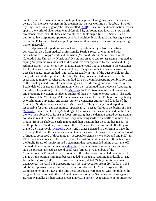and he licked his fingers in preparing to pick up a piece of weighing paper, he became aware of an intense sweetness in the creation that he was working on (Jacobs). "I licked my finger and it tasted good," he later recalled (Null). His amino acid combination lost its spot in the world of ulcer treatments (Mercola 38), but found new favor as a low calorie sweetener, more than 200 times the sweetness of table sugar. In 1973, Searle filed a petition to have aspartame approved as a food additive. It would take another eight years before the FDA put its final stamp of approval on it, allowing Searle to enter a growing market (Mercola).

Approval of aspartame was met with opposition, not just from mainstream activists, but also from medical professionals. Searle's research was tainted with accusations of "sloppy" work and collusion (Mercola). Martha Stone, professor at Colorado State University, Nutrition Advisor, and an advocate for aspartame is quoted as saying "Aspartame was the most studied additive ever approved by the Food and Drug Administration." It is her position that aspartame would not have gotten to the consumer level if it caused problems in humans (Stone). The question that needs to be asked is, does she equate "most studied" with safe, especially in light of the questionable results many of these studies produced. In 1969, Dr. Harry Waisman fed milk mixed with aspartame to monkeys. After three hundred days on the milk/aspartame combination, one of the monkeys died. Five of the remaining six suffered from grand mal seizures, yet Searle deleted this negative information when they submitted their evidence (supporting the safety of aspartame) to the FDA (Mercola). In 1971, two men, medical researchers and practicing physicians conducted studies of their own with onerous results. The study came from John W. Olney, M.D., a neuroscience researcher and Professor of Psychiatry at Washington University, and James Turner, a consumer attorney and founder of the Center for Study of Responsive Law (Mercola). Dr. Olney's study found aspartame to be responsible for brain damage in mice; specifically, it caused "holes in the brains of mice" (Mercola). Based on Dr. Olney's findings of the toxic effects aspartame had on the brain, the two men objected to its use in foods. Asserting that the damage caused by aspartame could also result in mental retardation, they were vanguards in the battle to remove the product from the shelves. Searle maintained their position that these studies raised "no health problems," and they failed to tell the FDA about the findings until after they were granted their approvals (Mercola). Olney and Turner persisted in their fight to have the product pulled from the shelves, and eventually they won a hearing before a Public Board of Inquiry, composed of three mutually acceptable scientists (two MDs and one PhD). In 1980, both sides presented their case before the task force. As a result of these hearings, the Public Board of Inquiry issued a statement that recommended taking aspartame off the market pending further testing (Mercola). The indictment was not strong enough to stop the process; instead, a second panel was formed. Five members of the Commissioner's Team of Scientists reviewed the information and voted three to two to ban it. At this point a sixth member was added to the team, resulting in a deadlock. Dr. Jacqueline Verrett, PhD, a toxicologist on the team, stated "Safety questions remain unanswered." In April 1981 aspartame was first approved for use in dry foods. In 1983 additional approval was given for use in diet soft drinks. Dr. Arthur Hayes was the Commissioner of the FDA at the time these approvals were passed. One month later, he resigned his position with the FDA and began working for Searle's advertising agency, Burson-Marsteller as their senior medical advisor (Turner). A recent attempt to interview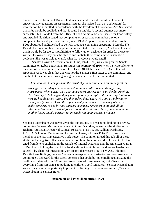a representative from the FDA resulted in a dead end when she would not commit to answering any questions on aspartame. Instead, she insisted that an "application" for information be submitted in accordance with the Freedom of Information Act. She stated that a fee would be applied, and that it could be sizable. A second attempt was more successful. Ms. Londell from the Office of Food Additive Safety, Center for Food Safety and Applied Nutrition stated that complaints on aspartame outnumber any other complaints for her department. In fact, since 1988, 80 percent of all complaints to the FDA about food additives had to do with products containing aspartame (Mercola*,* 37). Despite the high number of complaints concentrated in this one area, Ms. Londell stated that it would be far too cost prohibitive to follow up on each one. In order for a case to warrant follow-up, they must be able to substantiate their complaint with scientific evidence. She was unable to clarify what that evidence would entail.

Senator Howard Metzenbaum, (D Ohio, 1974-1996) was sitting on the Senate Committee on Labor and Human Resources in February of 1986 when he wrote a letter to the chair of the committee, Senator Orrin Hatch (R Utah, since 1977). (see attached, Appendix A) It was clear that this was not the Senator's first letter to the committee, and that he felt the committee was ignoring the evidence that he had submitted.

#### *I am at a loss to comprehend the thrust of your recent letters on my request for*

 *hearings on the safety concerns raised in the scientific community regarding NutraSweet. When I sent you a 110-page report on February 6 on the failure of the U.S. Attorney to hold a grand jury investigation, you replied the same day that there were no health issues raised. You then asked that I share with you all information raising safety issues. Orrin, the report I sent you included a summary of current health concerns raised by nine different scientists. My report contained all the relevant references to medical journals and other citations. Now you have sent me another letter, dated February 18, in which you again request evidence.* 

Senator Metzenbaum was never given the opportunity to present his finding to a review committee. Senator Metzenbaum cites Dr. Olney's studies, as well as the studies of Dr. Richard Wurtman, Director of Clinical Research at M.I.T, Dr. William Pardridge, U.C.L.A. School of Medicine and Dr. Adrian Gross, a former FDA Toxicologist and member of the FDA Investigative Task Force. The common thread through all of these studies is the negative effect aspartame has on brain function and development. He also cited from letters published in the Annals of Internal Medicine and the American Journal of Psychiatry linking the use of this food additive to skin lesions and severe headaches caused "by chemical interactions with an anti-depressant drug, an M.A.O. inhibitor." Despite these findings, Senator Metzenbaum expressed a frustration and concern over the committee's disregard for the safety concerns that could be "potentially jeopardizing the health and safety of over 100 million Americans who are ingesting NutraSweet in everything from soft drinks to pudding to children's cold remedies." Senator Metzenbaum was never given the opportunity to present his finding to a review committee ("Senator Metzenbaum to Senator Hatch").

#### **Aspartame and Phenylketonuria (PKU)**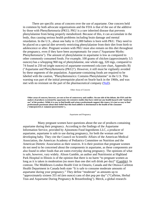There are specific areas of concern over the use of aspartame. One concern held in common by both advocate organizations and the FDA is that of the use of the additive by those with Phenylketonuria (PKU). PKU is a rare inherited disease that prevents phenylalanine from being properly metabolized. Because of this, it can accumulate in the body, thus causing serious health problems including brain damage and mental retardation. In the U.S., about one baby in 15,000 babies is born with PKU. They need to be placed on a special diet severely restricting phenylalanine from their diet from birth to adolescence or after. Pregnant women with PKU must also remain on this diet throughout the pregnancy, even if they have been asymptomatic for years ("Aspartame Myths: Phenylketonuria"). The amount of phenylalanine in aspartame is low as compared to other commonly consumed foods. For example, 100 grams of chicken (approximately 3.5 ounces) has a whopping 960 mg of phenylalanine, one whole egg, 320 mgs, compared to 74 found in 250 ml (eight ounces) of aspartame-sweetened cola (see chart, Appendix B) ("Aspartame and Phenylketonuria (PKU)"). However, it still must be vigilantly avoided by these segments of the population. Aspartame-containing foods are required to be labeled with the caution, "Phenylketonurics: Contains Phenylalanine" in the U.S. This warning was part of the initial prerequisite placed on Searle back in the 1960s, and was met with no resistant on the part of the pharmaceutical company (Null).

Other Areas of Concern

**Other areas of concern, however, are not so free of controversy and conflict. On one side of the debate, the FDA and the makers of products sweetened by aspartame cite extensive studies that have ruled out any health hazard with "moderate use" of the product. While it is easy to find health and science professionals support this stance, it is just as easy to find professionals passionate about their belief that this food additive is detrimental to the health of the consumer ("FREQUENTLY ASKED QUESTIONS").** 

Aspartame and Pregnancy

 Many pregnant women have questions about the use of products containing aspartame during their pregnancy. According to the findings of the Aspartame Information Service, provided by Ajinomoto Food Ingredients LLC, a producer of aspartame, aspartame is safe to use during pregnancy, for both the woman and her developing baby. They cite the Council on Scientific Affairs of the American Medical Association, the American Academy of Pediatrics Committee on Nutrition and the American Dietetic Association as their sources. It is their position that pregnant women do not need to be concerned about the components in aspartame, as these components are also found in other foods that are eaten everyday during pregnancy. The opinions of what is safe, however, vary widely. Alison Gamble, an author and Nutritionist at Highland Park Hospital in Illinois is of the opinion that there is no harm "to pregnant women as long as it is taken in moderation (no more than one diet soft drink per day)" (Gamble). In contrast, The Middlesex-London Health Unit in Ontario, Canada and the Ottawa-Carleton Health Department in Canada both state "It is safe to consume moderate amounts of aspartame during your pregnancy." They define "moderate" as amounts up to "approximately sixteen 355 ml (ten ounce) cans of diet pop per day" ("Caffeine, Herbal Teas and Aspartame During Pregnancy & Breastfeeding"). Merck, a global research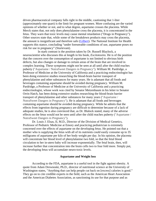driven pharmaceutical company falls right in the middle, cautioning that 1-liter (approximately one quart) is the limit for pregnant women. More confusing are the varied opinions of whether or not, and to what degree, aspartame crosses the placenta. While Merck states that, not only does phenylalanine cross the placenta, it is concentrated in the fetus. They warn that toxic levels may cause mental retardation ("Drugs in Pregnancy"). Other sources state that, while some of the breakdown products may cross the placenta, the amount is insignificant and therefore safe (Gilbert). The National Institute for Health supports this stance, concluding "under foreseeable conditions of use, aspartame poses no risk for use in pregnancy" (Sturtevant).

 In stark contrast is the position taken by Dr. Russell Blaylock, a neuroscientist who discusses this at length in his book, *Excitotoxins.* He is of the position that the concern over the consumption of aspartame is not limited to obvious birth defects, but also changes or damage to certain areas of the brain that are involved in complex learning. These symptoms might not be seen at all until after the child reaches puberty ("Aspartame / NutraSweet Dangers in Pregnancy"). William M. Pardridge, a Professor of Medicine at the University of California and a practicing endocrinologist has been doing extensive studies researching the blood-brain barrier transport of phenylalanine and other substances for many years. He is adamant that all foods and beverages containing aspartame should be avoided during pregnancy. William M. Pardridge, a Professor of Medicine at the University of California and a practicing endocrinologist, whose work was cited by Senator Metzenbaum in his letter to Senator Orrin Hatch, has been doing extensive studies researching the blood-brain barrier transport of phenylalanine and other substances for many years ("Aspartame / NutraSweet Dangers in Pregnancy"). He is adamant that all foods and beverages containing aspartame should be avoided during pregnancy. While he admits that the effects from ingestion during pregnancy are difficult to determine because of a lack of adequate studies, he is also convinced that, as Dr. Blalock stated, many of the adverse effects on the fetus would not be seen until after the child reaches puberty ("Aspartame / NutraSweet Dangers in Pregnancy").

Dr. Louis J. Elsas, II, M.D., Director of the Division of Medical Genetics, Professor of Pediatric Medicine at Emory and practicing pediatrician is extremely concerned over the effects of aspartame on the developing fetus. He pointed out that a mother who is supplying the fetus with all of its nutrients could easily consume up to 35 milligrams of aspartame per kilo of her body weight per day. In his opinion, the placenta will concentrate her blood level of phenylalanine two fold, so that the fetal blood circulation to her in-utero baby will increase exponentially. The fetal brain, then, will increase further that concentration into the brain cells two to four fold more. Simply put, the developing fetus will accumulate neuro-toxic levels.

#### **Aspartame and Weight loss**

According to the FDA, aspartame is a useful tool in the fight against obesity. A quote from Adam Drewnoski, Ph.D., director of nutritional science at the University of Washington states, "Anything that can help people cut back on [excess] calories is good." They go on to cite credible experts in the field, such as the American Heart Association and the American Diabetes Association, as sanctioning its use for that purpose and as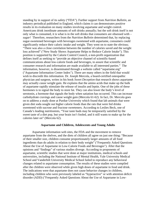standing by in support of its safety ("FDA"). Further support from *Nutrition Bulletin*, an industry periodical published in England, which claims it can demonstrates positive results in its evaluation on many studies involving aspartame and weight control. Americans drink inordinate amounts of soft drinks annually; but the soft drink itself is not only what is consumed, it is what is in the soft drinks that consumers are obsessed with – *sugar!* Therefore, researchers from the *Nutrition Bulletin* determined that, by replacing sugar-sweetened beverages with beverages sweetened with aspartame, consumers could significantly reduce their caloric intake and weight. They went on to state the obvious; "There was also a close correlation between the number of calories saved and the weight loss achieved" ("New Study Shows Aspartame Helps to Reduce Calorie Intake"). This position is supported by the Calorie Control Council, a non-profit organization that defines itself as seeking to "provide an objective channel of scientific-based communications about low-calorie foods and beverages, to assure that scientific and consumer research and information are made available to all interested parties." The information, however, is disseminated through a website called "aspartame.org" ("Aspartame Information Center Index"). There are many others in the field that would wish to discredit this information. Dr. Joseph Mercola, a board-certified osteopathic physician and surgeon, writes in his book *Sweet Deception* that research shows aspartame may actually *cause* weight gain. He explains that the amino acids that make up the bulk of aspartame rapidly stimulate the release of insulin and leptin. One of the jobs of these hormones is to signal the body to store fat. They can also lower the body's level of serotonin, a hormone that signals the body when satiation has occurred. This can increase carbohydrate cravings and cause weight gain (Mercola 61-62). In fact, Dr. Mercola goes on to address a study done at Purdue University which found that lab animals that were given diet soda sought out higher calorie foods than the rats that were fed drinks sweetened with sucrose and fructose sweeteners. According to Leslies Beck, one of Canada's leading nutritionists, "Your taste buds may be temporarily satisfied by the sweet taste of a diet pop, but your brain isn't fooled, and it still wants to make up for the calories later on" (Mercola 62).

#### **Aspartame and Children, Adolescents and Young Adults**

Aspartame information web sites, the FDA and the movement to remove aspartame from the shelves, and the diets of children all agree on just one thing: "Because of their smaller size, children consume proportionately larger amounts of all food ingredients than do adults in relation to their body weight" ("Frequently Asked Questions About the Use of Aspartame in Low-Calorie Foods and Beverages"). After that the opinions and "findings" of various studies diverge. According to proponents of aspartame, scientific studies that were done at major institutions, medical schools and universities, including the National Institute of Mental Health, Yale University Medical School and Vanderbilt University Medical School failed to reproduce any behavioral changes related to aspartame consumption. The results of these studies were compiled after the children were observed while given high doses of aspartame in food and drink. The indications were that aspartame does not cause behavior changes in children, including children who were previously labeled as "hyperactive" or with attention deficit disorder (ADD) ("Frequently Asked Questions About the Use of Aspartame in Low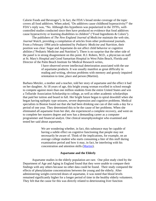Calorie Foods and Beverages"). In fact, the FDA's broad stroke coverage of the topic covers all food additives. When asked, "Do additives cause childhood hyperactivity?" the FDA's reply was, "No. Although this hypothesis was popularized in the 1970's, wellcontrolled studies conducted since then have produced no evidence that food additives cause hyperactivity or learning disabilities in children" ("Food Ingredients & Colors").

The publishers of *The New England Journal of Medicine* maintain the web site, *Journal Watch*, providing a compilation of articles from other professional journals. From a February 1994 article submitted by *Pediatric Medicine and Nutrition,* their position was clear: Sugar and Aspartame do not affect child behavior or cognitive abilities ("Pediatric Medicine and Nutrition"). There is no surprise that the other side of the panel is in strong disagreement on this point. H.J. Robers, M.D., a physician on staff at St. Mary's Hospital and Good Samaritan Hospital in West Palm Beach, Florida and Director of the Palm Beach Institute for Medical Research writes,

> I have observed severe intellectual deterioration associated with the use of aspartame products. It was usually manifest as great difficulty in reading and writing, obvious problems with memory and grossly impaired orientation to time, place and person (Martini).

Barbara Metzler, a mother and a teacher, told her story of aspartame and the effect it had on her daughter. At 18 years of age, this bright young woman excelled in school enough to compete against more than one million students from the entire United States and win a Telluride Association Scholarship to college, as well as other academic scholarships that paid her tuition and board in full. Her bright future began to spiral downhill when she began having epileptic type seizures, severe depression and cognitive problems. Medical specialists in Boston found out that she had been drinking one can of diet soda a day for a period of one year. They determined this to be the cause of her problems. When she eliminated all aspartame from her diet, she experienced a complete recovery, and went on to complete her masters degree and now has a demanding career as a computer programmer and financial analyst. One clinical neurophysiologist who examined and tested her said about aspartame,

> We are wondering whether, in fact, this substance may be capable of having a subtle effect on cognitive functioning that people may not necessarily be aware of. Think of the implications, for example, on an average college student who starts consuming a liter of this stuff during examination period and how it may, in fact, be interfering with his concentration and attention skills (Martini).

#### **Aspartame and the Elderly**

 Aspartame studies in the elderly population are rare. One pilot study cited by the Department of Age and Aging in England found that they were unable to compare their findings with any others because no other data could be found. Their study compared the effects of phenylalanine concentrations between the young and the elderly. After administering weight-corrected doses of aspartame, it was noted that blood levels remained significantly higher for a longer period of time in the healthy elderly volunteers. They felt that the cause for this was directly related to deteriorating liver function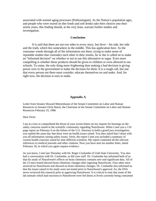associated with normal aging processes (Puthrasingam). As the Nation's population ages, and people who were reared on diet foods and soft drinks take their choices into their senior years, this finding should, at the very least, warrant further studies and investigation.

#### **Conclusion**

It is said that there are not *two* sides to every story, but *three* – his side, her side and the truth, which lies somewhere in the middle. This has application here. As the consumer weeds through all of the information out there, trying to make sense of reputable studies that contradict each other in their results, he or she is called on to make an "informed decision" on whether or not to use this alternative to sugar. Even more compelling is whether these products should be given to children or even allowed in our schools. To some, the only thing more frightening than making a bad decision is giving power over to the government to make the decision for them. It is a tough call, but one that every person out there must consider, educate themselves on and make. And, for right now, the decision is ours to make.

#### **Appendix A**

Letter from Senator Howard Metzenbaum of the Senate Committee on Labor and Human Resources to Senator Orrin Hatch, the Chairman of the Senate Committee on Labor and Human Resources February 25, 1986

Dear Orrin:

I am at a loss to comprehend the thrust of your recent letters on my request for hearings on the safety concerns raised in the scientific community regarding NutraSweet. When I sent you a 110 page report on February 6 on the failure of the U.S. Attorney to hold a grand jury investigation, you replied the same day that there were no health issues raised. You then asked that I share with you all information raising safety issues. Orrin, the report I sent you included a summary of current health concerns raised by nine different scientists. My report contained all the relevant references to medical journals and other citations. Now you have sent me another letter, dated February 18, in which you again request evidence.

As you know, I met last Thursday with Dr. Roger Coulombe of Utah State University. You also had a conversation with Dr. Coulombe, as did your staff. Dr. Coulombe has informed both of us that his study of NutraSweet's effects on brain chemistry contains new and significant data. All of the 12 mice tested showed brain chemistry changes after ingesting NutraSweet. Four other mice received no NutraSweet and showed no brain chemistry changes. Dr. Coulombe also informed us that the issues raised in his study were not tested prior to NutraSweet's approval. So, the FDA never reviewed this research prior to approving NutraSweet. It is critical to note that some of the lab animals which had reactions to NutraSweet were fed doses at levels currently being consumed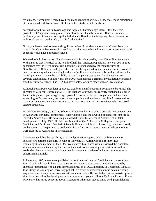by humans. As you know, there have been many reports of seizures, headaches, mood alterations, etc., associated with NutraSweet. Dr. Coulombe's study, which, has been

accepted for publication in Toxicology and Applied Pharmacology, states: "It is therefore possible that Aspartame may produce neurobiochemical and behavioral effects in humans, particularly in children and susceptible individuals. Based on the foregoing, there is a need for additional research on the safety of this food additive."

Orrin, you have asked for new and significant scientific evidence about NutraSweet. Now you have it. Dr. Coulombe's research as well as the other research cited in my report raises new health concerns which have not been resolved.

We need to hold hearings on NutraSweet-- which is being used by over 100 million Americans. With an issue that is critical to the health of half the American population, how can you in good conscience say "no?" We cannot rely upon the tests sponsored by the manufacturer of NutraSweet, G. D. Searle, and ignore the concerns being raised by independent studies. We don't need the company which is making hundreds of millions of dollars on this product telling us it's "safe," particularly when the credibility of that Company's testing on NutraSweet has been severely undermined. You know that the FDA recommended a criminal investigation of possible fraud in NutraSweet tests. The FDA has never before or since made such an investigation.

Although NutraSweet was later approved, credible scientific concerns continue to be raised. The Director of Clinical Research at M.I.T., Dr. Richard Wurtman, has recently published a letter in Lancet citing case reports suggesting a possible association between Aspartame and seizures. According to Dr. Wurtman, the reports are compatible with evidence that high Aspartame doses may produce neurochemical changes that, in laboratory animals, are associated with depressed seizure thresholds.

Dr. William Pardridge, U.C.L.A. School of Medicine, has also cited a possible link between one of Aspartame's principal components, phenylalanine, and the lowering of seizure thresholds in individual\individuals. He has also questioned the possible affects of NutraSweet on fetal development. In July, 1985, Dr. Michael Mahalik of the Philadelphia College of Osteopathic Medicine, and Dr. Ronald Gautieri of Temple University School of Pharmacy, published a study on the potential of Aspartame to produce brain dysfunction in mouse neonates whose mothers were exposed to Aspartame in late gestation.

They concluded that the possibility of brain dysfunction appears to be a viable sequela to excessive Aspartame exposure. In June of last year, Dr. Adrian Gross, a former FDA Toxicologist, and member of the FDA Investigative Task Force which reviewed the Aspartame studies, sent me a letter stating that depute their serious shortcomings, at least those studies established beyond a reasonable doubt that Aspartame is capable of inducing brain tumors in experimental animals.

In February, 1985, letters were published in the Annals of Internal Medicine and the American Journal of Psychiatry, linking Aspartame to skin lesions and to severe headaches caused by chemical interactions with an anti-depressant drug, an M.A.O. inhibitor. In December, 1984, Dr. John Olney of Washington University published a study on excitotoxic amino acids including Aspartate, one of Aspartame's two constituent amino acids. He concludes that excitotoxins pose a significant hazard to the developing nervous systems of young children. Dr.Louis Elsas, at Emory University, has raised concerns about Aspartame's other constituent amino acid, phenylalanine.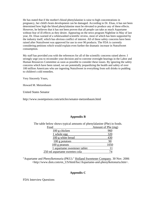He has stated that if the mother's blood phenylalanine is raise to high concentrations in pregnancy, her child's brain development can be damaged. According to Dr. Elsas, it has not been determined how high the blood phenylalanine must be elevated to produce any of these effects. However, he believes that it has not been proven that all people can take as much Aspartame without fear of ill effects as they desire. Appearing on the news program Nightline in May of last year, Dr. Elsas warned of a whitewashed scientific review, most of which has been supported by the industry itself, which has obvious conflict of interest. All of these safety concerns have been raised after NutraSweet was approved for use in over 90 products. The FDA is currently considering petitions which would explain even further the dramatic increase in NutraSweet consumption.

My staff has provided you with the references for all of the scientific concerns raised above. I strongly urge you to reconsider your decision and to convene oversight hearings in the Labor and Human Resources Committee as soon as possible to consider these issues. By ignoring the safety concerns which have been raised, we are potentially jeopardizing the health and safety of over 100 million Americans who are ingesting NutraSweet in everything from soft drinks to pudding to children's cold remedies.

Very Sincerely Yours,

Howard M. Metzenbaum

United States Senator

http://www.sweetpoison.com/articles/senator-metzenbaum.html

#### **Appendix B**

The table below shows typical amounts of phenylalanine (Phe) in foods.

| Food                          | Amount of Phe (mg) |
|-------------------------------|--------------------|
| $100$ g chicken               | 960                |
| 1 whole egg                   | 320                |
| 100 g white bread             | 430                |
| $100$ g potatoes              | 90                 |
| $100$ g peanuts               | 1050               |
| 1 aspartame sweetener tablet  |                    |
| 250 ml aspartame sweeten cola | 74                 |

"Aspartame and Phenylketonuria (PKU)." Holland Sweetener Company. 30 Nov. 2006 <http://www.dsm.com/en\_US/html/hsc/Aspartame-and-phenylketonuria.htm>.

#### **Appendix C**

FDA Interview Questions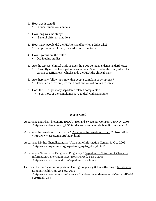- 1. How was it tested?
	- Clinical studies on animals
- 2. How long was the study?
	- Several different durations
- 3. How many people did the FDA test and how long did it take?
	- People were not tested, its hard to get volunteers
- 4. How rigorous are the tests?
	- Did feeding studies
- 5. Are the test just clinical trials or does the FDA do independent standard tests?
	- Currently no one has a paten on aspartame; Searle did at the time, which had certain specifications, which sends the FDA the clinical trails.
- 6. Are there any follow-ups, now that people complain of symptoms? There are no reviews, it would coat millions of dollars to retest
- 7. Does the FDA get many aspartame related complaints?
	- Yes, most of the complaints have to deal with aspartame

### **Works Cited**

- "Aspartame and Phenylketonuria (PKU)." Holland Sweetener Company. 30 Nov. 2006 <http://www.dsm.com/en\_US/html/hsc/Aspartame-and-phenylketonuria.htm>.
- "Aspartame Information Center Index." Aspartame Information Center. 20 Nov. 2006 <http://www.aspartame.org/index.html>.
- "Aspartame Myths: Phenylketonuria." Aspartame Information Center. 31 Oct. 2006 <http://www.aspartame.org/aspartame\_myths\_phenyl.html>.
- "Aspartame / NutraSweet Dangers in Pregnancy." Aspartame ( NutraSweet ) Toxicity Information Center Main Page. Holistic Med. 1 Dec. 2006 <http://www.holisticmed.com/aspartame/preg.html>.

"Caffeine, Herbal Teas and Aspartame During Pregnancy & Breastfeeding." Middlesex-London Health Unit. 25 Nov. 2005 <http://www.healthunit.com/index.asp?mode=article&lang=english&articleID=10 529&rank=384>.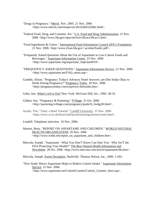- "Drugs in Pregnancy." Merck. Nov. 2005. 21 Nov. 2006 <http://www.merck.com/mmpe/sec18/ch260/ch260c.html>.
- "Federal Food, Drug, and Cosmetic Act." U.S. Food and Drug Administration. 21 Nov. 2006 <http://www.fda.gov/opacom/laws/fdcact/fdcact1.htm>.
- "Food Ingredients & Colors." International Food Information Council (IFIC) Foundation. 21 Nov. 2006 <http://www.cfsan.fda.gov/~acrobat/foodic.pdf>.
- "Frequently Asked Questions About the Use of Aspartame in Low-Calorie Foods and Beverages." Aspartame Information Center. 25 Nov. 2006 <http://www.aspartame.org/aspartame\_faq6.html#19>.
- "FREQUENTLY ASKED QUESTIONS." Aspartame Information Service. 21 Nov. 2006 <http://www.aspartame.net/FAQ\_menu.asp>.
- Gamble, Alison. "Pregnancy Today's Advisory Panel Answers: are Diet Sodas Okay to Drink During Pregnancy?" Pregnancy Today. 20 Nov. 2006 <http://pregnancytoday.com/experts/n-dietsodas.htm>.
- Gebo, Sue. What's Left to Eat? New York: McGraw-Hill, Inc., 1992. 28-33.
- Gilbert, Sue. "Pregnancy & Parenting." IVillage. 31 Oct. 2006 <http://parenting.ivillage.com/pregnancy/psafe/0,,3wdg,00.html>.
- Jacobs, Tim. "Taste: a Brief Tutorial." Cardiff University. 15 Nov. 2006 <http://www.cf.ac.uk/biosi/staff/jacob/teaching/sensory/taste.html>.
- Londell. Telephone interview. 16 Nov. 2006.
- Martini, Betty. "REPORT ON ASPARTAME AND CHILDREN." WORLD NATURAL HEALTH ORGANIZATION. 20 Nov. 2006 <http://www.wnho.net/report\_on\_aspartame\_and\_children.htm>.
- Mercola, Joseph. "Aspartame What You Don'T Know Can Hurt You Why Isn'T the FDA Protecting Your Health?" The Best Natural Health Information and Newsletter. 28 Oct. 2006 <http://www.mercola.com/article/aspartame/fda.htm>.

Mercola, Joseph. Sweet Deception. Nashville: Thomas Nelson, Inc., 2006. 1-202.

"New Study Shows Aspartame Helps to Reduce Calorie Intake." Aspartame Information Service. 25 Nov. 2006 <http://www.aspartame.net/CalorieCounter/Calorie\_Counter\_Intro.asp>.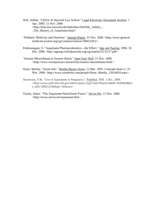- Null, Ashley. "LEDA At Harvard Law School." Legal Electronic Document Archive. 1 Apr. 2000. 15 Nov. 2006 <http://leda.law.harvard.edu/leda/data/244/Nill,\_Ashley\_- \_The\_History\_of\_Aspartame.html>.
- "Pediatric Medicine and Nutrition." Journal Watch. 25 Nov. 2006 <http://www.generalmedicine.jwatch.org/cgi/content/citation/1994/218/2>.
- Puthrasingam, S. "Aspartame Pharmacokinetics—the Effect." Age and Ageing. 1996. 10 Dec. 2006 <http://ageing.oxfordjournals.org/cgi/reprint/25/3/217.pdf>.
- "Senator Metzenbaum to Senator Hatch." Janet Starr Hull. 21 Nov. 2006 <http://www.sweetpoison.com/articles/senator-metzenbaum.html>.
- Stone, Martha. "Zoom Info." Martha Barnes Stone. 12 Mar. 1995. Colorado State U. 25 Nov. 2006 <http://www.zoominfo.com/people/Stone\_Martha\_15014454.aspx>.
- Sturtevant, F M. "Use of Aspartame in Pregnancy." PubMed. NIH. 1 Dec. 2006 <http://www.ncbi.nlm.nih.gov/entrez/query.fcgi?cmd=Retrieve&db=PubMed&lis t\_uids=2862125&dopt=Abstract>.
- Turner, James. "The Aspartame/NutraSweet Fiasco." Stevia.Net. 15 Nov. 2006 <http://www.stevia.net/aspartame.htm>.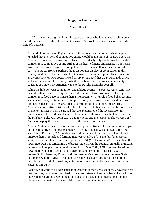#### **Hungry for Competition**

Maria Oberst

"Americans are big, fat, infantile, stupid assholes who love to shovel shit down their throats, and so to shovel more shit down one's throat than any other is to be truly king of America."

A friend of author Jason Fagone emailed this condemnation to him when Fagone revealed that the sport of competitive eating would be the topic of his new book. In America, competitive eating has exploded in popularity. By combining food with competition, competitive eating strikes at the heart of many Americans. Americans love food, and Americans love competition. Americans often wonder who is the best. The Super Bowl is perhaps the most popular display of competition in this country, and one of the most watched television events every year. Talk of who won an award show, or who voters kicked off *American Idol* that week surrounds office water coolers across the country. Whether the bout is a sporting event, a beauty pageant, or a state fair, America wants to know who triumphs over all.

While the link between competition and athletic events is expected, Americans have extended their competitive spirit to include the most basic sustenance. Through competition, food becomes more than a life necessity. The role of food changes into a source of rivalry, entertainment and pride. Why have Americans turned the basic life necessities of food preparation and consumption into competitions? This American competitive spirit has developed over time to become part of the American character. In fact, it may be argued that the exploration of the western frontier fundamentally fostered this character. Food competitions such as the Iowa State Fair, the Pillsbury Bake-Off, competitive eating events and the television show *Iron Chef America* display the competitive drive of the American character.

America's state fairs are one of the earliest representatives of food competition as part of the competitive American character. In 1811, Elkanah Watson created the first state fair in Pittsfield, MA. Watson wanted farmers and their wives to learn how to improve their livestock and farming methods (Hanley ix). State fair fever spread west, and the first Iowa State Fair opened in 1854 ("Its Beginnings"). Since then, the Iowa State Fair has turned into the biggest state fair in the country, annually attracting thousands of people from around the world. In May 2004, *USA Weekend* listed the Iowa State Fair as the second top choice for summer fun in America ("2000- Present"). Furthermore, Rogers and Hammerstein's musical about the Iowa State Fair opens with the lyrics, "Our state fair is the best state fair, don't miss it, don't even be late. It's dollars to doughnuts that our state fair, is the best state fair in our state!" (*State Fair*)

Each year, Iowans of all ages enter food contests at the fair to see if they have the best pies, cookies, canning or meat loaf. Divisions, prizes and entrants have changed over the years through the development of sponsorship, talent and interest, but the blue ribbons have remained the same. More people want to enter and win. Food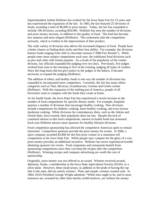Superintendent Arlette Hollister has worked for the Iowa State Fair for 23 years and has experienced the expansion of the fair. In 1983, the fair featured 25 divisions of foods, awarding a total of \$6,000 in prize money. Today, the fair has expanded to include 196 divisions, awarding \$56,000. Hollister has seen the number of divisions and prize money increase, in addition to the quality of food. The food has become less amateur and more elegant (Hollister). The contestants take the competition seriously, which is evident in the improvement of their product.

The wide variety of divisions also allows the increased elegance of food. People have a better chance at finding their niche and their best ability. For example, the divisions feature foods ranging from chili to chocolate mousse ("2006 Fair Results"). While people enter more unique competitions each year, the traditional food divisions such as pies and cakes still remain popular. As a result of the popularity of the cookie division, fair officials expanded the judging over two days. Previously, five judges worked from nine in the morning to five in the evening, judging all types of cookies. Since the long hours did not give justice to the judges or the bakers, it became necessary to expand the judging (Hollister).

The addition of ethnic and healthy foods is one way the number of divisions has expanded to incorporated more competitors. Currently, the fair has many ethnic categories such as Thai, Mexican, Scandinavian, German and Greek cuisine (Hollister). With the expansion of the melting pot of America, people of all diversities want to compete with the foods they create at home.

As for health foods, the Iowa State Fair has experienced a recent increase in the number of food competitions for specific dietary needs. For example, hospitals sponsor a number of divisions that encourage healthy cooking. New divisions include competitions for diabetic cooking, heart healthy cooking, and even lactose intolerant cooking. While divisions for contemporary diets, such as the Atkins and Ornish diets, have existed, their popularity does not last. Despite the lack of continual interest in diet food competitions, interest in health foods has remained. Each year Hollister attracts more sponsors for healthy lifestyle divisions.

Food competition sponsorship has allowed the competitive American spirit to remain interested. Competition sponsors provide the prize money for events. In 2006, a spice company awarded \$3,000 for the first prize winner in a cinnamon roll competition at the Iowa State Fair. While people may compete for the glory of a win, prize money provides an additional incentive. Hollister has never experienced trouble obtaining sponsors for events. Food companies and restaurants benefit from sponsoring competitions since they can keep the recipes after the competition (Hollister). Winning recipes and company advertising are worth the cost of sponsorship.

Originally, prize money was not offered as an award. Winners received awards, diplomas, books, a membership in the Iowa State Agricultural Society (ISAS), or a silver plate. However, these small prizes, in addition to the pride of having the top title in the state, did not satisfy winners. Plain and simple, winners wanted cash. In 1864, ISAS President George Wright admitted, "While men ought to be, and in most instances are, actuated by other than merely sordid motives, yet without the money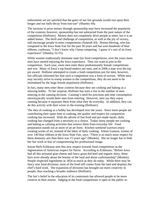inducement we are satisfied that the gates of our fair grounds would rust upon their hinges and our halls decay from non-use" (Shanley 64).

The increase in prize money through sponsorship may have increased the popularity of the contests; however, sponsorship has not subtracted from the pure nature of the competition (Hollister). Money does not completely drive people to enter, but it is an added bonus. The thrill and challenge of competition, as well as the joy of victory, still encourage people to enter competitions (Amendt 43). Norma Herring, who has competed in the Iowa State Fair for the past 30 years and has won hundreds of blue ribbons, confesses, "I don't know why I keep competing. I guess it's sort of an Iowa experience" (Shanley 52-55).

While women traditionally dominate state fair food competitions, over the years more men have started enjoying the Iowa experience. They too want to join in the competition. Each year, more men enter these predominantly female competitions and win. Many of Iowa's top bread-makers are men, and in 2006 a man won the top pie award. Hollister attempted to create a food competition just for men; however, fair officials informed her that such a competition was a form of sexism. While men may secretly strive to trump women in the competitions, they do not seem to be intimidated by the large female population (Hollister).

In fact, many men enter these contests because they see cooking and baking as a relaxing hobby. To her surprise, Hollister has seen a rise in the number of men entering in the canning division. Canning's need for precision and time consumption stereotypically would deter men from entering. However, men say they enjoy canning because it separates them from what they do everyday. In addition, they can do this activity with their wives in the evening (Hollister).

The idea of cooking as a hobby has developed over the years. Since more people are contributing their spare time to cooking, the quality and respect for competitive cooking has increased. With the advent of fast food and pre-made meals, daily cooking has changed from a necessity to a choice. Today many people see cooking and baking as calming activities that remove them from everyday life. Food preparation stands out as more of an art form. Kitchen weekend warriors enjoy creating works of art, instead of the labor of daily cooking. Eileen Gannon, winner of over 140 blue ribbons at the Iowa State Fair, says, "There is so much more respect for these domestic arts than there was 15 years ago" (Moskin). She no longer has to hide her fair work in fear of compromising her professional image.

Iowan Herb Eckhouse sees this new respect towards food competitions as the regeneration of American respect for flavor. According to Eckhouse, "Before Iowa had all this artisanal goat cheese and fancy grass-fed beef and organic dairy, these fairs were already about the bounty of the land and about craftsmanship" (Moskin). People respected ingredients in 1854 as much as they do today. While there may be fancy new food divisions, most of the food still comes from the land and displays the chef's hard work. The expansion of divisions has brought out more creativity in people, thus reaching a broader audience (Hollister).

The fair's belief in the education of its contestants has allowed people to be more creative in their entries. Judging in the food competitions is open to the public so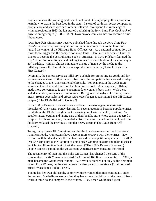people can learn the winning qualities of each food. Open judging allows people to learn how to create the best food in the state. Instead of cutthroat, secret competition, people learn and share with each other (Hollister). To expand the knowledge of winning recipes, in 1983 the fair started publishing the *Iowa State Fair Cookbook* of prize-winning recipes ("1980-1989"). Now anyone can learn how to become a blueribbon cook.

Iowa State Fair winners may receive published fame through the *Iowa State Fair Cookbook*; however, this recognition is minimal in comparison to the fame and reward the winner of the Pillsbury Bake-Off receives. As a national competition, the rewards are bigger and the competition more tense. Here, men and women have the chance to become the best Pillsbury cook in America. In 1949 Pillsbury featured the first "Grand National Recipe and Baking Contest" as a celebration of the company's  $80<sup>th</sup>$  birthday. With an almost immediate change of name by the media to the Pillsbury Bake-Off Contest, the event exploded in popularity ("How It Began: the First Contest").

Originally, the contest served as Pillsbury's vehicle for promoting its goods and for housewives to show off their talent. Over time, the competition has evolved to adapt to the changes of the American female lifestyle. For example, in the 1960s more women entered the workforce and had less time to cook. As a response, Pillsbury made more convenience foods to accommodate women's busy lives. With these added amenities, women saved more time. Refrigerated doughs, cake mixes, canned meats, frozen vegetables and processed cheeses began appearing in Bake-Off Contest recipes ("The 1960s Bake-Off Contest").

In the 1980s, Bake-Off Contest entries reflected the extravagant, materialistic lifestyles of Americans. Fancy desserts for special occasions became popular entries. In addition, the 1980s brought about a growing emphasis on healthy cooking. As people started jogging and taking care of their health, more whole grains appeared in recipes. Furthermore, many main dish entries substituted chicken for beef, and lowfat dairy replaced the previously popular heavy cream ("The 1980s Bake-Off Contest").

Today, many Bake-Off Contest entries blur the lines between ethnic and traditional American foods. Contestants have become more creative with their entries. New cuisines with bold and spicy flavors have kicked the competition up a notch. In 2002, Denise Yennie broke the tradition of grand prize-winning desserts and main dishes as her Chicken Florentine Panini took the crown ("The 2000s Bake-Off Contest"). People can eat a panini on the go, as many Americans now consume their food.

The recent entry of men into the Bake-Off Contest has changed the scene of the competition. In 2002, men accounted for 11 out of 100 finalists (Yennie). In 1996, a male became the Grand Prize Winner. Kurt Wait succeeded not only as the first male Grand Prize Winner, but he also became the first person to receive a \$1 million cash prize ("Macadamia Fudge Torte").

Yennie has her own philosophy as to why more women than men continually enter the contest. She believes women feel they have more flexibility to take time off from work to travel to and compete in the contest. Also, a man would need great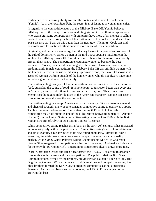confidence in his cooking ability to enter the contest and believe he could win (Yennie). As in the Iowa State Fair, the secret fear of losing to a woman may exist.

In regards to the competitive nature of the Pillsbury Bake-Off, Yennie believes Pillsbury started the competition as a marketing gimmick. She thinks corporations who create big-name competitions with big prizes have more of an interest in selling product than in discovering the best talent. At smaller chili cook-offs and state fairs exists a sense of, "I can do this better than the next guy" (Yennie). Cook-offs and bake-offs with less national attention have more sense of true competition.

Originally, and perhaps even today, the Pillsbury Bake-Off appeared as promoter of the cult of domesticity. Since women in the mid-1900s spent so much time in the kitchen, the Pillsbury Bake-Off Contest became a chance for them to competitively present their talent. The competition encouraged women to become the best housewife. Today, the contest has changed with the role of women; however, as a predominantly female competition, the Pillsbury Bake-Off can still link women with the kitchen. Yet with the use of Pillsbury's pre-made food, the Bake-Off shows it has accepted women working outside of the home, women who do not always have time to make a gourmet dinner for the family.

Competitive eating is a type of food competition that does not involve the creation of food, but rather the eating of food. It is not enough to just cook better than everyone in America; some people attempt to eat faster than everyone. This competition exemplifies the rugged individualism of the American character. No one can assist a competitor as he or she eats the way to the top.

Competitive eating has swept America with its popularity. Since it involves mental and physical strength, many people consider competitive eating to qualify as a sport. The International Federation of Competitive Eating (I.F.O.C.E.) claims the competition may hold status as one of the oldest sports known to humanity ("About > History"). In the United States competitive eating dates back to 1916 with the first Nathan's Fourth of July Hot Dog Eating Contest (Rizzetta).

While competitive eating reaches as far back as the early  $20<sup>th</sup>$  century, it has increased in popularity only within the past decade. Competitive eating's mix of entertainment and athletic ability have attributed to its new found popularity. Similar to World Wrestling Entertainment competitors, each competitive eater has a personality to market. At the 2006 World Pelmeni Eating Championship I.F.O.C.E Chairman George Shea suggested to competitors as they took the stage, "And make a little show for the crowd!" (O'Connor 18). Entertaining competitors always draws more fans.

In 1997, brothers George and Rich Shea formed the I.F.O.C.E. as a way to organize competitive eating events and their competitors. The public relations firm Shea Communications, owned by the brothers, previously ran Nathan's Fourth of July Hot Dog Eating Contest. With experience in public relations and competitive eating, the Shea brothers formed the I.F.O.C.E. to organize competitive eating's increasing demands. As the sport becomes more popular, the I.F.O.C.E must adjust to the growing fan base.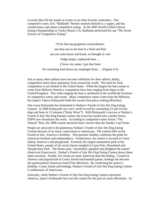Crowds often fill the stands at events to see their favorite contenders. One competitive eater, Eric "Badlands" Booker markets himself as a rapper, and has created many raps about competitive eating. At the 2005 World Grilled Cheese Eating Championship in Venice Beach, CA, Badlands performed his rap "The Sweet Science of Competitive Eating":

> I'll be that top gurgitator extraordinaire, one that eats to the beat in a flash and flair eat you outta house and home, no thought or care fridge empty, cupboards bare … y'know my name, I got that fame for cramming food down my esophagal drain … (Fagone 4-5)

Just as many other athletes have become celebrities for their athletic ability, competitive eaters draw popularity from around the world. The need for food competition is not limited to the United States. While the largest fan base seems to come from Midwest America, competitors have fans ranging from Japan to the United Kingdom. This wide-ranging fan base is attributed to the worldwide locations of competitive eaters and events. Many competitive eaters come from the Midwest, but Japan's Takeru Kobayashi holds the current first-place ranking (Rizzetta).

One event Kobayashi has dominated is Nathan's Fourth of July Hot Dog Eating Contest. In 2006 Kobayashi set a new world record by consuming 53 and 3/4 hot dogs and buns in 12 minutes ("Koby Wins!"). With Kobayashi's success at Nathan's Fourth of July Hot Dog Eating Contest, the event has turned into a media frenzy. ESPN now broadcasts the event. According to competitive eater Arturo "The Natural" Rios, the 2006 contest attracted more viewers than the Stanley Cup Finals.

People are attracted to the gluttonous Nathan's Fourth of July Hot Dog Eating Contest because of its many connections to Americana. The contest falls on the Fourth of July, America's birthday. This patriotic holiday celebrates the pride for American freedom and independence. Furthermore, the contest is located at Coney Island, America's old playground. Formerly the largest amusement park in the United States, people of all social classes mingled at Luna Park, Dreamland and Steeplechase Park. The theme park, "astonished, appalled and delighted the nation" (*American Experience*). Nathan's Fourth of July Hot Dog Eating Contest draws these same reactions. Finally, few foods are more American than the hotdog. Created in America and popularized at Coney Island and baseball games, hotdogs has become the quintessential American food (*Time Machine*). By combining the nation's birthday, Coney Island and hotdogs, Nathan's Fourth of July Hot Dog Eating Contest is emblematic of Americana.

Ironically, while Nathan's Fourth of July Hot Dog Eating Contest represents America, Japan's Kobayashi has won the contest for the past six years (Rizzetta). As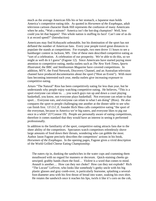much as the average American fills his or her stomach, a Japanese man holds America's competitive eating title. As quoted in *Horsemen of the Esophagus*, adult television cartoon character Hank Hill represents the confusion of many Americans when he asks, "Wait a minute? America isn't the hot-dog champion? Well, how could you let that happen? This whole nation is stuffing its face! Can't one of us do it at record speed?" (Introduction)

Americans may find Kobayashi unbeatable, but his domination of the sport has not deflated the number of American fans. Every year people travel great distances to populate the stands at competitions. For example, two men drove 11 hours to see a hamburger contest in Jackson, MS. One of these men described competitive eating as "sort of a celebration. A celebration of our prosperity. We're able to do this, so we might as well do it I guess" (Fagone 12). Since Americans have started paying more attention to competitive eating, media outlets such as *The New York Times*, *Sports Illustrated*, the BBC and *Smithsonian Magazine* have covered competitions. In addition, MTV, the Food Network, Discovery Channel, and an Australian television channel have produced documentaries about the sport ("Host an Event"). With more fans becoming interested each year, media outlets give increasing exposure to competitive eating.

Arturo "The Natural" Rios has been competitively eating for less than year, but he understands why people enjoy watching competitive eating. He believes, "This is a sport everyone can relate to. …you watch guys run up and down a court playing basketball, you know, not everyone plays basketball. Not everyone can relate to that sport... Everyone eats, and everyone can relate to what I am doing" (Rios). He also compares the sport to people challenging one another at the dinner table to see who can finish first. I.F.O.C.E. founder Rich Shea calls competitive eating "the sport of the everyman, because in America we're big eaters, and everyone likes to pig out once in a while" (O'Connor 19). People are personally aware of eating competitions, therefore it comes standard that they would have an interest in seeing it performed professionally.

In addition to the familiarity of the sport, competitive eating attracts fans due to the sheer ability of the competitors. Spectators watch competitors relentlessly shove large amounts of food down their throats, wondering who can gobble the most. Author Jason Fagone precisely describes the competitors' actions in his book, *Horsemen of the Esophagus*. In the opening pages, Fagone gives a vivid description of the World Grilled Cheese Eating Championship:

The eaters rip in, dunking the sandwiches in the water cups and cramming them mouthward with no regard for manners or decorum. Quick-staining cheeks go unwiped; grabby hands churn the food… *Violent* is a word that comes to mind. *Assault* is another… How can they not choke? How can they not explode? Rich "The Locust" LeFevre, who looks like somebody's geeky uncle with his big plastic glasses and gray comb-over, is particularly fearsome, splashing a severalfoot-diameter area with his first thrust of bread into water, soaking his own shirt. He rotates the sandwich once it reaches his lips, twirls it like it's corn on the cob,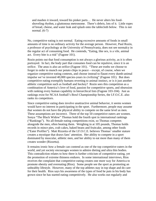and mashes it inward, toward his pinker parts… He never alters his foodshoveling rhythm, a gluttonous metronome. There's debris, lots of it. Little ropes of bread, cheese, and water leak and splash onto the tablecloth below. This is not normal. (6-7)

No, competitive eating is not normal. Eating excessive amounts of foods in small amounts of time is no ordinary activity for the average person. However, Paul Rozin, a professor of psychology at the University of Pennsylvania, does not see normalcy in the regular act of consuming food. He contends, "Eating, like sex, is a vile, animal act. Every bite is a risk" (Fagone 101).

Rozin points out that food consumption is not always a glorious activity, as it is often portrayed. In fact, the body part that consumes food can be repulsive, since it is an orifice. The anus is also an orifice (Fagone 101). "These are truths we choose to forget in order to munch our potato chips in peace – except, of course, when we organize competitive eating contests, and choose instead to flaunt every dumb-animal impulse we've invested 40,000 species-years in civilizing" (Fagone 101). But does competitive eating exemplify humans reverting to animal instinct, or is it just another athletic competition such as football and hockey? Rozin sees this competition as a combination of America's love of food, passion for competitive sports, and obsession with ranking every human capability in hierarchical lists (Fagone 103-104). Just as rankings exist for NCAA football's Bowl Championship Series, the I.F.O.C.E. also ranks its competitors.

Since competitive eating does involve unattractive animal behavior, it seems women would have no interest in participating in the sport. Furthermore, people may assume that women do not have the physical ability to compete on the same level as men. These assumptions are incorrect. Three of the top 50 competitive eaters are women. Sonya "The Black Widow" Thomas hold the fourth spot in international rankings ("Rankings"). No all-female eating competitions exist, so Thomas competes alongside the men, often beating them. Weighing in at 105 pounds, Thomas holds records in mince pies, crab cakes, baked beans and fruitcake, among other foods ("Eater Profiles"). Matt Rizzetta of the I.F.O.C.E. believes Thomas' smaller stature creates a mystique that draws fans' attention. Her ability to compete in a sport dominated by muscular, athletic men, and her ability to eat more than many of them creates wonder (Rizzetta).

It remains ironic how a female can contend as one of the top competitive eaters in the world, and yet society encourages women to admire dieting and ultra thin bodies. This contradiction relates to how there is further criticism of competitive eating, yet the promotion of extreme thinness endures. In some international interviews, Rios receives the complaint that competitive eating creates one more way for America to promote obesity and overeating (Rios). Some people see the sport as promoting an unhealthy lifestyle. However, many of the top athletes stay in top shape and do care for their health. Rios says his awareness of the types of food he puts in his body has grown since he has started eating competitively. He also works out regularly and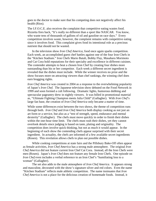goes to the doctor to make sure that his competing does not negatively affect his health (Rios).

The I.F.O.C.E. also receives the complaint that competitive eating wastes food. Rizzetta fires back, "It's really no different than a sport like NASCAR. You know, who waste tens of thousands of gallons of oil and gasoline on race days." Every competition involves waste, however, the complaint remains with competitive eating since it involves food. This complaint gives food its intentional role as a precious nutrient that should not be wasted.

 In the television show *Iron Chef America*, food once again sparks competition. Each week, an accomplished guest chef battles against one of the four Iron Chefs in the "Kitchen Stadium." Iron Chefs Mario Batali, Bobby Flay, Masaharu Morimoto and Cat Cora hold reputations for their specialty and excellence in different cuisines. The contender attempts to beat a chosen Iron Chef by creating four dishes more outstanding than his or her competitor. Each week a different secret ingredient is revealed that the dishes must include. While the winner receives no prize and the show focuses more on attracting viewers than chef rankings, the winning chef does earn bragging rights.

*Iron Chef America* was created in 2004 as a response to the overwhelming popularity of Japan's *Iron Chef*. The Japanese television show debuted on the Food Network in 1999 and soon formed a cult following. Dramatic lights, humorous dubbing and spectacular pageantry drew in nightly viewers. It was billed in promotional material as, "Ultimate Fighting Champion meets Julia Child" (Gallagher). With *Iron Chef*'s large fan base, the creation of *Iron Chef America* only became a matter of time.

While some differences exist between the two shows, the theme of competition runs through both. *Iron Chef* and *Iron Chef America* both display cooking as not just an art form or a service, but also as a "test of strength, speed, endurance and mental dexterity" (Gallagher). The chefs must move quickly in order to finish their dishes within the one-hour time limit. The chefs must rush their dishes, yet they cannot overlook details since judging is based on taste, plating and originality. The competition does involve quick thinking, but not as much it would appear. In the beginning of each show the contending chefs appear surprised with their secret ingredient. In actuality, the chefs are informed of a few available secret ingredients (Rosen). This revelation allows chefs to plan out possible dishes.

While cooking competitions at state fairs and the Pillsbury Bake-Off often appear as female activities, *Iron Chef America* has a strong male atmosphere. The original *Iron Chef America* did not feature current Iron Chef Cat Cora. Instead, all the Iron Chefs were men (Rosen). Japan's *Iron Chef* does not feature any female Iron Chefs. One episode on *Iron Chef* even includes a verbal reference to an Iron Chef's "humiliating loss to a woman" (Gallagher).

The set also adds to the male atmosphere of *Iron Chef America*. It appears strong and masculine, decorated with the show's signature silver and red colors. Even the name "Kitchen Stadium" reflects male athletic competition. The name insinuates that *Iron Chef America* is not a place for the delicious creation of homemade foods. Instead, it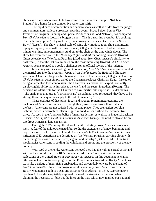abides as a place where two chefs have come to see who can triumph. "Kitchen Stadium" is a home for the competitive American spirit.

The rapid pace of competition and camera shots, as well as asides from the judges and commentators, reflect a broadcast sporting event. Bruce Seidel, Senior Vice President of Program Planning and Special Productions at Food Network, has compared *Iron Chef America* to football's biggest game. "This is a sporting event but it's cooking. That's the concept we're trying to sell, that cooking can be a spectacle a la the Super Bowl" (Rosen). The show's visual style of using slow motion, zoom shots and instant replay are synonymous with sporting events (Gallagher). Similar to football's twominute warning, announcements sound out to the chefs as the time winds down. The show has even been called the "*Monday Night Football* for cooking fanatics" (Rosen). Guest celebrity chef Wolfgang Puck has joked about *Iron Chef America*'s similarity to basketball, in that the last five minutes are the most interesting (Rosen). All *Iron Chef America* seems to need is a cook's challenge for an official review of the judging.

In keeping with its sporting event connection, *Iron Chef America* has incorporated the martial arts into the program. Japan's *Iron Chef* features the fictional billionaire gourmand Chairman Kaga as the charismatic master of ceremonies (Gallagher). On *Iron Chef America*, an actor simply called the Chairman replaces Chairman Kaga. Instead of being an eccentric food connoisseur, the Chairman is a martial arts expert, brilliantly displaying his ability as he introduces the chefs and the secret ingredient (Rosen). The decision was deliberate for the Chairman to have martial arts expertise. Seidel claims, "The analogy is that just as [martial arts are] disciplined, they're focused, they have to be strong, those same qualities apply to the art of cuisine" (Rosen).

These qualities of discipline, focus and strength remain integrated into the backbone of American character. Through them, Americans have often contended to be the best. Americans are not satisfied with second place. They are restless for blue ribbons, crowns and trophies. Their rugged individualism furthers their competitive drive. As seen in the American belief of manifest destiny, as well as in Frederick Jackson Turner's *The Significance of the Frontier in American History*, the need to always be on top drove American land expansion.

During the  $19<sup>th</sup>$  century, the idea of manifest destiny drove Americans to spread west. A fear of the unknown existed, but so did the excitement of a new beginning and hope for more. In J. Hector St. John de Crèvecoeur's *Letter From an American Farmer*  written in 1782, Americans are described as "the Western pilgrims, carrying along with them that great mass of arts, sciences, vigour, and industry" (Baldwin 86). These traits would assist Americans in settling the wild land and promoting the prosperity of the new country.

With God at their side, Americans believed they had the right to spread as far and wide as they could reach. In 1835, Frenchman Alexis de Tocqueville wrote his reflections of the United States in *Democracy in America*. In this document he claims "the gradual and continuous progress of the European race toward the Rocky Mountains … is like a deluge of men, rising unabatedly, and driven daily onward by the hand of God" (Baldwin 86). American progress would eventually drive Americans over the Rocky Mountains, south to Texas and as far north as Alaska. In 1845, Representative Stephen A. Douglas exquisitely captured the need for American expansion when claiming the necessity to "blot out the lines on the map which now marked our national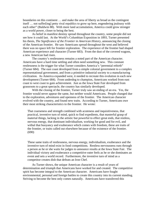boundaries on this continent … and make the area of liberty as broad as the contingent itself … not suffer[ing] petty rival republics to grow up here, engendering jealousy with each other" (Baldwin 88). With more land accumulation, America could grow stronger as a world power, closer to being the best.

As belief in manifest destiny spread throughout the country, some people did not see how it could last. At the World's Columbian Exposition in 1893, Turner presented his thesis, *The Significance of the Frontier in American History*, announcing the closing of the American frontier. He saw Americans spread throughout the west and believed there was no space left for frontier exploration. The experience of the frontier had shaped American experience and character (Turner 683). From the dust of the covered wagons, a new American had risen.

The country's restlessness remains a noted part of the American character. Americans have a hard time settling and often need something new. This constant restlessness is the trigger for what Turner considers America's "perennial rebirth" (Turner 684). The east coast developed from a simple colonial government to a complex representational government, and from a primitive industrial society to a manufacturing civilization. As America expanded west, it needed to recreate this evolution in each new development (Turner 684). From underdog to champion, Americans worked from east coast to west coast to gain achievement. Just as the Iowa State Fair developed from grassroots to a great spectacle, the country has similarly developed.

With the closing of the frontier, Turner truly saw an ending of an era. Yes, the frontier would never appear the same, but neither would Americans. People changed due to the exploration, adventures and openness of the frontier. The American character evolved with the country, and found new traits. According to Turner, Americans owe their most striking characteristics to the frontier. He wrote:

That coarseness and strength combined with acuteness and inquisitiveness, that practical, inventive turn of mind, quick to find expedients, that masterful grasp of material things, lacking in the artistic but powerful to effect great ends, that restless, nervous energy, that dominant individualism, working for good and for evil, and withal that buoyancy and exuberance which comes with freedom, these are traits of the frontier, or traits called out elsewhere because of the existence of the frontier. (690)

These same traits of restlessness, nervous energy, individualism, exuberance and the inventive turn of mind exist in food competitions. Restless nervousness runs through a person as he or she waits for judges to announce results at the Iowa State Fair. The individual victory and exuberance a competitive eater feels as he or she dominates an event and sets a world record. Furthermore, the inventive turn of mind as a competitor creates dish that defeats an Iron Chef.

As Turner shows, the unique American character is a result of years of determination and triumph that Americans have worked for and created. The competitive spirit has become integral to the American character. Americans have fought environmental, personal and foreign battles to create this country into its current standing. Striving to become the best only comes naturally. Americans have transferred this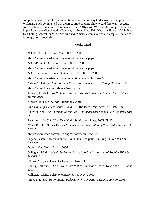competitive nature into food competitions in one more way to discover a champion. Chef Wolfgang Puck commented that a competitive cooking show would fare well "because America loves competition. We love a winner" (Rosen). Whether the competition is the Super Bowl, the Miss America Pageant, the Iowa State Fair, Nathan's Fourth of July Hot Dog Eating Contest, or *Iron Chef America*, America wants to find a champion. America is hungry for competition.

### **Works Cited**

"1980-1989." *Iowa State Fair*. 30 Nov. 2006

<http://www.iowastatefair.org/about/historical12.php>.

"2000-Present." *Iowa State Fair*. 30 Nov. 2006

<http://www.iowastatefair.org/about/historical14.php>.

"2006 Fair Results." *Iowa State Fair*. 2006. 30 Nov. 2006

<http://www.iowastatefair.org/competition/results.php?cat=5>.

"About > History." *International Federation of Competitive Eating*. 30 Nov. 2006

<http://www.ifoce.com/about-history.php>.

Amendt, Linda J. *Blue Ribbon Preserves: Secrets to Award-Winning Jams, Jellies, Marmalades* 

*& More*. 1st ed. New York: HPBooks, 2001.

*American Experience: Coney Island*. Dir. Ric Burns. Videocassette. PBS, 1991.

Baldwin, Neil. *The American Revelation: Ten Ideals That Shaped Our Country From the* 

*Puritans to the Cold War*. New York: St. Martin's Press, 2005. 79-97.

"Eater Profiles: Sonya Thomas." *International Federation of Competitive Eating*. 29 Nov. 2

<http://www.ifoce.com/eaters.php?action=detail&sn=20>.

Fagone, Jason. *Horsemen of the Esophagus: Competitive Eating and the Big Fat American* 

*Dream*. New York: Crown, 2006.

Gallagher, Mark. "What's So Funny About Iron Chef?" *Journal of Popular Film & Television* 31

(2004). ProQuest. Connelly Library. 9 Nov. 2006.

Hanley, Catherine. *The All-New Blue Ribbon Cookbook*. 1st ed. New York: HPBooks, 1997.

Hollister, Arlette. Telephone interview. 30 Nov. 2006.

"Host an Event." *International Federation of Competitive Eating*. 29 Nov. 2006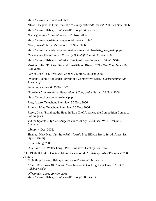<http://www.ifoce.com/host.php>.

"How It Began: the First Contest." *Pillsbury Bake-Off Contest*. 2006. 29 Nov. 2006

<http://www.pillsbury.com/bakeoff/history/1949.aspx>.

"Its Beginnings." *Iowa State Fair*. 29 Nov. 2006

<http://www.iowastatefair.org/about/historical1.php>.

"Koby Wins!" *Nathan's Famous*. 30 Nov. 2006

<http://www.nathansfamous.com/nathans/news/htmls/whats\_new\_main.php>.

"Macadamia Fudge Torte." *Pillsbury Bake-Off Contest*. 30 Nov. 2006

<http://www.pillsbury.com/Bakeoff/recipes/ShowRecipe.aspx?rid=10956>.

Moskin, Julia. "Pickles, Pies and Blue-Ribbon Biscotti." *The New York Times* 16 Aug. 2006,

Late ed., sec. F: 1. *ProQuest*. Connelly Library. 28 Sept. 2006.

O'Connor, John. "Badlands: Portrait of a Competitive Eater." *Gastronomica: the Journal of* 

*Food and Culture* 6 (2006): 16-23.

"Rankings." *International Federation of Competitive Eating*. 29 Nov. 2006

<http://www.ifoce.com/rankings.php>.

Rios, Arturo. Telephone interview. 30 Nov. 2006.

Rizzetta, Matt. Telephone interview. 30 Nov. 2006.

Rosen, Lisa. "Standing the Heat; in 'Iron Chef America,' the Competition Comes to Los Angeles,

and the Spatulas Fly." *Los Angeles Times* 20 Apr. 2004, sec. W: 1. *ProQuest*. Connelly

Library. 4 Dec. 2006.

Shanley, Mary Kay. *Our State Fair: Iowa's Blue Ribbon Story*. 1st ed. Ames, IA: Sigler Printing

& Publishing, 2000.

*State Fair*. Dir. Walter Lang. DVD. Twentieth Century Fox, 1945.

"The 1960s Bake-Off Contest: Mom Goes to Work." *Pillsbury Bake-Off Contest*. 2006. 29 Nov.

2006 <http://www.pillsbury.com/bakeoff/history/1960s.aspx>.

"The 1980s Bake-Off Contest: More Interest in Cooking, Less Time to Cook." *Pillsbury Bake-*

*Off Contest*. 2006. 29 Nov. 2006 <http://www.pillsbury.com/bakeoff/history/1980s.aspx>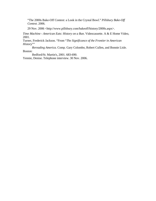"The 2000s Bake-Off Contest: a Look in the Crystal Bowl." *Pillsbury Bake-Off Contest*. 2006.

29 Nov. 2006 <http://www.pillsbury.com/bakeoff/history/2000s.aspx>.

*Time Machine - American Eats: History on a Bun*. Videocassette. A & E Home Video, 2001.

Turner, Frederick Jackson. "From "*The Significance of the Frontier in American History*""

*Rereading America*. Comp. Gary Colombo, Robert Cullen, and Bonnie Lisle. Boston:

Bedford/St. Martin's, 2001. 683-690.

Yennie, Denise. Telephone interview. 30 Nov. 2006.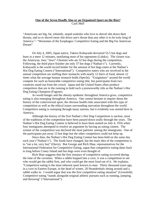# **One of the Seven Deadly Sins or an Organized Sport on the Rise?** Carli Mell

"Americans are big, fat, infantile, stupid assholes who love to shovel shit down their throats, and so to shovel more shit down one's throat than any other is to be truly king of America."- "Horsemen of the Esophagus: Competitive Eating and the Big Fat American Dream"

 On July 4, 2005, Japan native, Takeru Kobayashi devoured 53.5 hot dogs and buns in a mere 12 minutes, mutilating most of his opponents (Lidsky). The closest was the American, Joey "Jaws" Chestnut who ate 52 hot dogs during the competition. Following, the third place finisher ate only 37 hot dogs ("Nathan's"). Currently, Kobayashi is the world record holder for the amount of hot dogs eaten at the Nathan's Hot Dog Eating Contest ("International"). Competitive eaters who are involved in the annual competition are stuffing their stomachs with nearly 12 liters of food, almost 12 times what the average human stomach holds (Specht). "Gurgitators" around the world compete for such an honorable competitive eating title, but participants from two countries stand out from the crowd. Japan and the United States often produce competitors that are in the running to hold such a praiseworthy title as the Nathan's Hot Dog Eating Champion (Fagone).

 As world hunger and the obesity epidemic throughout America grow, competitive eating is also emerging throughout America. One cannot hesitate to inquire about the history of the controversial sport, the obvious health risks associated with this type of competition as well as the ethical issues surrounding starvation throughout the world. Competitive eating is sweeping through many nations, but it evidently was started here in America.

 Although the history of the first Nathan's Hot Dog Competition is unclear, most of the traditions of the competition have been passed down orally through the years. The Nathan's Hot Dog Eating Contest is believed to have been started on July 4, 1916 when four immigrants attempted to resolve an argument by having an eating contest. The winner of the competition was declared the most patriotic among the immigrants. One of the participants put away 13 hot dogs but the other competitors could not keep up.

 Since then, the Nathan's Hot Dog Eating Contest has been held on the same day each year ("Nathan's"). The foods have changed, but the main idea of the competition is to "eat a lot, very fast" (Davis). But George and Rich Shae, representatives for the International Federation for Competitive Eating, argue that competitive eating dates back to long before Coney Island and hot dogs were even thought of.

 Rich Shae suggests that the first instance of competitive eating occurred during the time of the cavemen. When a rabbit hopped into a cave, it was a competition to see who would get the rabbit first, and who could get the most food out of it. He explains, "Competitive eating is the most inherent sport known to man.Thirty thousand years ago, in a cave in Eastern Europe, in the dead of winter, 20 Neanderthals sitting around and a rabbit walks in. I would argue that was the first competitive eating situation" (Grossfeld). Competitive eating "stands alongside original athletic pursuits such as running, jumping, and throwing" ("International").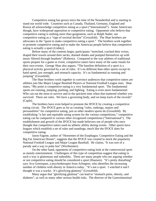Competitive eating has grown since the time of the Neanderthal and is starting to stand out world wide. Countries such as Canada, Thailand, Germany, England and Russia all acknowledge competitive eating as a sport ("International"). Some Americans though, have widespread opposition to competitive eating. Opponents who believe that competitive eating is nothing more than gurgitation, such as Ralph Nader, see competitive eating as a "sign of societal decline" (Grossfeld). The Shae brothers are advocates in the "quest to make competitive eating a sport." The brothers work together to promote competitive eating and to make the American people believe that competitive eating is actually a sport (Lidsky).

 Before many of the contests begin, participants "stretched, cracked their wrists, draped their towels around their necks, donned shades and pumped themselves up with music filtered through headsets" (Roberts). Compared to the way athletes of traditional sports prepare for a game or event, competitive eaters have many of the same rituals for their own events. George Shae also argues, "The baseline definition of a sport is a physical activity governed by a set of rules. It's no different than other sports except its hand speed, jaw strength, and stomach capacity. It's as fundamental as running and jumping" (Grossfeld).

 The Shae brothers work together to convince audiences that competitive eaters are athletes just like Major League Baseball Players or National Football League stars. Shae states, "My point is competitive eating is a very fundamental sport. The fundamental sports are running, jumping, pushing, and fighting. Eating is even more fundamental: Who can eat the most to survive and in the quickest time when that mattered whether you survived. There are rules. We have a governing body, and we keep track of the records" (Caple).

 The brothers have even helped to promote the IFOCE by creating a competitive eating circuit. The IFOCE goes as far as creating "rules, rankings, majors and personalities" for competitive eating, just as other modern sports do (Grossfeld). By establishing "a fair and equitable rating system for the various competitions," competitive eating can be compared to various other recognized competitions ("International"). The establishment and growth of the IFOCE has made believers out of people who once thought that competitive eaters used no athletic ability during events. Other sports have leagues which establish a set of rules and standings; much like the IFOCE does for competitive eating.

 Jason Fagone, author of "Horsemen of the Esophagus: Competitive Eating and the Big Fat American Dream", suggests that the IFOCE was created to mock the popularity National Football League and Major League Baseball. He claims, "It was sort of a parody and a way to poke fun" (Wertheimer).

 On the other hand, opponents of competitive eating look at the controversial sport as mainly entertainment. Challengers of this type of competition suggest that eating in such a way is gluttonous and unhealthy. There are many people who are arguing whether or not competitive eating should be considered a sport (Haaisen). "It's pretty disturbing" says Ava Greenspun, a psychotherapist from Arlington, who identifies the increasing number of children with obesity in America today. "It's not a sport. I watched it and I thought it was a wacko. It's glorifying gluttony" (Grossfeld).

 Many argue that "glorifying gluttony" can lead to "stomach pains, obesity, and diabetes", as well as many other serious health risks. The director of the Gastrointestinal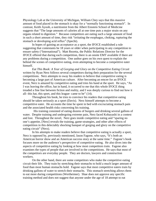Physiology Lab at the University of Michigan, William Chey says that this massive amount of food placed in the stomach is okay for a "normally functioning stomach". In contrast, Keith Ayoob, a nutritionist from the Albert Einstein School of Medicine suggests that "The large amounts of calories all at one time puts a major strain on any organs related to digestion." Because competitors are eating such a large amount of food in such a short amount of time, they risk "irritating the esophagus, choking, rupturing the stomach or developing acid reflux" (Specht).

 In hopes of gaining an acceptance as a sport, the IFOCE established a rule suggesting that contestants be 18 years or older when participating in any competition to ensure safety ("International"). Matt Rezetta, the Public Relations Director for the IFOCE offered that during each competition, there is an onsite EMT available if there are any problems during a competition. One author goes on his own quest to explain the behind the scenes of competitive eating, even attempting to become a competitive eater himself.

*Eat This Book: A Year of Gorging and Glory on the Competitive Eating Circuit*  written by Ryan Nerz follows several competitors during their preparation for the several competitions. Nerz attempts to sway his readers to believe that competitive eating is becoming a large part of American culture. After becoming an emcee for an IFOCE event, Nerz is amazed by competitive eating and tries his hand at the sport. He says, "As I was leaving the office, hat in hand, it occurred to me that this whole IFOCE thing treaded a fine line between fiction and reality, and I was deeply curious to find out how it all- this hat, this sport, and this league- came to be" (14).

 Throughout his book, he tries to convince his readers that competitive eating should be taken seriously as a sport (Davis). Nerz himself attempts to become a competitive eater. He accounts the time he spent in bed with excruciating stomach pain and the associated health risks concerning his training.

 His training consisted of eating dozens of burgers and drinking several gallons of water. Despite training and undergoing extreme pain, Nerz faced Kobayashi in a contest and lost. Throughout the novel, Nerz goes inside competitive eating and "sparing no one's appetite, [Nerz] reveals the training, game-strategies, and other after effects of competition in this delectably shocking banquet of gorging and glory on the competitive eating circuit" (Nerz).

 In his attempts to make readers believe that competitive eating is actually a sport, Nerz is opposed by, previously mentioned, Jason Fagone, who says, "It's both an American horror show and an American success story at the same time." Fagone's book focuses more on the audience's perspective of competitive eating. He also dives into the aspects of competitive eating by looking at how most competitors train. Fagone also examines the types of people that are involved in the competitions. He says that most of the competitors are everyday people. They are doctors, lawyers and construction workers.

 On the other hand, there are some competitors who make the competitive eating circuit their life. They train by stretching their stomachs to hold a much larger amount of food than most human stomachs hold. Fagone says that most competitive eaters train by drinking gallons of water to stretch their stomachs. This stomach stretching allows them to eat more during competitions (Wertheimer). Shae does not approve any specific training method and does not suggest that anyone under the age of 18 attempt to eat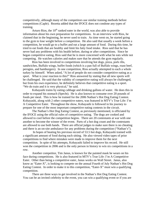competitively, although many of the competitors use similar training methods before competitions (Caple). Rezetta added that the IFOCE does not condone any types of training.

Arturo Rios, the  $10<sup>th</sup>$  ranked eater in the world, was also able to provide information about his own preparation for competitions. In an interview with Rios, he claimed that in the beginning, he never used to train. As time went on, he started going to the gym to lose weight before a competition. He also said that usually a week before a competition, he would go to a buffet and eat a large amount of food. During this time, he tried to eat foods that are healthy and limit his fatty food intake. Rios said that he has never had any problems with his health before, during or after competitions. Since he began competitive eating, Rios said that he is more concerned with what he eats while not competing. He watches calories and makes sure that he attends the gym regularly.

 Rios has been involved in competitions involving hot dogs, pizza, pork ribs, sandwiches, Buffalo wings, buffet foods (which is a pan full of Buffalo wings, roast beef, perogies, and hamburgers). In one competition, Rios actually attempted to each a whole turkey by himself. When asked, "A lot of people do not consider competitive eating as a sport. What is your reaction to this?" Rios answered by stating that all new sports will be challenged. He said that the validity of competitive eating will always be challenged, but from his own experience, he definitely believes that competitive eating is a sport. "We do train and it is very physical," he said.

 Kobayashi trains by eating cabbage and drinking gallons of water. He does this in order to expand his stomach (Specht). He is also known to consume over 20 pounds of foods per meal. This is how he trained for the 2006 Nathan's Hot Dog Eating Contest. Kobayashi, along with 2 other competitive eaters, was featured in MTV's True Life: I'm A Competitive Eater. Throughout the show, Kobayashi is followed in his journey to prepare for one of the most important competitive eating contests in the circuit.

 The Nathan's Hot Dog Eating Contest, as previously mentioned, is officiated by the IFOCE using the official rules of competitive eating. The dogs are cooked and allowed to cool before the competition begins. There are 20 contestants at war with one another to become the winner of the event. Parts of a hot dog count and the contestants are allowed to use both hands. There are official judges to make sure there is no cheating and there is an on-site ambulance for any problems during the competition ("Nathan's").

 In hopes of beating his previous record of 53.5 hot dogs, Kobayashi trained with a significant amount of food during each sitting. He also viewed video tapes of prior competitions to find where mistakes were made to improve them for the next competition. In spite of his attempts, Kobayashi failed to improve his record. He still won the competition in 2006 and is the only person in history to win six competitions in a row.

 Another competitor, Tim Janus, is known for the painted mask he wears on his face during competitions. He is also featured in MTV's True Life: I'm A Competitive Eater. Other than being a competitive eater, Janus works on Wall Street. Janus, also know as "Eater-X", is looking to compete on the annual Fourth of July Nathan's Hot Dog Eating Contest. In order to make it to this competition, "Eater-X" must win a qualifying competition.

 There are three ways to get involved in the Nathan's Hot Dog Eating Contest. You can be an invited celebrity to the event, you can win a qualifying event or if you are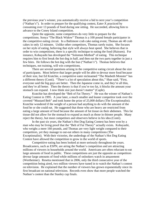the previous year's winner, you automatically receive a bid to next year's competition ("Nathan's"). In order to prepare for the qualifying contest, Eater-X practiced by consuming over 13 pounds of food during one sitting. He succeeded, allowing him to advance to the Coney Island competition.

 Quite the opposite, some competitors do very little to prepare for the competitions. Sonya "The Black Widow" Thomas is a 100 pound female participator in the competitive eating circuit. In a Baltimore crab cake eating event, Thomas ate 40 crab cakes in only 12 minutes. Unlike other competitors, Thomas rarely trains. She focuses on her style of eating, believing that style will always beat speed. She believes that in order to win competitions, there is a specific technique to eating the food (Haissen). For instance, Kobayashi has developed the "Solomon Method" of eating. This technique requires him to first break the hot dog in half, and then eat the two parts together in just a few bites. He follows the hot dog with the bun ("Nathan's"). Thomas believes that techniques, not training, will win competitions.

 There are several questions arising in the competitive eating circuit about the size of participants. Most believe that larger people will be able to devour more food because of their size, but Ed Kratchie, a competitive eater nicknamed "The Masbeth Monster" has a different theory (Conti). "There's a lot of speculation about this," Shae said, "First, everyone said the big guys are better. Then the Japanese come in, and they're all thin, and they're all better. Then the theory is that if you're too fat, it blocks the amount your stomach can expand. I now think size just doesn't matter" (Caple).

 Kratchie has developed the "Belt of Fat Theory." He was the winner of Nathan's Eating Contest in 1995. A year later, a much smaller and leaner competitor took over the coveted "Mustard Belt" and took home the prize of 25,000 dollars (The Exceptionalist). Kratchie wondered if the weight of a person had anything to do with the amount of the food he or she could eat. He suggested that those who are heavy are restricted from eating a large amount of food because the amount of fat tissue on their abdomen. This fat tissue did not allow for the stomach to expand as much as those in thinner people. Many reject the theory, but most competitors and observers believe in his idea (Conti).

 In the past six years, the Nathan's Hot Dog Eating Contest has been won by a man who may be living proof that the "Belt of Fat Theory" actually exists. Kobayashi, who weighs a mere 160 pounds, and Thomas are very light weight compared to their competitors, yet they manage to out-eat others in many competitions (The Exceptionalist). With their victories, the underdogs of the Nathan's Hot Dog Eating Contest have allowed the competition to grow in the world of sports.

 Competitive eating has been looked at more seriously throughout the years. Broadcasters, such as ESPN, are airing the Nathan's competition and are attracting millions of viewers in households around the world. Americans are often reluctant to eat large amounts of food in public. These competitions are just the opposite as competitors devour large amounts of food while millions of onlookers watch in amazement (Wertheimer). Resetta mentioned that in 2006, only the third consecutive year of the competition being aired, two million viewers have tuned in to watch the Nathan's contest on television. He explained that the number of viewers has grown exponentially since its first broadcast on national television. Records even show that more people watched the Nathan's contest than the Stanley cup finals.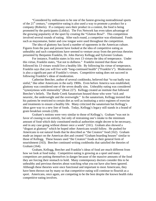"Considered by enthusiasts to be one of the fastest-growing nontraditional sports of the 21<sup>st</sup> century," competitive eating is also used a way to promote a product for a company (Roberts). If a company uses their product in a contest, the food is being promoted by the participants (Lidsky). The Fox Network has even taken advantage of the growing popularity of the sport by creating the "Glutton Bowl". This competition involved several rounds of eating. After each round, a competitor was eliminated. Foods such as mayonnaise, butter and cow tongue were used throughout the competition.

 The idea of gluttony has faced a number of opponents in the American culture. Figures from the past and present have looked at the idea of competitive eating as unhealthy and such competitions have seemed to venture away from the previous theories presented by Benjamin Franklin, Dr. John Harvey Kellogg and Sylvester Graham.

 For instance, Franklin states in his own 13 virtues the idea of temperance. Under this virtue, Franklin states, "Eat not to dullness." Franklin insisted that those who followed his 13 virtues would live a healthy life. By following his virtue of temperance, Franklin says that you will live with "long-continued health" ("Franklin's"). Moderation is also a significant part of Franklin's virtues. Competitive eating does not succeed in following Franklin's ideas of moderation.

 Catherine Beecher, author of several cookbooks, believed that "to eat badly was sinful," like other Americans in the early 1900s. Even before America was established, gluttony was considered one of the seven deadly sins. Unhealthy eating was considered "synonymous with immorality" (Root 227). Kellogg created an institute that followed Beecher's beliefs. The Battle Creek Sanatorium housed those who were "sick and neurotic, the underweight and the overweight." In the sanatorium, Kellogg insisted that his patients be restricted to certain diet as well as instituting a strict regimen of exercise and treatments to ensure a healthy life. Many criticized the sanatorium but Kellogg's ideas gave way to a new line of foods. Today, Kellogg's legacy still stands in a brand of grain breakfast cereals (228).

 Graham's notions were very similar to those of Kellogg's. Graham "was not in favor of ceasing to eat entirely, but only of restraining one's intake to the minimum amount of food which duly constituted medical authorities might decree to be necessary, and in any case going without dinner once a week" (161). Graham also showed a "disgust at gluttony" which he hoped other Americans would follow. He pushed for Americans to eat natural foods that he described as "the Creators" food (162). Graham made an impact on the American diet and created "Graham boarding houses" similar to those of Kellogg. These houses used "the Creators" foods as their general form of nourishment (163). Beecher continued writing cookbooks that satisfied the theories of Graham (164).

 Graham, Kellogg, Beecher and Franklin's ideas of food are much different from how we look at food today. Competitive eating is growing as a sport and many competitors are putting themselves in danger because of the massive amounts of the food they are forcing their stomach to hold. Many contemporary doctors consider this to be unhealthy and previous theories about watching what you eat have also been ignored. Although these theories were once functional and important to most Americans, they have been thrown out by many so that competitive eating will continue to flourish as a sport. Americans, once again, are competing to be the best despite the known health risks competitive eating involves.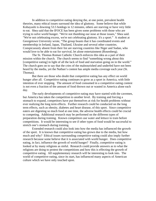In addition to competitive eating denying the, at one point, prevalent health theories, many ethical issues surround the idea of gluttony. Some believe that while Kobayashi is downing 53.5 hotdogs in 12 minutes, others are starving or have very little to eat. Shea said that the IFOCE has been given some problems with those who are trying to solve world hunger. "We're not thumbing our nose at those issues," Shea said. "We're not celebrating excess, we're not celebrating gluttony. It's a sport." A student at Georgetown University wrote, "The group boasts that it has coordinated events and membership in Ireland, Japan, Thailand, Ukraine and several other countries. Conspicuously absent from their list are starving countries like Niger and Sudan, who would love to be able to eat for survival, let alone entertainment (Rosenberg).

 The St. Thomas Roman Catholic Church enforces this idea as a part of their mission within the church. The church seems to find "something wrong about this [competitive eating] in light of all the lack of food and starvation going on in the world." The church goes on to say that the cries of the malnourished and underfed have not been heard by the media, yet the Nathan's contest has ample media coverage each year (St. Thomas).

 But there are those who doubt that competitive eating has any effect on world hunger after all. Competitive eating continues to grow as a sport in America, with little intention of ever stopping. The amount of food consumed in a competitive eating contest is not even a fraction of the amount of food thrown out or wasted in America alone each day.

 The early developments of competitive eating may have started with the cavemen, but America has taken the competition to another level. By training and forcing a stomach to expand, competitors have put themselves at risk for health problems without ever realizing the long term effects. Further research could be conducted on the long term effects, such as obesity, diabetes and heart disease, of this sport. Since competitive eaters are digesting so much food at one time, the adverse health effects could be crucial to competing. Additional research may be performed on the different types of preparation during training. Known competitors use water and lettuce to train before competitions. It would be interesting to see if other types of food would be successful to stretch one's stomach during training.

 Extended research could also look into how the media has influenced the growth of the sport. It is known that competitive eating has grown due to the media, but how much and why? Ethical issues surrounding competitive eating could also imply further research because some believe that it is associated with world hunger. Does competitive eating, in fact, influence the growth of world hunger? Finally, competitive eating is looked at by many religions as sinful. Research could provide answers as to what the religions are doing to protest the competitions and how this is effecting the growth of competitive eating. All supplementary research will be interesting to look into. The world of competitive eating, since its start, has influenced many aspects of American culture which we have only touched upon.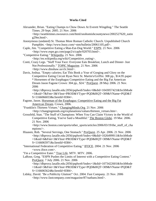### **Works Cited**

Alexander, Brian. "Eating Champs to Chow Down At Everett Wingding." The Seattle Times. 29 Sept. 2005. 21 Nov. 2006

<http://seattletimes.nwsource.com/html/snohomishcountynews/2002527620\_eatin g29m.html>.

- Anonymous (undated) St. Thomas More Roman Catholic Church. Unpublished Church Pamphlet. <http://www.buoy.com/~stm/bulletin/20061105.pdf>.
- Caple, Jim. "Competitive Eating a Man-Eat-Dog World." ESPN. 21 Nov. 2006 <http://www.espn.go.com/page2/s/caple/020703.html>.
- "Competitive Eating." Wikipedia. 21 Nov. 2006 <http://en.wikipedia.org/wiki/Competitive\_eating>.
- Conti, Crazy Legs. "Stuff Your Face: Everyone Eats Breakfast, Lunch and Dinner- Just Not Professionally." TOPIC Magazine. 21 Nov. 2006 <http://www.dinshaw.us/clc.html>.
- Davis, Joshua. "Empty calories; Eat This Book a Year of Gorging and Glory on the Competitive Eating Circuit Ryan Nerz St. Martin's/Griffin: 308 pp., \$14.95 paper \* Horsemen of the Esophagus Competitive Eating and the Big Fat American Dream Jason Fagone Crown: 304 pp., \$24." ProQuest. 28 May 2006. 21 Nov. 2006

<http://dbproxy.lasalle.edu:2056/pqdweb?index=0&did=1043057421&SrchMode =1&sid=7&Fmt=3&VInst=PROD&VType=PQD&RQT=309&VName=PQD&T S=1166066033&clientId=8384>.

Fagone, Jason. Horseman of the Esophagus: Competitive Eating and the Big Fat American Dream. Crown, 2006.

"Franklin's Thirteen Virtues." ChangingMinds.Org. 21 Nov. 2006 <http://changingminds.org/explanations/values/thirteen\_virtues.htm>.

Grossfeld, Stan. "The Stuff of Champions: When You Can Claim Victory in the World of Competitive Eating, You've Said a Mouthful." The Boston Globe. 19 Mar. 2006. 21 Nov. 2006

<http://www.boston.com/sports/other\_sports/articles/2006/03/19/the\_stuff\_of\_cha mpions/>.

- Hiaasen, Rob. "Several Servings, One Stomach." ProQuest. 25 Apr. 2006. 21 Nov. 2006 <http://dbproxy.lasalle.edu:2056/pqdweb?index=0&did=1026499911&SrchMode =1&sid=6&Fmt=3&VInst=PROD&VType=PQD&RQT=309&VName=PQD&T S=1166065971&clientId=8384>.
- "International Federation of Competitive Eating." IFOCE. 2004. 21 Nov. 2006 <www.ifoce.com>.
- "I'm a Competitive Eater." True Life. MTV. MTV. 2006.
- LaRose, Greg. "ESPN Pushes the Limits of Interest with a Competitive Eating Contest." ProQuest. 7 July 2006. 21 Nov. 2006

<http://dbproxy.lasalle.edu:2056/pqdweb?index=1&did=1073422601&SrchMode =1&sid=3&Fmt=3&VInst=PROD&VType=PQD&RQT=309&VName=PQD&T S=1166065624&clientId=8384>.

Lidsky, David. "Be a Publicity Glutton!" Oct. 2004. Fast Company. 21 Nov. 2006 <http://www.fastcompany.com/magazine/87/nathans.html>.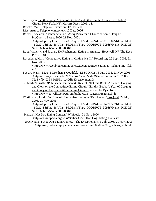- Nerz, Ryan. Eat this Book: A Year of Gorging and Glory on the Competitive Eating Circuit. New York, NY: Martin's Press, 2006. 14.
- Rezetta, Matt. Telephone interview. 12 Dec. 2006.
- Rios, Arturo. Telephone interview. 12 Dec. 2006.
- Roberts, Shearon. "Contenders Pack Away Pizza for a Chance at Some Dough." ProQuest. 13 Aug. 2006. 21 Nov. 2001 <http://dbproxy.lasalle.edu:2056/pqdweb?index=6&did=1093750251&SrchMode =1&sid=1&Fmt=3&VInst=PROD&VType=PQD&RQT=309&VName=PQD&T S=1166065496&clientId=8384>.
- Root, Waverly, and Richard De Rochemont. Eating in America. Hopewell, NJ: The Ecco Press, 1981.
- Rosenberg, Matt. "Competitive Eating is Making Me Ill." RosenBlog. 29 Sept. 2005. 21 Nov. 2006

<http://www.rosenblog.com/2005/09/29/competitive\_eating\_is\_making\_me\_ill.h  $ml$  $>$ .

- Specht, Mary. "Much More than a Mouthful." EBSCO Host. 3 July 2006. 21 Nov. 2006 <http://ezproxy.rowan.edu:2120/ehost/detail?vid=3&hid=114&sid=c2182b05- 72a5-4f64-9364-5c556141e49d%40sessionmgr108>.
- St. Martin's Griffin (Publishers Comments). Rev. of. "Eat this Book: A Year of Gorging and Glory on the Competitive Eating Circuit." Eat this Book: A Year of Gorging and Glory on the Competitive Eating Circuit. , written by Ryan Nerz. <http://www.powells.com/cgi-bin/biblio?isbn=0312339682&atch=h>
- Wertheimer, Linda. "A Taste of Competitive Eating in 'Esophagus.'" ProQuest. 27 May 2006. 21 Nov. 2006.

<http://dbproxy.lasalle.edu:2056/pqdweb?index=0&did=1142953821&SrchMode =1&sid=8&Fmt=3&VInst=PROD&VType=PQD&RQT=309&VName=PQD&T S=1166066175&clientId=8384>.

- "Nathan's Hot Dog Eating Contest." Wikipedia. 21 Nov. 2006 <http://en.wikipedia.org/wiki/Nathan%27s\_Hot\_Dog\_Eating\_Contest>.
- "2006 Nathan's Hot Dog Eating Contest." The Exceptionalist. 6 July 2006. 21 Nov. 2006 <http://rubytarbles.typepad.com/exceptionalist/2006/07/2006\_nathans\_ho.html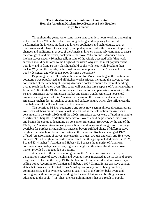## **The Catastrophe of the Continuous Countertop: How the American Kitchen Stove Became a Back-Breaker**  Jaclyn Keammerer

Throughout the years, Americans have spent countless hours working and eating in their kitchens. While the tasks of cooking, baking, and preparing food are still performed in the kitchen, modern-day kitchen appliances and technologies, such as microwaves and refrigerators, changed, and perhaps even aided the process. Despite these changes and additions, an aspect of the American kitchen infamously continues to cause the cook grief, and moreover, back pain – the stove. Why are most American home kitchen stoves exactly 36 inches tall, in spite of the widely accepted belief that work surfaces should be tailored to the height of the user? Why are the most popular ovens both low and in front, so they blast household cooks with heat while breaking their backs? Why, in other words, is the most important appliance in the American kitchen so poorly designed, and why is this poor design so pervasive?

Beginning in the 1930s, when the market for Modernism began, the continuous countertop was popularized and all kitchen work surfaces, including the stovetop, were constructed at the same height, forcing American cooks to endure the pain of bending over to reach the kitchen oven. This paper will examine three aspects of American culture from the 1900s to the 1930s that influenced the creation and pervasive popularity of the 36-inch American stove: American market and design trends, American household engineers, and gender roles in America. Furthermore, the measurement standards of American kitchen design, such as counter and sinktop height, which also influenced the establishment of the 36-inch stove, will be analyzed.

 The notorious 36-inch countertop and stove now seen in almost all contemporary American kitchens did not always exist, at least not as the sole option for American consumers. In the early 1800s until the 1900s, American stoves were offered in an ample assortment of heights. In addition, these various ovens could be positioned under, over, and beside the cooktop, depending on consumer preference. However, by the end of the 1920s, the American stove industry consolidated and many small ranges were no longer available for purchase. Regardless, American buyers still had plenty of different stove heights from which to choose. For instance, the Sears and Roebuck catalog of 1927 offered "an assortment of stoves: two electric, two gas, two gas and coal, and five wood and coal. Not all heights-to-cooktop were listed, but this group included models at 29 ½, 31, and 33 ¾ inches" (Avakian and Haber 41). Because the majority of American consumers presumably desired varying stove heights at this time, the stove and oven market provided a hodgepodge of options.

 As a result of the stove market granting the American consumer's wish, the demand for a range of stove heights and oven positions increased as the 1910s and 1920s progressed. In fact, in the early 1900s, the freedom from the need to stoop was a major selling point. According to Avakian and Haber, a 1907 Climax Estate gas stove catalog states that ranges with elevated ovens "must appeal to any one as being practical, common sense, and convenient. Access is easily had to the broiler, bake oven, and cooking top without stooping or bending. Full view of baking and broiling is a great advantage to the cook" (41). Thus, the research intimates that as a result of popular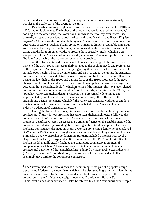demand and such marketing and design techniques, the raised oven was extremely popular in the early part of the twentieth century.

Besides their varying heights, most American stoves constructed in the 1910s and 1920s had multiple ovens. The higher of the two ovens would be used for "everyday" cooking. On the other hand, the lower oven, known as the "holiday oven," was used primarily on special occasions to cook turkeys and hams (Avakian and Haber 42) *(See Appendix A)*. Because the popular "holiday oven" was mainly used to prepare meals for auspicious occasions, such as Thanksgiving or Christmas dinner, presumably numerous Americans in the early twentieth century were focused on the ritualistic dimension of eating and drinking. In other words, to prepare those specialty meals, which are an integral part of the American ritualistic holidays, numerous Americans preferred a special "holiday" oven, which the market correspondingly provided.

As the aforementioned research and claims seem to suggest, the American stove market of the early 1900s was particularly attuned to the cooking needs and preferences of the majority of Americans, particularly regarding their desire for the convenience of a suitable oven height. Thus, in the nineteenth and early twentieth centuries, the American consumer appears to have dictated the oven designs built by the stove market. However, during the later half of the 1920s and gaining force as the 1930s progressed, the tides changed and the kitchen and stove market began to manipulate the American buyer into accepting the "streamlined look,"<sup>1</sup> which in terms of the kitchen refers to a level-planed and smooth curving counter and cooktop.<sup>2</sup> In other words, at the start of the 1930s, the "popular" American kitchen design principles were presumably determined and implemented by kitchen and stove companies. Interestingly, the influence of the streamlining design movement, which left the American consumer with fewer and less practical options for stoves and ovens, can be attributed to the American kitchen industry's adoption of German architecture.

During the twentieth century, Germany housed most of the century's prominent architecture. Thus, it is not surprising that American kitchen architecture followed this country's lead. In *Mechanization Takes Command*, a well-known history of mass production, Sigfried Giedion discusses the German influence on the establishment of the continuous countertop by providing the following architectural examples of German kitchens. For instance, the Haus am Horn, a German-style single-family home displayed at Weimar in 1923, contained a single-level sink and sideboard along a lone kitchen wall. Similarly, a 1927 Weissenhof settlement in Stuttgart, included a kitchen with level Lshaped work surface (See Appendix B). However, it was the 1927 Frankfurter Kutche kitchen model that illogically finalized the continuous countertop as an integral component of a kitchen. All work surfaces in this kitchen were the same height, an architectural depiction of the "simplified line" admired by many architectural theorists (523-525). It was this "simplified line," also known as the streamlined style that seemingly gave birth to the continuous countertop.

<sup>&</sup>lt;sup>1</sup> The "streamlined look," also known as "streamlining," was part of a popular design trend called Modernism. Modernism, which will be discussed in greater detail later in the paper, is characterized by "clean" lines and simplified forms that replaced the twisting curves seen in the Art Nouveau design movement (Avakian and Haber 45).

 $2$  This level-planed work surface will later be referred to as the "continuous countertop."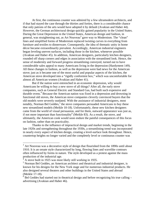At first, the continuous counter was admired by a few ultramodern architects, and if that had stayed the case through the thirties and forties, there is a considerable chance that only patrons of the arts would have adopted it by default (Avakian and Haber 44). However, the German architectural design quickly gained popularity in the United States. During the Great Depression in the United States, American design and fashion, in general, was straightening out, as Art Nouveau<sup>3</sup> gave way to Modernism. The "clean" lines and simplified forms of Modernism replaced twisting curves in everything from furniture and textiles to dinnerware. Consequently, the idea of thematic unity in home décor became extraordinarily prevalent. Accordingly, American industrial engineers began leveling uneven surfaces, including those in the kitchen, whenever possible (Avakian and Haber 45). In addition, American designers, particularly kitchen designers, rounded off sharp corners and edges in association with the streamlined look. Hence, the sense of modernity and forward progress streamlining conveyed, turned out to have considerable sales appeal to many Americans living in the depression (Hardyment 149). All these changes in fashion, as well as the depression were bad news for the American stove; just as it became one of the most useful and popular aspects of the kitchen, the American stove developed into a "rigidly conformist box," which was uncomfortable for almost all American women (Avakian and Haber 41).

But if the nation were entrenched in an economic depression, why would Americans be willing to buy a new stove of all things? After all, the early stove companies, such as General Electric and Standard Gas, had built such expensive and durable ovens.<sup>4</sup> Because the American nation was fixed in a depression and drowning in functional old stoves, the American stove companies cleverly convinced buyers that the old models were severely outdated. With the assistance of industrial designers, most notably, Norman Bel Geddes,<sup>5</sup> the stove companies persuaded Americans to buy these new streamlined models (Meikle 10-18). Unfortunately, these new kitchen designers came from the world of visual persuasion, and for them, outward appearance was just as, if not more important than functionality<sup>6</sup> (Meikle 83). As a result, the stove, and ultimately, the American cook would soon endure the painful consequences of this focus on fashion, rather than on practicality.

 Thanks to the influence of impractical design and market trends, beginning in the late 1920s and strengthening throughout the 1930s, a streamlining trend was incorporated in nearly every aspect of kitchen design, creating a level-surface look throughout. Hence, countertop heights no longer varied and the completely level or continuous counter was

<u>.</u>

 $3$  Art Nouveau was a decorative style of design that flourished from the 1890s until about 1910. It is an ornate style characterized by long, flowing lines and wavelike contours often influenced by forms in nature. The style developed as a protest against the mass production of the industrial age.

A stove built in 1925 was most likely still working in 1935.

<sup>&</sup>lt;sup>5</sup> Norman Bel Geddes, an American architect and theatrical and industrial designer, is known for his designs for the New York stage and for numerous industrial products. He also designed several theaters and other buildings in the United States and abroad (Meikle 17-18).

 $\delta$  Bel Geddes had started out in theatrical design and before recognizing his true calling – advertising (Avakian and Haber 46).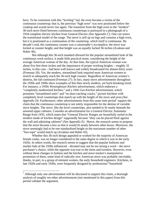born. To be consistent with this "leveling" fad, the oven became a victim of the continuous countertop; that is, the previous "high oven" was now positioned below the cooktop and would never rise again. The transition from the high oven to the "modern" 36-inch stove fitted between continuous countertops is portrayed in a photograph of a 1934 complete electric kitchen from General Electric *(See Appendix C)*. One can notice the transitional model of the range. The stove is still up on legs and contains a high oven, but it is positioned as a continuation of the countertop, which itself is continuous. By decade's end, the continuous counter was a catastrophe's accomplice; the stove was locked at counter height; and that height was an equally locked 36 inches (Avakian and Haber 46).

But although this 36-inch standard allowed for the popular streamlined look of the continuous work surface, it made little practical sense, considering the height of the average American woman of the day. At that time, the typical American woman was about five feet three inches and the importance of proper working heights – roughly 32 inches, in this case – had been well known and widely broadcasted for almost thirty years (Freeman 26). Yet, the modern, streamlined look required most American women to stretch to adequately reach the 36-inch high counter. Regardless of American women's distress, the fad continued (Freeman 27). In fact, many stove advertisements throughout the 1930s and 1940s show examples of this then newly modern, yet back-breaking trend. For instance, a 1930s *Westinghouse Kitchen* advertisement, which endorses a "completely modernized kitchen," and a 1945 *Gas Kitchen* advertisement, which promotes "streamlined units" and "no dust-catching cracks," picture kitchens with completely level countertops that match up with the height of the stove and oven *(See Appendix D*). Furthermore, other advertisements from this same time period<sup>7</sup> support the claim that the continuous countertop is not solely responsible for the demise of variable stove heights. The stove, like the level countertops, also needed to fit neatly beneath the assorted upper cabinets. Consider an advertisement for a General Electric Automatic Range from 1935, which states that "General Electric Ranges are beautifully styled in the modern mode of kitchen design" supposedly because "they can be placed flush against the wall and adjoining cabinets" *(See Appendix E)*. Hence, the research seems to propose that the stove became a box so that it would fit neatly between other boxes. Moreover, the stove seemingly had to be one standardized height so the maximum number of other "box-tops" would match up (Avakian and Haber 43).

Whether this 36-inch design appealed or worked for the majority of American female cooks, was no longer considered to the same degree to which it was in the early 1920s. In others words, the research seems to suggest that the popular fashions and market fads of the 1930s influenced – dictated may not be too strong a word – the stove purchaser's choice, while the opposite was true in the teens and twenties. However, even without these changes in fashion and the kitchen and stove market's manipulative promotion of them, some kind of radically new American stove was probably inevitable, thanks, in part, to a group of eminent women, the early household engineers. Kitchens, in late 1920s and early 1930s, were frequently designed by professional "household

1

 $<sup>7</sup>$  Although only one advertisement will be discussed to support this claim, a thorough</sup> analysis of roughly ten other advertisements (not mentioned in this paper) from this period validate the argument.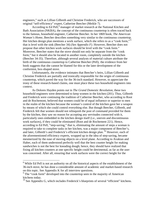engineers," such as Lillian Gilbreth and Christine Frederick, who are successors of original "self-efficiency" expert, Catherine Beecher (Meikle 7).

According to Ed Pell,<sup>8</sup> manager of market research at the National Kitchen and Bath Association (NKBA), the concept of the continuous countertop is often traced back to the famous, household engineer, Catherine Beecher. In her 1869 book, *The American Woman's Home*, Beecher describes something very similar to the continuous countertop. Her kitchen design plan mentions a work surface, which she refers to as a "cook form,"<sup>9</sup> that is level with the sink (Beecher 34) *(See Appendix F)*. However, Beecher does not propose that other kitchen work surfaces should be level with the "cook form." Moreover, Beecher states that the stove should not only be separate from the "cook form," but it should also be located in another room, completely outside the kitchen (Beecher 34-35). Therefore, although several analysts of material culture attribute the birth of the continuous countertop to Catherine Beecher (Pell), the evidence from her book suggests that she cannot be blamed for this or the later development of the conformist, box-shaped stove.

Unfortunately, the evidence intimates that Beecher's heirs, Lillian Gilbreth and Christine Frederick are partially and ironically responsible for the origin of continuous countertop, which paved the way for the 36-inch standard. However, to appreciate the irony of these research-based claims, one must place these two household engineers into context.

As Dolores Hayden points out in *The Grand Domestic Revolution*, these two household engineers were determined to keep women in the kitchen (201). Thus, Gilbreth and Frederick were continuing the tradition of Catherine Beecher, who according to Root and de Rochemont, believed that women could be of equal influence or superior to men in the realm of the kitchen because the woman's control of the kitchen gave her a weapon by means of which she could control everything else. But though Beecher, Gilbreth, and Frederick felt that women should not relinquish the post of command provided for them by the kitchen, they saw no reason for accepting any servitudes connected with it, particularly ones embedded in the kitchen design itself (i.e., uneven and discontinuous work surfaces), if they could be eliminated (Root and de Rochement 221). Hence, according to Ed Pell, "step-saving," that is, eliminating the amount of steps a woman is required to take to complete tasks in her kitchen, was a major component of Beecher's, and later, Gilbreth's and Frederick's efficient kitchen design plan. 10 However, each of the aforementioned efficiency experts, wrapped up in the idea of step-saving, became mesmerized by the ease of moving objects on a level plane. According to Avakian and Haber, each of them understood perfectly well that the best counter height for making sandwiches is not the best for kneading dough; hence, they should have realized that fixing all kitchen counters at one specific height could be detrimental, as far as the user was concerned. After all, ensuring that work surfaces were the correct height for the

<sup>&</sup>lt;sup>8</sup> While Ed Pell is not an authority on all the historical aspects of the establishment of the 36-inch stove, he has done a considerable amount of academic and market-based research on this topic. See Appendix K for all interview questions.

<sup>&</sup>lt;sup>9</sup> The "cook form" developed into the countertop seen in the majority of American kitchens today.

 $10$  See Appendix G, which includes Frederick's blueprints of several "efficient" kitchens.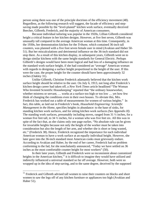person using them was one of the principle doctrines of the efficiency movement (48). Regardless, as the following research will suggest, the facade of efficiency and stepsaving made possible by the "level-planed" kitchen work surface, eventually deceived Beecher, Gilbreth, Frederick, and the majority of American consumers.

Because individual tailoring was popular in the 1920s, Lillian Gilbreth considered height a critical feature in her kitchen designs. However, at five feet seven, Gilbreth was unusually tall compared to the average American woman at this time. Consequently, in the 1930s, her demonstration kitchen for the *Tribune*, which contained 36-inch tall counters, was planned with a five foot seven female user in mind (Avakian and Haber 50- 51). But her miscalculations and detrimental influence on the 36-inch standard did not stop there. As a result of this kitchen display, in subsequent years, Gilbreth went on to design similar kitchens with the same height-standards for General Electric. Perhaps Gilbreth's designs would have been more logical and had less of a damaging influence on the standard work surface height, if she had considered an "average" American woman with regards to designing a surface height proportional to the height of the user. If this were the case, the proper height for the counter should have been approximately 32 inches (Oakley 31).

Unlike Gilbreth, Christine Frederick adamantly believed that the kitchen work surface height should be relative to the user. On July 6, 1913, not long after Frederick's kitchen design career had taken off, a *New York Times* article headlined "The Woman Who Invented Scientific Housekeeping" reported that "the ordinary houseworker, whether mistress or servant, … works at a surface too high or too low … yet how few think of changing the conditions even in their own houses. To obviate this, Mrs. Frederick has worked out a table of measurements for women of various heights." In fact, this table, as laid out in Frederick's book, *Household Engineering: Scientific Management in the Home*, specifies heights in abundance: to the base of sinks, for standing kitchen work surfaces, and for sitting kitchen work surfaces *(See Appendix H)*. The standing work surfaces, presumably including stoves, ranged from  $31\frac{1}{2}$  inches, for a woman five feet tall, to  $34\frac{1}{2}$  inches, for a woman who was five feet six. All this was in spite of the fact that, as she claims only one page earlier, "No absolute rule can be given for invariable heights because not only the height of the worker must be taken into consideration but also the length of her arm, and whether she is short or long wasted, etc." (Frederick 38). Hence, Frederick recognized the importance for each individual American woman to have a work surface at an equally individual height. However, she later gave into the 36-inch standard most American cooks must grievously endure. According to Avakian and Haber, by the end of her career, Frederick had no problem conforming to the fad, for she nonchalantly announced, "Today we have settled on 36 inches as the most comfortable counter height for most workers" (50).

In their later years, Gilbreth and Frederick were so inconsistent about customized heights in the American kitchen, $11$  it is difficult to imagine they would have utilized and indirectly influenced a universal standard so far off average. However, both were so wrapped up in the idea of step-saving, and to the same degree, deceived by the supposed

 $11$  Frederick and Gilbreth advised tall women to raise their counters on blocks and short women to saw the legs off of any kitchen furniture or appliances too high (Avakian and Haber 51).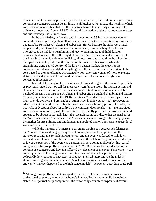efficiency and time-saving provided by a level work surface, they did not recognize that a continuous countertop cannot be all things to all kitchen tasks. In fact, the height at which American women washed dishes – the most treacherous kitchen duty according to the efficiency movement (Cowan 85-89) – induced the creation of the continuous countertop, and subsequently, the 36-inch stove.

In the early 1930s, before the establishment of the 36-inch continuous counter, countertops were generally about 31 inches tall, while the tops of freestanding sinks were a reasonable 36 inches (Avakian and Haber 52). Simply because the sinks were much deeper inside, the 36-inch tall sink was, in most cases, a suitable height for the user. Therefore, as the fad for streamlining and level work surfaces took hold, kitchen designers had to accept the following dictum: If an American woman does not want to break her back when it is time to do dishes, all measurements should not be taken from the tip of the counter, but from the bottom of the sink. In other words, when the streamlining trend gained control of the kitchen design market, the craze for the continuous countertop mandated everything from the stove burners to the sinktop to be constructed to the same height. Unfortunately, for American women of short to average stature, the sinktop was victorious and the 36-inch counter and oven height was conceived (Freeman 10).

Instead of focusing on the ridiculous and illogical height of the countertop, which as previously stated was too tall for most American female users, the kitchen design and stove advertisements cleverly drew the consumer's attention to the more comfortable height of the sink. For instance, Avakian and Haber cite a Standard Plumbing and Fixture Company advertisement from the 1930s that states, "Standard kitchen sinks, yardstick high, provide comfort and prevent back strain. How high is yours?" (52). However, an advertisement featured in the 1932 edition of *Good Housekeeping* portrays this idea, but not without deception *(See* Appendix I). The company does not show an "average-sized" American woman. Rather, with the yardstick conveniently provided, the woman pictured appears to be about six feet tall. Thus, the research seems to indicate that the market for the "yardstick standard" influenced the American consumer through advertising, just as the market for streamlining and Modernism manipulated many Americans to accept level work surfaces in the kitchen.

While the majority of American consumers would soon accept such falsities as the "proper" or normal height, many would not acquiesce without protest. As the stovetop rose with the 36-inch tall countertop, and the oven was forced to sink down below it, several Americans objected. For instance, the kitchen design industry's decision to lower the position of the oven was a particularly sore point, as shown by this journal entry, written by Joseph Kane, a carpenter, in 1928. Describing the introduction of the continuous countertop and how this affected the placement of the oven, Kane writes, "We are not justified in lowering the oven door to an incontinently low position. Yes, this awkwardly low location is necessary to produce a low tabletop. Maybe the industry should build higher counters then. Yet 36 inches is too high for most women to reach anyway. What ever happened to the high-range model!" $^{12}$  However, according to Ed Pell,

 $12$  Although Joseph Kane is not an expert in the field of kitchen design, he was a professional carpenter, who built his home's kitchen. Furthermore, while his opinion stated in his journal entry compliments the historically accurate viewpoints of several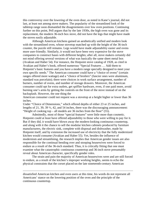this controversy over the lowering of the oven door, as noted in Kane's journal, did not last, at least not among stove makers. The popularity of the streamlined look of the tabletop range soon dismantled the disagreements over low oven positions. Continuing further on this point, Pell argues that by the late 1930s, the high oven was gone and its replacement, the modern 36-inch box stove, did not have the legs that might have made the stoves easily adjustable.

Although American kitchens gained an aesthetically unified and modern look with the streamlined oven, whose stovetop matched up with the height of the 36-inch counter, the puzzle still remains. Legs would have made adjustability easier and ovens more user-friendly. Similarly, it would not have been very expensive for the stove companies to construct bases with different heights; after all, stove makers certainly did not mind offering several versions of what was basically the same sheet metal box (Avakian and Haber 54). For instance, the Hotpoint stove catalog of 1928, as cited in Avakian and Haber's book, offered numerous "Special Features … Add them to Hotpoint's basic features and you have a modern range specially designed to meet your own specific needs." The American consumer could have a "choice of ovens" (certain ranges offered more wattage) and a "choice of broilers" (fancier ones were aluminum, standard was porcelain); there were choices in work surface arrangement, number of burners, number of ovens, and number of storage drawers. Moreover, the American consumer could opt for extra outlets, get spiffier hardware, even, if one paid more, avoid burning one's arms by getting the controls on the front of the stove instead of on the backsplash. However, the one thing the

American consumer could not request was a stovetop at a height higher or lower than 36 inches.

Under "Choice of Dimensions," which offered depths of either 23 or 25 inches, and lengths of 21, 39, 39 ½, 42, and 54 inches, there was the discouraging announcement: "Height of cooking top – all models are 36 inches from the floor" (55).

Admittedly, most of those "special features" were little more than cosmetic. Hotpoint could at least have offered adjustability to those who were willing to pay for it. But if they did, it would have blown away the modern-looking continuous countertop, and along with it the chance to sell the modular kitchen cabinets produced by furniture manufacturers, the electric sink, complete with disposal and dishwasher, made by Hotpoint itself, and by extension the increased use of electricity that the fully modernized kitchen would consume (Avakian and Haber 55). Yet, besides the influence of modernism and streamlining, the research implies that American gender issues are also responsible for the continual bending over and stooping housewives were forced to endure as a result of the 36-inch standard. Thus, it is critically fitting that one must examine what the catastrophic continuous countertop and 36-inch stove presumably reveal about American character, specifically gender roles.

The strain and pain the majority of American housewives were and are still forced to endure, as a result of the kitchen's improper working heights, seems to echo the physical constraints that the corset placed on the late nineteenth-century American

dissatisfied American kitchen and oven users at this time, his words do not represent all Americans' stance on the lowering position of the oven and the principle of the continuous countertop.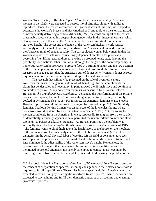woman. To adequately fulfill their "sphere"<sup>13</sup> of domestic responsibility, American women in the 1920s were expected to possess moral virginity, along with ability to reproduce. Hence, the corset, a common undergarment worn at this time, was shaped to accentuate the woman's breasts and hips (motherhood) and to flatten the stomach (facade of never actually delivering a child) (Miller 134). Yet, the constraining fit of the corset presumably reveals something deeper about gender roles in the nineteenth century, which also appears to be reflected in the American kitchen's uncomfortable counter and stovetop height. The corset and the height of the American kitchen's work surface seemingly reflect the male hegemony intertwined in American culture and compliments the American myth of gender equality. The corset placed women below men, in that the women who wore corsets were compellingly dependent on others for practically everything (i.e., lifting, getting dressed, picking up dropped items, etc.), denying the possibility for functional labor. Similarly, although the height of the countertop compels numerous American housewives to prepare food at a straining height and the low position of the oven's opening forces them to stoop to bake and broil food, the aforementioned research seems to suggest that the American cult of domesticity (woman's domestic role) requires them to continue preparing meals despite physical discomfort.

The research that will now be presented on the role of twentieth-century American feminists in the general culture of kitchen design further compliments the claim that gender roles and hegemony, in part, allowed the 36-inch stove and continuous countertop to prevail. Many American feminists, as described by historian Dolores Hayden in *The Grand Domestic Revolution*, "demanded the transformation of the private domestic workplace, the kitchen," into something large, centralized, and, preferably, cooked in by someone else" (208). For instance, the American feminist Marie Stevens Howland "passed over domestic work … as a job for 'trained people'" (124). Similarly, feminist, Charlotte Perkins Gilman was an advocate of the kitchenless home, where housework would be done "by experts instead of amateurs" (195). Yet, removing the woman completely from the American kitchen, supposedly freeing her from the shackles of domesticity, ironically appears to have permitted the uncomfortable counter and stove top height to persist as a kitchen standard. As Hayden points out, the problem was succinctly stated by Laura Fay-Smith, who wrote in a *New York Times* article of 1915, "The feminist wants to climb high above the harsh labors of the house, on the shoulders of the women whose hard necessity compels them to be paid servants" (201). This disinterest in the actual physical labor of cooking left the field of consumer advocacy wide open for the previously discussed market and fashion trends, which restricted, and later eliminated, the adjustability of the American stove's height. Nonetheless, the research seems to suggest that the nineteenth century feminists, unlike the earlier mentioned household engineers, mistakenly attempted to combat male hegemony by removing women from the kitchen completely, instead of addressing the problem of the

<sup>13</sup> In her book, *Victorian Education and the Ideal of Womanhood*, Joan Burstyn refers to the concept of "separation of spheres," meaning each gender in the America household is required to fulfill a specific role. These roles involve specific duties; American men are expected to earn a living by entering the workforce (male "sphere"), while the women are expected to stay at home and fulfill their domestic duties, such as cooking and cleaning (woman's "sphere").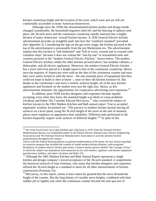kitchen countertop height and the location of the oven, which were and are still not comfortably accessible to many American housewives.

Although since the 1930s the aforementioned kitchen market and design trends changed considerably, the household engineers died off, and the blurring of spheres took place, the 36-inch stove and the continuous countertop rapidly matured into a mighty dictator of many Americans' overall kitchen layouts. A 1936 General Electric kitchen advertisement provides an insightful peek into how the "yardstick standard" prevailed *(See Appendix J)*. Considering the legs on the gas stove range, the kitchen pictured at the top of the advertisement is presumably from the pre-Modernism era. The advertisement implies that this kitchen is "old-fashioned" and "full of work, crossed and re-crossed with countless steps" because it does not contain the "one-by-one" or streamlined units and counters pictured in the "modern General Electric Kitchen," shown below. The modern General Electric kitchen, unlike the older kitchen pictured above, has modular cabinets, a dishwasher, and all electric appliances. Moreover, the modern General Electric kitchen has a stove and oven placed at a height equal to that of the continuous countertop. Hence, once the majority of Americans were sold on the idea of the continuous counter and once they were safely locked in with the stove – the one essential piece of equipment that they could not hope to build or alter at home –, none of their old kitchen furniture fit. But thanks to the countertop's and stove's locked, uniform height, all of the new kitchen appliances and furniture on the market were just the right size. Hence, as this advertisement intimates, the opportunities for cooperative advertising were enormous.<sup>14</sup>

In addition, post-1930s kitchen designers and carpenters became equally accepting, even when they knew the standard height was likely to cause problems (Avakian and Haber 50). Consider Edward McGarvey,<sup>15</sup> who covered the subject of kitchen layouts in the 1961 Madsen Kitchen and Bath annual report. True to accepted ergonomic wisdom, he pointed out: "The practice in modern kitchen layouts having all surfaces on a level plane, using the 36 inch height of the stove as the unit of measure, places more emphasis on appearance than suitability. Different tasks performed in the kitchen frequently require work surfaces of different heights."<sup>16</sup> In spite of this

 $14$  The trend toward more up-to-date kitchens got a big boost in 1935 when the National Kitchen Modernization Bureau was established jointly by the Edison Electric Institute (now Electric Engineering Association) and The National Electrical Manufacturers Association to actively promote kitchen modernization throughout the country.

Tied in with the Federal Housing Bureau on general modernization of the home, the new bureau launched an extensive program that included the creation of model modern kitchen displays; radio programs' distribution of modern electric kitchen plan books; a feature motion picture entitled "the Courage of Kay," in which the subject was dramatized with numerous tie-ins with retailers, appliance and kitchen equipment manufactures, builders, and others (Avakian and Haber 55).

<sup>&</sup>lt;sup>15</sup> Although the 1961 Madsen Kitchen and Bath Annual Report represents a single kitchen and design company's forced acceptance of the 36-inch standard, it compliments the historical research of June Freeman, who states that kitchen designers and carpenters utilized the 36-inch height as a standard or basis for all other measurements of kitchen construction (Freeman 32).

<sup>&</sup>lt;sup>16</sup> McGarvey, in this report, seems to have taken for granted that the stove dictated the height of the counter. But the long history of variable stove heights, combined with their sudden jolt to rigidity just when the continuous counter became the sine qua non of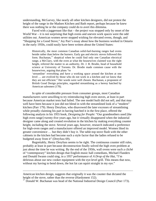understanding, McGarvey, like nearly all other kitchen designers, did not protest the height of the range in the Madsen Kitchen and Bath report, perhaps because he knew there was nothing he or the company could do to avert this dilemma.

 Faced with a juggernaut like that – the project was stopped only by onset of the World War – it is not surprising that high ovens and uneven work spaces were the odd utilities out. American women never stopped wishing for elevated ovens, though, and "Shopping for a Good Stove," Joy Parr's essay about how the business worked in Ontario in the early 1950s, could easily have been written about the United States:

Historically, the most common Canadian solid-fuel-burning ranges had ovens beside rather than below the burners. Early gas and electric stoves followed this form. Buchanan, $17$  skeptical when he could find only one Canadian electrical range, a McClary, with the oven at what the housewives claimed was the right height, referred the matter to an authority, Dr. J. B. Brodie, head of household science at University of Toronto. Dr. Brodie made common cause with the housewives, arguing that plans "to

'streamline' everything and have a working space around the kitchen at one level … are evolved by those who do not work in a kitchen and we know that they are not efficient." Her words were well chosen. Buchanan, a proponent of British Good Design principles, regarded streamlining as a heresy hatched by American salesmen (178).

 In spite of considerable pressure from consumer groups, most Canadian manufacturers were unwilling to try reintroducing high oven stoves, at least in part because American market tests had failed. The one model built did not sell, and that may well have been because it just did not blend in with the streamlined look of a "modern" kitchen (Parr 179). Henry Dreyfuss, who disavowed the later excesses of streamlining while proudly claiming his part in having hatched it in the first place, offered the following analysis in his 1955 book, *Designing for People*: "Our grandmothers used [the high oven range] twenty-five years ago, but it virtually disappeared when the industrial designer came along and created revolution in the kitchen by making everything counter height, including the stove. Several years ago, however, research indicated a preference for high-oven ranges and a manufacturer offered an improved model. Women liked its greater convenience … but they didn't buy it. The table-top stove flush with the other cabinets in the kitchen had become such a style factor that the ladies refused to be budgeted away from it" (Dreyfuss 69).

 Regrettably, Henry Dreyfuss seems to be right. The continuous counter still rules, probably at least in part because deconstruction finally solved the high oven problem at just about the time he was writing. By the end of the 1950s, wall ovens were such a cliché of "contemporary" kitchen design that English music hall comedians, Michael Flanders and Donald Swann could sing, in a 1957 performance of *A Drop of the Hat*, "I'm delirious about our new cooker equipment with the eye-level grill. This means that now, without my having to bend down, the hot fat can squirt straight in my eye."

American kitchen design, suggests that originally it was the counter that dictated the height of the stove, rather than the reverse (Hardyment 152).

 $\overline{a}$ 

 $17$  Donald W. Buchanan was head of the National Industrial Design Council (Parr 173).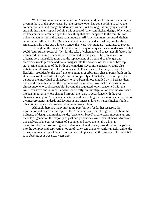Wall ovens are now commonplace in American middle-class homes and almost a given in those of the upper class. But the separate oven has done nothing to solve the counter problem, and though Modernism has been out so long it is enjoying a revival, streamlining never stopped defining this aspect of American kitchen design. Why would it? The continuous countertop is the best thing that ever happened to the multibillion dollar kitchen design and construction industry. All American mass-produced kitchen cabinets are still built to the 36-inch standard; so are most dishwashers; and for those Americans who must buy a kitchen range, the "yardstick standard" continues to prevail.

Throughout the course of this research, many other questions were discovered that could foster further research. Yet, for the sake of coherency and space, not all factors that influenced the 36-inch standard were examined in this paper. Thus, an analysis of urbanization, industrialization, and the replacement of wood and coal by gas and electricity would provide additional insights into the creation of the 36-inch box-top stove. An examination of the birth of the modern stove, more generally, could also initiate several possibilities for future research. For instance, electricity reduced the flexibility provided by the gas flame to a number of arbitrarily chosen points built on the stove's rheostat; and when today's almost completely automated stove developed, the genius of the individual cook appears to have been almost annulled by it. Perhaps then, one could research whether the mechanics of the modern stove makes it possible for almost anyone to cook acceptably. Beyond the suggested topics concerned with the American stove and 36-inch standard specifically, an investigation of how the American kitchen layout as a whole changed through the years in accordance with the everchanging concept of American character would be riveting. Furthermore, a comparison of the measurement standards and layouts in an American kitchen versus kitchens built in other countries, such as England, deserves consideration.

 Although there are many intriguing possibilities for further research, the information collected on this topic of the American stove reveals a great deal about the influence of design and market trends, "efficiency-based" architectural movements, and the role of gender on the majority of past and present-day American kitchens. Moreover, this analysis of the pervasiveness of a counter and stove top height, which is uncomfortable for most average-sized American female users, provides vivid snapshots into the complex and captivating notion of American character. Unfortunately, unlike the ever-changing concept of American character, it appears that the tyranny of the yardstick is as absolute as it was sixty years ago.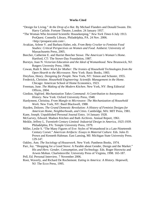### **Works Cited**

- "Design for Living." *At the Drop of a Hat*. By Michael Flanders and Donald Swann. Dir. Harry Carlisle. Fortune Theatre, London. 24 January 1957.
- "The Woman Who Invented Scientific Housekeeping." *New York Times* 6 July 1913. ProQuest. Connelly Library, Philadelphia, PA. 24 Nov. 2006. <http://proquest.umi.com>.
- Avakian, Arlene V. and Barbara Haber, eds. *From Betty Crocker to Feminist Food Studies: Critical Perspectives on Women and Food*. Amherst: University of Massachusetts Press, 2005.
- Beecher, Catherine E. and Harriet Beecher Stowe. *The American's Woman's Home*. Hartford, CT: The Stowe-Day Foundation, 1987.
- Burstyn, Joan N. *Victorian Education and the Ideal of Womanhood.* New Brunswick, NJ: Rutgers Unversity Press, 1984.
- Cowan, Ruth S. *More Work for Mother: The Ironies of Household Technologies from the Open Hearth to the Microwave*. New York: Basic Books, 1983.
- Dreyfuss, Henry. *Designing for People*. New York, NY: Simon and Schuster, 1955.
- Frederick, Christine. *Household Engineering: Scientific Management in the Home.*  Chicago: American School of Home Economics, 1923.
- Freeman, June. *The Making of the Modern Kitchen*. New York, NY: Berg Editorial Offices, 2004.
- Giedion, Sigfried. *Mechanization Takes Command: A Contribution to Anonymous History*. New York: Oxford University Press, 1948.
- Hardyment, Christina. *From Mangle to Microwave: The Mechanization of Household Work*. New York, NY: Basil Blackwell, 1988.
- Hayden, Dolores. *The Grand Domestic Revolution: A History of Feminist Designs for American Home, Neighborhoods, and Cities*. Cambridge, MA: MIT Press, 1981.
- Kane, Joseph. Unpublished Personal Journal Entry. 14 January 1928.
- McGarvey, Edward. Madsen Kitchen and Bath Archives. Annual Report, 1961.
- Meikle, Jeffrey L. *Twentieth Century Limited: Industrial Design in America, 1925-1939*. Philadelphia, PA: Temple University Press, 1979.
- Miller, Leslie S. "The Many Figures of Eve: Styles of Womanhood in a Late-Nineteenth Century Corset." *American Artifacts: Essays in Material Culture*. Eds. Jules D. Prown and Kenneth Haltman. East Lansing, MI: Michigan State University Press. 129-147.
- Oakley, Ann. *The Sociology of Housework*. New York: Pantheon Books, 1974.
- Parr, Joy. "Shopping for a Good Stove: A Parable about Gender, Design and the Market." *His and Hers: Gender, Consumption, and Technology*. Eds. Roger Horowitz and Arwen Mohun. Charlottesville: University Press of Virginia, 1998. 165-187.
- Pell, Ed. Personal Interview. 7 November 2006.
- Root, Waverly, and Richard De Rochemont*. Eating in America: A History*. Hopewell, NJ: The Ecco Press, 1995.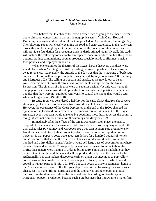### **Lights, Camera, Action! America Goes to the Movies**  Jamie Peteraf

 "We believe that to enhance the overall experience of going to the theatre, we've got to direct our concessions to various demographic sectors," said Garth Howard Drabinsky, chairman and president of the Cineplex Odeon Corporation (Cummings C-3). The following paper will closely examine the food and drink experience in the American movie theatre. First, a glimpse at the introduction of the concession stand into theatres will provide a foundation for procedures and standards utilized today. Overall, this study will include the following topics: lobby atmosphere, popcorn production, healthy product options, product combinations, popular products, specialty product offerings, outside food policies, and employee standards.

 When one examines the theatres of the 1920s, he/she discovers that these were grand places where "white gloved ushers leading the way to plush velvet seats inspired awed reverence." Conversely, the attitude of the day was that the "smacking of burlesque and carnival food within the picture palace was most definitely not allowed" (Gwathmey and Margoues 102). The selling of popcorn and snacks, as we now know to be an American tradition at movie theatres, was not profitable enough before the Great Depression. The cinemas of this time were of superior design. Not only was it thought that popcorn and snacks would end up on the floor, ruining the sophisticated ambiance, but also that they were not equipped with vents to control the smoke that would occur while making popcorn (Smith 100).

 Because food was considered a liability for the early classy theatres, shops were strategically placed next to door so patrons would be able to eat before and after films. However, the occurrence of the Great Depression at the end of the 1920s changed the dynamic of the food and drink experience in cinemas forever. As a result of the tragic American event, popcorn would make its big debut into most theatres across the country, though it was not a smooth transition (Gwathmey and Margoues 102).

 Immediately after the effects of the Great Depression took place, attendance dropped at the cinema and the owners decided to seek more profits by way of food rather than ticket sales (Gwathmey and Margoues 102). Popcorn vendors paid around twentyfive dollars a month to sell their products outside theatres. What is important to note, however, is that popcorn costs were about ten dollars for a hundred pounds of kernels, and it is reported that within the first week of sales a vendor could make around five hundred and thirty dollars alone. Vendors would sell large bags of popcorn for anywhere between five and ten cents. Consequently, when theatre owners found out about the profits their renters were making in order to bring patrons into their establishment, they decided to cut out the middleman and sell the product directly from the cinema lobby. Additionally, popcorn makers discovered early on that it was ingenious to pop yellow corn versus white corn due to the fact that it appeared freshly buttered, which would appeal to hungry patrons (Smith 101-103). Popcorn began to make a permanent home in the American movie theatre after the great depression for the following reasons: it was cheap, easy to make, filling, nutritious, and the aroma was strong enough to attract patrons from the streets outside of the cinema doors. According to Gwathmey and Margoues "popcorn production became such a big business that it grew into a major farm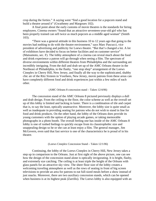crop during the forties." A saying went "find a good location for a popcorn stand and build a theatre around it" (Gwathmey and Margoues 102).

 A final point about the early customs of movie theatres is the standards for hiring employees. Cinema owners "found that an attractive seventeen-year-old girl who has been properly trained can sell twice as much popcorn as a middle aged woman" (Smith 103).

 "There was a general attitude in this business 10 to 12 years ago that going to the movies had nothing to do with the theatre environment," says Marc Pascucci, vice president of advertising and publicity for Loews theatre. "But that's changed a lot. A lot of exhibitors have decided to focus on better facilities and on customer service" (Matsumoto, sec. F). The lobby atmosphere of a cinema can reveal much about the food and drink experience a patron will go through when seeing a film. The spectrum of diverse environments within different theatres from Philadelphia and the surrounding are incredibly intriguing. From the dull and drab set up of the AMC Orleans theatre in the Northeast of Philadelphia, to the flashy, "one stop shop" arrangement of the Loews Cineplex in Cherry Hill, New Jersey, and finally all the way to the sophisticated, shabby chic air of the Ritz Sixteen in Voorhees, New Jersey, movie patrons from these areas can have completely different food and drink experiences just within a few miles of each other.

#### (AMC Orleans 8 concession stand – Taken 12/4/06)

 The concession stand of the AMC Orleans 8 pictured previously displays a dull and drab design. From the ceiling to the floor, the color scheme as well as the overall set up of this lobby is limited and lacking in luster. There is a combination of tile and carpet that is, to say the least, optically unattractive. Moreover, the lobby size is quite small as well as inadequate in providing seating for patrons who do not wish to stand in line for food and drink products. On the other hand, the lobby of the Orleans does provide its young customers with the option of playing arcade games, or taking memorable photographs in a photo booth. The overall feeling one has inside of the AMC Orleans 8 lobby is one of rushed feelings to quickly escape from its claustrophobic size and unappealing design so he or she can at least enjoy a film. The general manager, Jim McGovern, even said that fast service is one of the characteristics he is proud of in his theatre.

#### (Loews Cineplex Concession Stand – Taken 12/1/06)

 Continuing, the lobby of the Loews Cineplex in Cherry Hill, New Jersey takes a step up in comparison to the Orleans. Just at first sight of the above picture, one can see how the design of the concession stand alone is optically invigorating. It is bright, flashy, and extremely eye catching. The ceiling is at least triple the height of the Orleans with glass panels for an attractive sky view. The sheer floor size of the lobby creates a welcoming traveling atmosphere as well as the rows of seating in front of big screen televisions to provide an area for patrons to eat full-sized meals before a show instead of just snacks. Moreover, there are two auxiliary concession stands, which can be opened when business is at its highest peak (Zarrillo). The Loews lobby is also equipped with an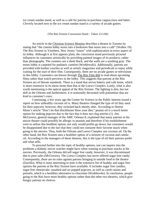ice cream sundae stand, as well as a café for patrons to purchase cappuccinos and lattes. Cleverly located next to the ice cream sundae stand is a variety of arcade games.

(The Ritz Sixteen Concession Stand – Taken 12/1/06)

 An article in the Christian Science Monitor describes a theatre in Toronto by stating that "the cinema lobby oozes into a bookstore that oozes into a café" (Walker 19). The Ritz Sixteen in Voorhees, New Jersey "oozes" with sophistication in every aspect of its lobby. Although it at first appears plain, the concession stand previously pictured influences its customers artistically by providing painted images of its products, rather than photographs. The counters are a sleek black, and the walls are a soothing gray. The entire lobby is carpeted for podiatric comfort (Wroblewski). Additionally, patrons are provided with leather couches as well as artistic magazines and periodicals to enjoy while waiting for the start of their film. Consequently, there are no arcade games or televisions in this lobby. Customers can breeze through The Ritz Film Bill to read about upcoming films rather than watch previews in the lobby. This suggests that patrons at the Ritz Sixteen are of literate standards. There is a stand that serves bakery and café items, which is more extensive in its menu items than that at the Loews Cineplex. Lastly, what is also worth mentioning is the optical appeal of the Ritz Sixteen. The lighting is dim, but not dull as the Orleans and furthermore, it is seasonally decorated with poinsettias that are kind to customer's eyes.

 Continuing, a few years ago the Center for Science in the Public Interest issued a report on how unhealthy coconut oil is. Many theatres changed the type of oil they used for their popcorn; however, they switched back shortly after. According to Denise Mann's article "Don't let that blockbuster blow your diet," peanut oil is a much better option for making popcorn due to the fact that it does not clog arteries (1). Jim McGovern, general manager of the AMC Orleans 8, explained that many patrons in his movie theatre could possibly be allergic to peanuts and therefore if his establishment were to utilize this healthier option, not only would profits go down, but customers would be disappointed due to the fact that they could not consume their favorite snack when going to the movies. Thus, both the Orleans and Loews Cineplex use coconut oil. On the other hand, the Ritz Sixteen uses a healthier option of a mixture of coconut and canola oil. According to the managers of these theatres, this is the type of oil their patrons prefer and what sells.

 To proceed further into the topic of healthy options, one can inquire into the problems a diabetic movie watcher might have when wanting to purchase snacks at the movies. Previously, the Orleans did sell sugar free candy; however, it was discontinued due to poor sales (McGovern). The Loews Cineplex has never offered sugar free candy. Consequently, there are no rules against patrons bringing in outside food to the theatre (Zarrillo). What is most interesting to note is the extensive list of healthy and sugar free options the patrons at the Ritz Sixteen have available. It includes sugar free candies, sugar free cheesecake, unsalted and air popped popcorn, as well as carob raisins and pretzels, which is a healthier alternative to chocolate (Wroblewski). In conclusion, people going to the Ritz have more healthy options rather than the other two theatres, which give hungry patrons no choices.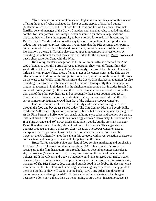"To combat customer complaints about high concession prices, more theatres are offering the type of value packages that have become staples of fast food outlets" (Matsumoto, sec. F). This is true of both the Orleans and Loews Cineplex. Dominick Zarrillo, general manager of the Loews Cineplex, explains that value is added into their combos for their patrons. For example, when customers purchase a large soda and popcorn, they will have the opportunity to buy a hotdog for one dollar. In contrast, the Ritz Sixteen in Voorhees does not offer any type of combination of their products to reduce high concession prices. One can hypothesize that the Ritz assumes their patrons are not in need of discounted food and drink prices, but rather can afford the influx. In a like fashion, a theatre in Toronto also creates appealing combos to its customers by providing the option of themed meals like quesdillas for the showing of Zorro movies and peach cheesecake for Gone with the Wind.

 Rick Wray, theater manager of the Film Forum in SoHo, is observed that "the type of audience the Film Forum serves is important. They want different films, they want different foods" (Cummings C-3). Accordingly, patrons of the Philadelphia located Orleans 8 want pretzels bites more often than not at the concession stands. This can be attributed to the tradition of the soft pretzel in the area, which is not the same for theatres on the west coast (McGovern). Furthermore, the Loews Cineplex has a reputation for also providing its customers with meals before the movie. Consequently their most popular product that comes in high demand is the chicken tender combo that includes french fries and a soft drink (Zarrillo). Of course, the Ritz Sixteen's patrons have a different pallet than that of the other two theatres, and consequently their most popular product is tiramisu cake. Staying true to its already stated theme, one can conclude that the Ritz serves a more sophisticated crowd than that of the Orleans or Loews Cineplex.

 One can now see a return to the refined style of the cinema during the 1920s through the food and beverages served today. The Plitt Century Plaza in Beverly Hills, California "offers not only a choice of imported beers, but even champagne by the glass." At the Film Forum in SoHo, one "can snack on home-style cakes and cookies, ice cream, nuts, and dried fruits as well as old fashioned egg creams." Conversely, the Cinema I and II at Third Avenue and  $60<sup>th</sup>$  Street tried selling fancy goods, but the assistant manager David Klingham stated that they did not last due to the roaches. This suggests that gourmet products are only a place for classy theatres. The Loews Cineplex tries to incorporate more epicurean items for their customers with the addition of a café; however, the Ritz literally takes the cake in this category with a vast selection of desserts, coffees, teas, and bakery items available for patrons in the area.

 Bruce Taffet, executive vice president of food service, marketing and purchasing for United Artists Theatre Circuit says that about 80% of his company's box office receipts go to the film distributors. As a result, theatres depend on concession sales to stay in business (Matsumoto, sec. F). Thus, this brings up the topic of outside food policies. Both the Orleans and Loews Cineplex would have to agree with Bruce Taffet; however, they do not see a need to impose a policy on their customers. Jim Wroblewski, manager of The Ritz Sixteen, does not mind outside food in the lobby. He does not want it in the actual theatre. "Our goal is making the movie–going experience as enjoyable for them as possible so they will want to come back," says Tony Adamson, director of marketing and advertising for AMC. "If that includes them bringing in hamburgers because we don't serve them, then we're not going to stop them" (Matsumoto, sec. F).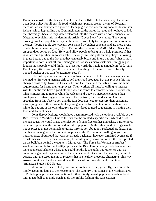Dominick Zarrillo of the Loews Cineplex in Cherry Hill feels the same way. He has an open door policy for all outside food, which most patrons are not aware of. Recently there was an incident where a group of teenage girls were concealing soda bottles in their jackets, which kept falling out. Dominick assured the ladies that they did not have to hide their beverages because they were welcomed into the theatre with no consequences. Jon Matsumoto explains this incident in his article "Cover Story" by stating "The young movie going teen population may be the group most likely to smuggle in food into movie theatres. Young people are typically constrained by budget concerns and are more prone to rebellious behavior anyway" (Sec. F). Jim McGovern of the AMC Orleans 8 also has an open door policy on food. He would allow people to bring in a whole pizza pie if that is what would get them in to see a film. The only limits he puts on his policy is allowing in glass bottles due to the fact that they can easily break and injure patrons. What is most important to note is that all three managers do not see as many customers smuggling in food as most people would think. "It's just not worth the hassle to smuggle in food," says Paul Hiegel, 46, who enjoys the experience of settling in for a movie with a freshly popped bucket of popcorn (Matsumoto, sec. F).

 The last topic to examine is the employee standards. In the past, managers were inclined to hire young teenage girls to sell their food products. But this practice this has changed drastically. Now, the Orleans, Loews Cineplex, and the Ritz all have the same requirements for hiring their employees. Their workers all must be willing to interact with the public and have a good attitude when it comes to customer service. Conversely, what is interesting to note is while the Orleans and Loews Cineplex encourage their employees to utilize suggestive selling to their patrons, the Ritz does not. One can speculate from this observation that the Ritz does not need to pressure their customers into buying any of their products. They are given the freedom to choose on their own, while the patrons at the other theatres are considered to need suggestions in making their food and drink choices.

 John Harvey Kellogg would have been impressed with the options available at the Ritz Sixteen in Voorhees. Due to the fact that he created a specific diet, which did not include sugar, he would praise the selection of sugar free candies and cakes. Furthermore, he would appreciate the air popped, unsalted popcorn. On the other hand, Kellogg would not be pleased at not being able to utilize information about non-packaged products. Both the theatre managers at the Loews Cineplex and the Ritz were not willing to give out nutrition facts about food that was not already packaged; however, Jim McGovern said if a customer were to ask for information, he would gladly show him or her the facts printed on the bulk box behind the counters. Moreover, "The Three Fat Women of Antibes" would at first settle for the healthy options at the Ritz. This is mostly likely because they were at an establishment where they could not drink cocktails, but rather tea with no cream or sugar, and they were to eat the simplest food. One could theorize they would be ecstatic with the carob raisins or pretzels that is a healthy chocolate alternative. This way Arrow, Frank, and Beatrice would have the best of both worlds: health and taste. (American Studies 400 Notes).

 Also, movie theatres today are similar to diners in that, generally, they are both highly accommodating to their customers. The Country Club Diner in the Northeast area of Philadelphia provides menu options for their highly Jewish populated neighborhood with matzo ball soup and Jewish apple pie. In like fashion, the Ritz Sixteen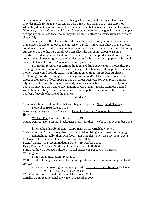accommodates for diabetic patrons with sugar free candy and the Loews Cineplex provides meals for its many customers who think of the theatre as a "one stop shop" when they do not have time to visit two separate establishments for dinner and a movie. Moreover, both the Orleans and Loews Cineplex provide for teenagers by having an open door policy on outside food should they not be able to afford the concession stand prices (Peteraf 5).

 As a result of the aforementioned research, when a family, couple, or even group of teenagers decide to go out to the movies on a Friday night, their choice of the cinema could mean a world of difference in their overall experience. Every aspect from the lobby atmosphere to the theatre's employees can affect the patron in various ways in an assortment of demographic locations. Nevertheless, trends in products and policies may come and go; however, going to the movies and enjoying a bucket of popcorn with a cold soda will always be one of America's favorite pastimes.

 For further research concerning the food and drink experience in movie theatres, one might interview more movie theatre managers. Furthermore, taking polls of frequent movie –goers could provide extensive information on trends in product purchases. Continuing, Jim McGovern, general manager of the AMC Orleans 8 mentioned how the effect of the record of local sports teams can affect business. For example, if a major city's football team is having a particularly poor season, patrons are more likely to turn out to the movies than want to stay at home to watch their favorite team lose again. It would be interesting to see what other effects other public entertainment has on the number of people who attend the movies.

Works Cited

Cummings, Judith. "Movie fare that goes beyond popcorn." New York Times 26 November 1986, late ed.: C-3.

Gwathmey, Emily and John Margoues. Ticket to Paradise: American Movie Theatres and How

We Had Fun. Boston: Bullfinch Press, 1991.

Mann, Denise. "Don't let that blockbuster blow your diet." WebMD. 30 November 2006  $\sim$   $\sim$ 

http://onhealth.webmd.com/ script/main/art.asp?articlekey=56760 >

Matsumoto, Jon. "Cover Story; No Concession; Many filmgoers insist on bringing in (smuggling, really) their own food." Los Angeles Times. 28 May 1998, Sec. F.

McGovern, Jim. Personal Interview. 4 December 2006.

Peteraf, Jamie. "The Accommodating Diner." 19 October 2006.

Ryan, Francis. American Studies 400 Lecture Notes. Fall 2006.

Smith, Andrew F. Popped Culture: A Social History of Popcorn in America. Washington:

Smithsonian Institution Press, 2001.

Walker, Ruth. "Going first class at the movies plush seats and waiters serving real food are part

of a small but growing movie going trend." Christian Science Monitor 15 January 1999: sec Features, Arts, & Leisure 19.

Wroblewski, Jim. Personal Interview. 1 December 2006.

Zarrillo, Dominick. Personal Interview. 1 December 2006.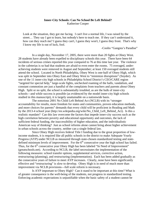## **Inner-City Schools: Can No School Be Left Behind?** Katherine Cooper

Look at the situation, they got me facing. I can't live a normal life, I was raised by the street… They say I got to learn, but nobody's here to teach me. If they can't understand it, how can they reach me? I guess they can't, I guess they won't, I guess they front. That's why I know my life is out of luck, fool.

-Coolio "Gangsta's Paradise"

In a single day, November 17, 2005, there were more than 20 fights at Olney West. 28 students have already been expelled to disciplinary schools this year. There have been 64 incidents of serious crimes reported this year compared to 76 at this time last year. The violence in the cafeterias is so bad that students are afraid to even enter the rooms. 75 overaged, underachieving students were removed in August and September; at least 150 overaged students still attend the school. Located in North Philadelphia, Olney West is one-half of Olney High, which was split in September into Olney East and Olney West to "minimize disruptions" (Snyder). As one of the 11 inner-city high schools in Philadelphia School District's CEO/CARE region "targeted for special help," large-scale fights, unchecked roaming of the halls, vandalism, and constant commotion are just a handful of the complaints from teachers and parents about Olney High. Split or no split, the school is substantially troubled, as are the bulk of inner-city schools—and while success is possible (as evidenced by the model inner-city high schools studied in this manuscript), it is largely unattainable on a nationwide basis.

The notorious 2001 No Child Left Behind Act (NCLB) with its "stronger accountability for results, more freedom for states and communities, proven education methods, and more choices for parents" demands that every child will be proficient in Reading and Math by the 2013-4 school year (http://en.wikipedia.org/wiki/No\_Child\_Left\_Behind\_Act). Is this a realistic mandate? Can this law overcome the factors that impede inner-city success such as the high correlation between poverty and educational opportunity and outcomes, the lack of sufficient federal funding, the inaccessibility of higher education, and the individualistic American way of thinking? Just as school reforms alone cannot bring about higher achievement in urban schools across the country, neither can a single federal law.

Since Olney High receives federal Title I funding due to the great proportion of lowincome students, it is required like all public schools in the district to make Adequate Yearly Progress (AYP) under NCLB as measured through state-chosen standardized testing and statedefined minimum levels of improvement. For the  $6<sup>th</sup>$  consecutive year the high school has failed. Thus, for the  $6<sup>th</sup>$  consecutive year Olney High has been labeled "In Need of Improvement" (greatschools.net). According to NCLB, the label necessitates the implementation of the following measures: school transfer options, supplemental services, corrective action, restructuring (planning), and restructuring (implementation). Each has been added gradually as the consecutive years of failure to meet AYP increases. Clearly, none have been significantly effective and "restructuring" is slow to develop. Olney High is in need of much more than improvement via NCLB provisions—full scale reform is necessary.

Is AYP important to Olney High? Can it stand to be important at this time? What is of greater consequence is the well-being of the students, not progress in standardized testing. Enforcing academic expectations is unjustifiable when the basic safety of a student cannot be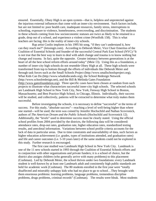ensured. Essentially, Olney High is an open system—that is, helpless and unprotected against the injurious external influences that come with an inner-city environment. Such factors include, but are not limited to: poor health care, inadequate resources, family stress, interruptions in schooling, exposure to violence, homelessness, overcrowding, and discrimination. The students in these schools coming from low socioeconomic statuses are twice as likely to be retained in a grade, drop out of a school, and experience a violent crime (Woolfolk 158). This is what teachers are facing; this is the reality of inner-city schools.

Rap artist Coolio implores in his 1995 hit song, "if they can't understand it, how can they reach me?" (letssingit.com). According to Deborah Meier, Vice Chair Emeritus of the Coalition of Essential Schools and founder of the successful Central Park East School (NYC):"It is not true that the best way to learn to deal with adult change and trauma is to know nothing but change and trauma. In fact, quite the opposite. Greater intimacy between generations is at the heart of all the best school reform efforts around today" (Meie 13). Using this as a foundation, a number of inner-city high schools do not resemble Olney High at all. These high schools were transformed from top to bottom through the efforts of individuals like Deborah Meier and through task forces such as the Small Schools Project (http://www.smallschoolsproject.org), What Kids Can Do (http://www.whatkidscando.org), the School Redesign Network (http://www.schoolredesign.net), and the Bill & Melinda Gates Foundation (http://www.gatesfoundation.org). Three specific cases have been chosen at random from such projects to illustrate what characterizes successful inner-city high schools. The selected schools are Landmark High School in New York City, New York; Fenway High School in Boston, Massachusetts; and Best Practice High School, in Chicago, Illinois. Individually, their success will be studied, and collectively, patterns will be extracted to determine what truly makes them successful.

Before investigating the schools, it is necessary to define "successful" or the terms of success. For this study, "absolute success"—reaching a level of well-being higher than where one started—will be used; the term was coined by Jennifer Hochschild and Nathan Scovronick, authors of *The American Dream and the Public Schools* (Hochschild and Scovronick 12). Additionally, the "levels" used to determine success must be clearly stated. Using the official school profiles from 2004 provided by the districts, the following data will be considered: attendance rates, drop-out rates, graduation rate, higher education rates, standardized testing results, and anecdotal information. Variations between school profile criteria accounts for the lack of data in particular areas. Due to time constraints and unavailability of data, such factors as higher education achievement (i.e. grades, types of institutions attended, and graduation rates) and life and career outcomes (i.e. 5-10 years later) of the same students could not be explored in this study. Further research is encouraged.

The first case studied was Landmark High School in New York City. Landmark is one of the 11 new schools started in 1993 through the Coalition of Essential Schools efforts and in conjunction with other organizations and private funders; it is a school of choice, but the district also assigns children (who generally arrive with many problems) to this placement (Cushman). Led by Deborah Meier, the school thrives under two foundations: every Landmark student is well-known by at least one Landmark adult and consistently high public standards are held for academic work (Cushman). The 80 students enrolled in the first year were "totally disaffected and miserably unhappy kids who had no place to go to school…They brought with them enormous problems: learning problems, language problems, tremendous discipline problems, drugs problems, criminal records" (Cushman). The results were bleak. Most students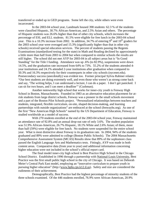transferred or ended up in GED programs. Some left the city, while others were even incarcerated.

In the 2003-04 school year, Landmark housed 398 students: 62.3 % of the students were classified Hispanic, 30.7% African-American, and 2.5% Asian and others. The percentage of Hispanic students was 26.6% higher than that of other city schools, which increases the percentage of ESL and ELL students. 81.5% were eligible for free lunch in the 2003-04 school year. This is a 10.3% increase from 2002. In addition, 34.7% of entering  $9<sup>th</sup>$  and  $10<sup>th</sup>$  graders for the 2003 school year were overaged and 15.3% (significantly higher than that in other city schools) received special education services. The percent of students passing the Regents Examinations (standardized testing for the state) in Math and Reading declined by approximately a little more than half from 2003 to 2004 but when compared to similar schools the results are still higher. The school did not met AYP for 2003-04 in all subject areas but is "In Good Standing" for the Title I funding. Attendance was up .6% (to 82.9%), suspensions were down 14.5%, and the graduation rate increased from 64% to 73%. 55.2% of the students attended 4 year institutions and 24.1% attended 2-year institutions after graduation when compared to 50.3% and 16.3% respectively for their counterparts in other city schools (nycenet.edu). Postsecondary success (anecdotally) was evident too. Former principal Sylvia Rabiner relates: "Our best students are doing extremely well, and even those who weren't as strong come back and say, 'The writing helps, I can understand a lecture, I can do a paper. I don't get panicked. I can sit for two hours, and I can meet a deadline'" (Cushman).

Another noteworthy high school that works for inner-city youth is Fenway High School in Boston, Massachusetts. Founded in 1983 as an alternative education placement for atrisk students from large district schools, Fenway was a pioneer in the small schools movement and a part of the Boston Pilot Schools project. "Personalized relationships between teachers and students, integrated, flexible curriculum, on-site, shaped decision-making, and learning partnerships with outside organizations" are embraced at the school (fenwayhs.org). As one of the first "New American High Schools" named by the US Department of Education, Fenway is studied worldwide as a model of success.

With 270 students enrolled at the end of the 2003-04 school year, Fenway maintained an attendance rate of 92.8% and an annual drop-out rate of only 3.6%. The student population was 51.9% African-American, 26.7% Hispanic, 18.1% White and 2.6% Asian; of them, more than half (59%) were eligible for free lunch. No students were suspended for the entire school year. What is most distinctive about Fenway is its graduation rate. In 2004, 94% of the students graduated and 89% were admitted to college (Boston Public Schools). The 2004 Massachusetts Comprehensive Assessment System (MCAS) Results show that 89% of the sophomore class passed the English Language Arts and Mathematics tests. Fittingly, AYP was made in both content areas. Comparative data (from year to year) and additional information concerning higher education were not included in the school's official report card.

The final model inner-city high school is Best Practice High School in the Chicago School District. Established in 1996 through a partnership with National-Louis University, Best Practice was the first small public high school in the city of Chicago. It was based on Deborah Meier's Central Park East model, employing an "innovative curriculum to prepare youth in pursuing higher education" (http://www.bphs.cps.k12.il.us). Safety and size are considered the rudiments of their achievement.

Demographically, Best Practice had the highest percentage of minority students of the three schools examined. Of the 446 students enrolled, 76.9% were African-American, 20.9%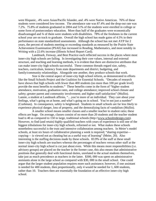were Hispanic, .4% were Asian/Pacific Islander, and .4% were Native American. 76% of these students were considered low-income. The attendance rate was 87.4% and the drop-out rate was 7.2%. 75.8% of students graduated in 2004 and 51% of the students were enrolled in college or some form of postsecondary education. More than half of the graduates were economically disadvantaged and ¾ of them were students with disabilities. 78% of the freshmen in the current school year are on track to graduate. Overall the high school has made gains of 4.5% in their performance on state standardized assessments. Although the school has not met AYP for 2 years, the percent of students meeting or exceeding standards as measured by the Prairie State Achievement Examination (PSAE) has increased in Reading, Mathematics, and most notably in Writing with a 22.6% increase (Illinois School Report Card).

Landmark, Fenway, and Best Practice each reflected success in the places where most inner-city high schools are failing. In investigating their core values, internal and external structure, and teaching and learning methods, it is evident that there are distinctive attributes that can make inner-city high schools successful. These common threads regard size, safety, teachers, curriculum, leniency from state departments and district, budgeting, and family/community relationships. Alongside one another, they produce schools that work.

Size is the central aspect of inner-city high school reform, as demonstrated in efforts like the Small Schools Project and the Coalition for Essential Schools. "Decades of research have shown that high schools with fewer than 400 students (no more than 100 per grade level) provide the most benefits to students." These benefits come in the form of "higher student attendance, motivation, graduation rates, and college attendance; improved school climate and safety; greater parent and community involvement; and higher staff satisfaction" (Mullin). Lannie, a student at Landmark affirms, "…you're more of an individual. They care about your feelings, what's going on at home, and what's going on in school. You're not just a number" (Cushman). In consequence, safety is heightened. Students in small schools are far less likely to experience physical danger, loss of property, and the demoralizing facts of vandalism (Mullin).

A smaller school means smaller classes and a smaller teacher to student ratio; these effects are huge. On average, classes consist of no more than 20 students and the teacher student load is 40 as compared to 150 in large, traditional schools (http://www.schoolredesign.com). However, to find (and retain) highly-qualified teachers with years of experience is still one of the biggest tribulations for inner-city high schools, reformed or not. What makes these schools nonetheless successful is the trust and intensive collaboration among teachers. In Meier's model schools, at least six hours of collaborative planning a week is required; "sharing expertise copying— is viewed not as cheating but as a useful way of learning" (Meier, 20). Also interesting is the staffing decisions made by these schools. 83.9% of the staff at these small inner-city high schools are teachers whereas the percentages of teachers versus other staff at the normal inner-city high school is cut just about even. While this means more responsibilities (i.e. advisory groups) are placed on the teacher in the former case, this also means that administrative positions that generally deal with functional duties, unrelated to the actual students themselves, take just as much precedence as teachers in the latter. \$300, 000 was spent on administrative assistants alone in the large school as compared with \$30, 000 in the small school. One could argue that the larger student population requires more such assistance; however, if one assistant is needed for 400 students, then proportionally, only 4 would be needed for 1, 600 students, rather than 10. Teachers then are essentially the foundation of an effective inner-city high school.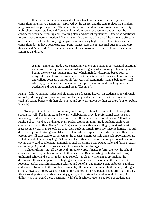It helps that in these redesigned schools, teachers are less restricted by their curriculum; alternative curriculums approved by the district and the state replace the standard programs and scripted agendas. These alterations are crucial to the reformation of inner-city high schools; every student is different and therefore room for accommodations must be considered when determining and enforcing state and district regulations. Otherwise additional reforms that are merely functional (i.e. transforming the size of a school) become less effective or completely useless. In studying the particular inner-city high schools, three key aspects of curriculum design have been extracted: performance assessment, essential questions and core themes, and "real world" experiences outside of the classroom. This model is observable in action at Landmark:

> A ninth- and tenth-grade core curriculum centers on a number of "essential questions" and aims to develop fundamental skills and higher-order thinking. Eleventh grade begins the two-year "Senior Institute" which includes discipline-based courses designed to yield projects suitable for the Graduation Portfolio, as well as Internships and college courses. And for all four years, all Landmark students belong to small advisory groups in which an adult advisor provides continual coaching in both academic and social-emotional areas (Cushman).

Fenway follows an almost identical blueprint, also focusing heavily on student support through tutorials, advisory groups, co-teaching, and learning centers; it is important that students establish strong bonds with their classmates and are well-known by their teachers (Boston Public Schools).

 To augment such support, community and family relationships are fostered through the schools as well. For instance, at Fenway, "collaborators provide professional expertise and mentoring, worksite experiences, and six-week fulltime internships for all seniors" (Boston Public Schools) and at Landmark, every Friday afternoon, ninth-grade students explore the community around them (New York City) via museums, theatres, colleges, etc (Cushman). Because inner-city high schools do draw their students largely from low-income homes, it is still difficult to promote strong parent-teacher relationships despite best efforts to do so. However, parents are still expected to participate to the greatest extent possible and such opportunities are still abundant. On Fenway High School's website, there are pictures upon pictures of celebrated events that would supplement relationships such as Family Math Night, male and female retreats, Community Day, and Red-Sox games (http://www.fenwayhs.org).

 School reform is not all theoretical. In other words, finance reform, the way the school allocates resources, is also important to their success. By contrasting the budgets of a large, traditional school and a small redesigned school, it is clear what changes are making the difference. It is also imperative to highlight the similarities. For example, the per student revenue, teacher and administration salaries and benefits, and money spent on books, supplies, and services (relative to the number of students) all remained the same. In the small, redesigned school, however, money was not spent on the salaries of a principal, assistant principals, deans, librarians, department heads, or security guards; in the original school, a total of \$740, 000 dollars was put toward these positions. While both schools receive \$5, 800 per student, the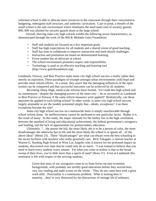reformed school is able to allocate more resources to the classroom through their conscientious budgeting, redesigned staff structure, and authentic curriculum. Case in point, a benefit of the small school is the safe environment which eliminates the need (and cost) of security guards; \$90, 000 was allotted for security guards alone at the large school.

 Overall, thriving inner-city high schools exhibit the following seven characteristics, as demonstrated through the work of the Bill & Melinda Gates Foundation:

- Staff and students are focused on a few important goals.
- Staff has high expectations for all students and a shared vision of good teaching.
- Staff has time to collaborate to improve instruction and meet shared challenges.
- Instruction and promotion are based on demonstrated learning.
- Every student has an advocate at school.
- The school environment promotes respect and responsibility.
- Technology is used as an effective teaching and learning tool (http://www.gatesfoundation.org)

Landmark, Fenway, and Best Practice make inner-city high school success a reality rather than merely an aspiration. These paradigms of triumph amongst urban environments yield hope and provoke more reform efforts. In a sense, they assert that the damaging influences of the open system can be conquered and that successful outcomes can be achieved by all students.

 Revisiting Olney High, small-scale reforms there fizzled. Yet could this high school and its counterparts—despite the damaging powers of the inner-city— be as successful as Landmark or Best Practice or Fenway if the same reform measures were applied? Realistically, can these measures be applied to each failing school? In other words, is inner-city high school success largely attainable or are the models presented simply that—ideals, exceptions? Can these exceptions become the rule?

 Inner-city high school success on a nationwide basis is simply unachievable through school reform alone. Its ineffectiveness cannot be attributed to one particular factor. Rather it is the result of many. In this study, the major rationale for the futility lies in the high correlation between the standard of living and educational achievement, the federal government's stringency and funding, and the lack of opportunities for postsecondary education.

 Ultimately, "…the poorer the kid, the more likely she is to be a person of color, the more disadvantages she otherwise has in life and the more likely the school is to ignore all…of the above ideas" (Meier 23). These "disadvantages" are what can thwart even the best schooling in the nicest facilities with teachers who really genuinely care. Rick Takagaki, a veteran teacher at Warren G. Harding High School in West Los Angeles who is known for his profound impact on students, discovered over time that he could only do so much. "I was trained to believe that you need to reach every student, every minute. Yet what you come to realize is that in the broad sweep of their lives, you're little more than a speck of sand" (Rose 51). Even at Landmark this sentiment is felt with respect to the arriving students.

> Given that most of our youngsters come to us from lower-income economic backgrounds, with probably not terribly good educations before they arrived here, very low reading and math scores on the whole…They do not come here with a great work ethic. Punctuality is a continuous problem. What is lacking here is maturity…they're very distracted by the distractions of teenage life (Cushman).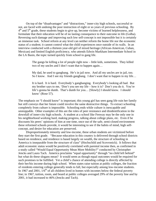On top of the "disadvantages" and "distractions," inner-city high schools, successful or not, are faced with undoing the poor instruction of eight or so years of previous schooling. By  $4<sup>th</sup>$  and  $5<sup>th</sup>$  grade, these students begin to give up, become victims of learned helplessness, and formulate that their education will be of no lasting consequence to their outcome in life (Golba). Reversing such damage and improving such low self-concept is not impossible but it is certainly an immense task. School reform at any level can neither reform the home life nor the economic status of a student; it cannot control what the child experiences once outside of its walls. In an interview conducted with a thirteen year-old girl of mixed heritage (African-American, Cuban, Mexican) and limited English proficiency, who attends Edwin Markham Intermediate School in the LA Basin, the topic turned quickly from school to gang life.

> The gangs be killing a lot of people right now – little kids, sometimes. They killed two of my uncles and I don't want that to happen again…

My dad, he used to gangbang. He's in jail now. And all my uncles are in jail, too. So I know. And I see my friends gangbang. I don't want that to happen in my life…

It is hard. It *is* hard. Everybody's gangbanging. Everybody's looking all bad. But my brother says to me, 'Don't you see my life – how it is? Don't you do it. You're life's gonna be dumb. That's dumb for you… [Slowly] I should know. I should know' (Rose 57).

The emphasis on "I should know" is important; this young girl has seen gang life ruin her family but still conveys that her future could involve the same destructive things. To extract schooling completely from culture is impossible. Schooling ends while culture is inescapable and unstoppable. Other examples of this are the roles of peer resistance and disidentification in the downfall of inner-city high schools. A student at a school like Fenway may be the only one in his neighborhood working hard, making progress, talking about college plans, etc. Even if he discounts his peers' opinions of him at one time, once out of the safe, semi-closed environment these reformed schools provide, it would be interesting to see if the habits of mind, high selfconcept, and desire for education are preserved.

 Disproportionately minority and low-income, these urban students are victimized before they start the first grade. "Because education in this country is delivered through school districts based on residence, and residence is based largely on wealth, the structure of schooling in America is inseparable from the structure of class" (Hochschild and Scovronick). It follows that adult economic status would be positively correlated with parental income then, as confirmed in a study called "Would Equal Opportunity Mean More Mobility?" conducted by Christopher Jencks and Laura Tach. America proclaims "equal opportunity" through "no child left behind" but what do these slogans mean? It would seem as though equal outcomes would be required for such promises to be fulfilled. Yet a child's chance of attending college is directly affected by their her/his income during high school. When states raise tuition at public colleges, the fraction of residents entering college generally tends to fall, but especially among low-income students. In 1967 and 2001,  $1/6^{th}$  of all children lived in homes with incomes below the federal poverty line; in 1967, tuition, room, and board at public colleges averaged 29% of the poverty line and by 2001, it had increased to 46% (Jencks and Tach).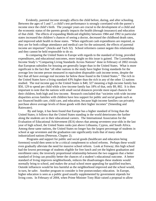Evidently, parental income strongly affects the child before, during, and after schooling. Between the ages of 5 and 7, a child's test performance is strongly correlated with the parent's income since the child's birth. The younger years are crucial to the development of a child and the economic status of the parents greatly impacts the health (through insurance) and education of that child. The effects of expanding Medicaid eligibility between 1984 and 1992 in particular states increased the children's chances of seeing a doctor, decreased the childhood death rates, and improved adult health in those states. "When significant cash expenditures are required, as they are for both college attendance and medical care for the uninsured, the effects of parental income are important" (Jencks and Tach 32). School reformers cannot negate this relationship and they cannot be held responsible to do so.

 In comparing the United States to Europe with regards to the standard of living, provided expenditures, and educational outcomes, more insight on this issue is gained. The Luxembourg Income Study's "Comparing Living Standards Across Nations" done in February of 2002 reveals that European subsidies for housing are generally larger than in the United States. What is more significant is the fact that "all other nations in the study have higher living standards for the average low-income person measured in equivalent disposable cash income terms, despite the fact that all have average real incomes far below those found in the United States." The rich in the United States have a living standard 43% higher than the rich in any of the other 12 nations studied. The real income gap in the United States is \$40, 327 meaning a high-income family has \$50, 129 to spend per child while a low-income family has 18% of that, only \$9, 802. It is then important to note that the nations with small social distances provide more equal chances for their children, both high and low-income. Research concluded that "societies with wide income disparities across families with children have less support for public and social goods such as tax-financed health care, child care, and education, because high-income families can privately purchase above average levels of those goods with their higher incomes" (Smeeding and Rainwater).

 By and large, it has been found that Europe has a higher standard of living than the United States; it follows that the United States standing in the world deteriorates the further along the students are in their educational careers. The International Association for the Evaluation of Educational Achievement (IEA) shows that among seventeen year-olds in the last year of high school, the United States ranks just above Lithuania, Cyprus, and South Africa. Among these same nations, the United States no longer has the largest percentage of students in school at age seventeen and the graduation rate significantly trails that of many other industrialized nations (Peterson, Chapter 2).

 Programs and support for public and social goods (healthcare and education being foremost) would then seem to be a critical complement to school reforms. Perhaps these would even gradually alleviate the need for massive school reform. Look at Fenway; this high school had the lowest percentage of students eligible for free lunch and yet the highest graduation and enrollment rates; the inversely proportional relationship between the two suggests that a better standard of living can possibly better the chances of a student's educational outcome. A better standard of living improves neighborhoods, reduces the disadvantages these students would normally bring to school, and makes the actual school more appealing for qualified teachers. Outside influences would be less harmful as the neighborhood improved and the school would, in turn, be safer. Another program to consider is free postsecondary education. In Europe, higher education is seen as a public good usually supplemented by government stipends for living costs. In February of 2004, when Prime Minister Tony Blair raised a proposal to allow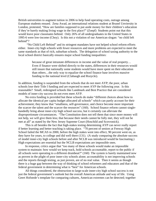British universities to augment tuition in 2006 to help fund operating costs, outrage among European students ensued. Zena Awad, an international relations student at Brunel Unviersity in London, protested, "How are families supposed to put aside money for their children's education if they're barely making living wage in the first place?" (Zoepf) Students point out that this would leave poor classmates behind. Only 26% of all undergraduates in the United States in 1995-6 were low-income (Choy). Is this not a violation of our American slogan: "no child left behind"?

 "No Child Left Behind" and its stringent mandates have not helped school reform efforts either. Inner-city high schools with fewer resources and more problems are expected to meet the same standards as that of rich, suburban schools. The delegation of school taxing authority to the local school district basically ensures major school funding inequalities:

> because of great intrastate differences in income and the value of real property… Even if finance were shifted directly to the states, differences in their resources would still insure that nationally some students would have more spent on their education than others…the only way to equalize the school finance base involves massive funding to the national level (Clabaugh and Rozycki).

In addition, funding is suspended from the schools that do not meet AYP; the poor, urban schools lose their Title I funding and are expected to meet AYP the following year. Is this reasonable? Small, redesigned schools like Landmark and Best Practice that are considered models of inner-city success do not even meet AYP.

 No extra funding is provided but these schools do make "different choices about how to allocate the identical per capita budget allocated all schools" which can partly account for their achievement; they know that "smallness, self-governance, and choice become more important the scarcer the talent and the scarcer the resources" (160). School finance reform cannot singlehandedly bring about inner-city high school success, but it certainly can alleviate the disproportionate circumstances. "The Constitution does not tell them that since more money will not help, we will give them less; that because their needs cannot be fully met, they will not be met at all" as stated by the New Jersey Supreme Court (Hoschild and Scovronick).

 This is all besides the fact that high-stakes testing determining AYP can never really report if better learning and better teaching is taking place. "70 percent of seniors at Fenway High School failed the MCAS in 2000, before the high stakes went into effect, 90 percent went on, as they have for years, to college and did well there (131). (A study comparing the absolute success of model inner-city high schools before and after NCLB was introduced would be fascinating.) High expectations are essential but the NCLB expectations are impossible ones.

 In response, critics argue that "too many of these schools would make an impossible system to maintain: how would we keep track, hold schools accountable, report to the public if all schools were operating to a different drumbeat?" (160) The system is barely maintained now as proven in the plight of poor inner-city schools alone; accountability is not improving schools and the reports through testing, as just proven, are of no real value. Then it seems as though there is a huge gap between the way of thinking of school reformers and educators and that of the federal government in determining what is "best" for American schools.

 All things considered, the obstruction to large-scale inner-city high school success is not just the federal government's outlook but the overall American attitude and way of life. Using Geert Hofstede's template for comparing cultures, American extremes can be detected; together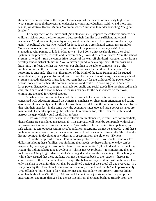these have been found to be the major blockade against the success of inner-city high schools; what's more, through these central tendencies towards individualism, rigidity, and short-term results, we destroy Horace Mann's "common school" initiative to render schooling "the great leveler."

 The heavy focus on the individual ("it's all about me") impedes the collective success of all children, rich or poor, the latter more so because their families lack sufficient individual resources. "And no parents, wealthy or not, want their children to lose ground so others may gain." A political activist who worked for Jesse Jackson's presidential campaigns grumbles, "When someone tells me, now it's your turn to feel the pain—these are my kids!...I do sympathize with parents of kids in other towns. But I don't think we should ruin the school system in the process" (Hoschild and Scovronick 59). Would collective success "ruin the school system" or would it ruin the competitive success of the well-off children? Another parent from a wealthy school district chimes in, "We've never aspired to be average here. If our costs are a little high, it reflects the fact that we want our children to be able to compete" (52). The implication is that the parents of poor children do not want their children to compete. The reasoning is unsound. This is an illustration of the Myth of the Lone Ranger and his rugged individualism, every person for him/herself. From the perspective of many, the existing school system is already decayed; it just does not seem that way for the children of the powerholders, whose money affords them the dominant opinions and control. Accordingly with America's large power distance less support is available for public and social goods like tax-financed health care, child care, and education because the rich can pay for the best services on their own, eliminating the need for federal support.

 So when school reform is launched, these power holders with ulterior motives are not too concerned with education; instead the American emphasis on short-term orientation and strong avoidance of uncertainty enables them to save their own stakes in the situation and block reforms that ruin their agendas. In the same way, the economic status quo and large power distance are maintained. Generally speaking, the rich want to remain on top, rather than redistribute and narrow the gap, which would result from reforms.

 To Americans, even when these reforms are implemented, if results are not immediate, then reforms are considered unsuccessful. This approach will never be compatible with school reform or any kind of reform for that matter. Worthwhile reform requires time, patience, and risk-taking. It cannot occur within strict boundaries; uncertainty cannot be avoided. Until these inclinations can be overcome, widespread reform will not be capable. Essentially "the difficulty lies not so much in developing new ideas as in escaping from the old ones" (Kynes).

 "For the people who think, 'This is not my problem': it is…We should spend our tax dollars in helping these families, not hindering their needs, so these children one day can be responsible, tax-paying citizens not burdens to our communities" (Hoschild and Scovronick 14). Again, the individualistic tone is evident in "This is not *my* problem." It is interesting then to look back at Olney High's dismissal of 75 overaged students at the beginning of the school year. While they assured that these students will not be released back to the "streets," there is no confirmation of this. The violent and disrespectful behavior they exhibited within the school will only translate to behavior that will then be exhibited outside of the school all day everyday. In a study done by the Correctional Education Association, it was found that 62% of approximately 1400 offenders (more than ¼ for violent crimes and just under ¼ for property crimes) did not complete high school (Smith 13). Almost half had not had a job six months to a year prior to incarceration and more than 2/3 had a close friend from their neighborhood (mostly from the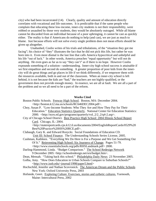city) who had been incarcerated (14). Clearly, quality and amount of education directly correlates with vocational and life outcomes. It is predictable that if the same people who complain that educating these low-income, inner-city students is not their responsibility, were robbed or assaulted by those very students, they would be absolutely outraged. While all blame cannot be discarded from an individual because of a poor upbringing, it cannot be cast as quickly either. The reality is that if Americans do nothing to help (and can), we are just as much to blame. Just because efforts will not solve every single problem does not mean efforts should be given up altogether.

 Unabashed, Coolio writes of his trials and tribulations, of the "situation they got me facing"; his choice of "they" illustrates the fact that he did not pick this life, but rather he was born into it. Even more dismal is the last line that calls America hypocritical and unhelpful and his life "out of luck." In other words, America preaches "equal opportunity" but will not do anything. He even goes as far as to say "they can't" as if there is no hope. However Coolio expounds something of a solution—understanding. Inner-city high school success *is* attainable if we first empathize and second do something. A greater proportion of poor kids from the innercity will do great things and go places in life if we think differently, if we empower them with the resources available, both in and out of the classroom. When an inner-city school is left behind, it is not because the kids are "bad," the teachers are not highly-qualified, or the government does not provide enough money. In essence, we are all at fault. We are all a part of the problem and so we all need to be a part of the reform.

## **Works Cited**

- Boston Public Schools. Fenway High School. Boston, MA: December 2004. <http://boston.k12.ma.us/schools/RC646DEC2004.pdf>.
- Choy, Susan P. "Low-Income Students: Who They Are and How They Pay for Their Education." Education Statistics Quarterly. National Center for Education Statistics: 2000. <http://nces.ed.gov/programs/quarterly/vol\_2/2\_2/q4-2.asp>.
- City of Chicago School District. Best Practice High School: 2004 Illinois School Report Card. Chicago, IL: 2004.

<http://statereportcards.cps.k12.il.us/documents/2004/EnglishReportCards/0529%20 Best%20Practice%20HS%20RCE.pdf>.

- Clabaugh, Gary K. and Edward Rozycki. Social Foundations of Education CD. Unit III: School Finance. The Understanding Schools Series License, 2005.
- Cushman, Kathleen. "Everything We Do Here is For a Purpose and We Get Something Out Of It." Reinventing High School: Six Journeys of Change. Pages 51-79. <http://www.essentialschools.org/pdfs/RHSLandmark.pdf> 2000.
- Darling-Hammond, Linda. "Budget Comparison." The School Redesign Network 9 December 2005 <http://schoolredesign.net/srn/budget.htm>.
- Dean, Mensah. "Taking back this school." Philadelphia Daily News 23 November 2005.
- Golba, Amy. "How Does Education in Urban Schools Compare to Suburban Schools?" <http://www.iusb.edu/~journal/1998/paper5.html>
- Hochschild, Jennifer and Nathan Scovronick. The American Dream and the Public Schools New York: Oxford University Press, 2003
- Hofstede, Geert. Exploring Culture. Exercises, stories and sythetic cultures. Yarmouth, Maine: Intercultural Press, 2002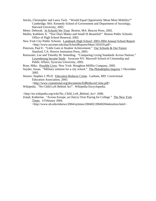Jencks, Christopher and Laura Tach. "Would Equal Opportunity Mean More Mobility?" Cambridge, MA: Kennedy School of Government and Department of Sociology, Harvard University, 2005.

Meier, Deborah. In Schools We Trust Boston, MA: Beacon Press, 2002.

- Mullin, Kathleen A. "Size Does Matter and Small IS Beautiful!" Boston Public Schools: Office of High School Renewal, 2002.
- New York City Public Schools. Landmark High School: 2003-2004 Annual School Report. <http://www.nycenet.edu/daa/SchoolReports/04asr/102419.pdf>.
- Peterson, Paul E. "Little Gain in Student Achievement." Our Schools & Our Future*.*  Stanford, CA: Hoover Institution Press, 2003.
- Rainwater, Lee and Timothy M. Smeeding. "Comparing Living Standards Across Nations." Luxembourg Income Study Syracuse NY: Maxwell School of Citizenship and Public Affairs, Syracuse University, 2002.

Rose, Mike. Possible Lives New York: Houghton Mifflin Company, 2005.

- Snyder, Susan. "Military solution for a city school." The Philadelphia Inquirer 1 December 2005.
- Steurer, Stephen J. Ph.D. Education Reduces Crime. Lanham, MD: Correctional Education Association, 2003.

<http://www.ceanational.org/documents/EdReducesCrime.pdf>

Wikipedia. "No Child Left Behind Act". Wikipedia Encyclopedia.

<http://en.wikipedia.org/wiki/No\_Child\_Left\_Behind\_Act> 2006.

Zoepf, Katherine. "Across Europe, an Outcry Over Paying for College." The New York Times. 4 February 2004.

<http://www.uh.edu/ednews/2004/nytimes/200402/20040204uktuition.html>.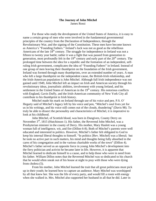## **The Journey of John Mitchel**  James Rossi

For those who study the development of the United States of America, it is easy to name a certain group of men who were involved in the fundamental governmental principles of the country from the Declaration of Independence, through the Revolutionary War, and the signing of the Constitution. These men have become known as America's "Founding Fathers." Ireland's luck was not as good as the rebellious Americans of the late  $18<sup>th</sup>$  century. The struggle for independence in Ireland was not a fifteen to twenty year battle; rather it was a fight that was passed from generation to generation, most profoundly felt in the  $19<sup>th</sup>$  century and early part of the  $20<sup>th</sup>$  century. The prolonged time between the idea for a republic and the formation of an independent, selfruling Irish government, complicates the idea of "Founding Fathers" in Ireland. Instead of one group of men leaving their thumbprint on the foundation of the Irish government, Ireland was formed through many thumbprints, over an extended number of years. A man who left a large thumbprint on the independent cause, the British-Irish relationship, and the Irish-American population is John Mitchel. Although full Irish independence was not gained until 1949, John Mitchel left an impact on Irish and American society through his revolutionary ideas, journalistic abilities, involvement with young Ireland, and his settlement in the United States of American in the  $19<sup>th</sup>$  century. His notorious conflicts with England, Gavin Duffy, and the Irish-American community of New York City all contribute to his thumbprint in Irish history.

 Mitchel made his mark on Ireland through use of his voice and pen. P.S. O' Hegarty said of Mitchel's legacy left by his voice and pen, "Mitchel's soul lives yet for us in his writings, and his voice still comes out of the clouds, thundering" (Davis 98). To truly be able to dissect the personality and characteristics of Mitchel, it is imperative to look at his childhood.

 John Mitchel, of Scottish blood, was born in Dungiven, County Derry on November  $3<sup>rd</sup>$ , 1815 (Hutchinson 1). His father, the Reverend John Mitchel, was a Presbyterian minister in the county of Derry. His mother, Mary Haslett was a young woman full of intelligence, wit, and fire (Dillon 6-8). Both of Mitchel's parents were well educated and interested in politics. However, Mitchel's father felt obligated to God to keep his internal liberal thoughts to himself. "In politics [Rev. Mitchel] was a liberal; but he took no active part in such matters, his mind and thoughts being fully absorbed in the cares of his congregation and in the various charitable works of the town" (Dillon 4). Mitchel's father served as an opposite force in young John Mitchel's development into the fiery politician and activist he became later in life. However, it is apparent that Mitchel learned to dedicate himself to a cause, and to help those who were in need from his father. William Dillon notes that the Reverend Mitchel was so dedicated to his church that he would often sneak out of his house at night to pray with those who were dying from cholera (5).

 From his mother, John Mitchel learned the trait that all great politicians must pick up in their youth; he learned how to capture an audience. Mary Mitchel was worshipped by all that knew her. She was the life of every party, and would fill a room with energy when she walked in. Mrs. Mitchel also supported her husband in all that he did. Later in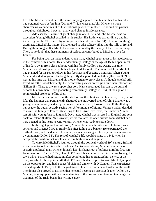life, John Mitchel would need the same undying support from his mother that his father had obtained years before him (Dillon 6-7). It is clear that John Mitchel's strong character was a direct result of his relationship with his mother. He adored his parents throughout childhood; however, that would change in adolescence.

 Adolescence is a time of great change in one's life, and John Mitchel was no exception. Young Mitchel excelled in his studies. His Latin was extraordinary and his knowledge of the Christian religion impressed his tutors (Dillon 14). However, nothing captivated Mitchel like nature. Mitchel used to take solitary hikes into the hills of Ireland. During these long walks, Mitchel was overwhelmed by the beauty of the Irish landscape. There is no doubt that these moments of reflection contributed to Mitchel's love for Ireland.

 For being such an independent young man, Mitchel spent most of his adolescence in the comfort of his home. He attended Trinity College at the age of 15, but spent most of his days away from class at home with his family (Dillon 16). During this time, Mitchel's relationship with his father began to deteriorate. The Reverend John Mitchel had planned for his son to follow in his footsteps and become a minister. When Young Mitchel decided to go into banking, he greatly disappointed his father (Harrison 382). It was at this time that Mitchel and his mother began to grow closer. Although Mitchel still loved his father wholeheartedly, their contrasting views on religion hurt their relationship (Dillon 18). There to always support her son, Mary encouraged her son to go out and become his own man. Upon graduating from Trinity College in 1834, at the age of 19, John Mitchel broke out of his shell.

 Mitchel's emergence from the shell of youth is best seen in his twenty first year of life. The hammer that permanently shattered the introverted shell of John Mitchel was a young woman of only sixteen years named Jane Verner (Harrison 382). Enthralled by her beauty, he began secretly seeing her. After months of hiding, Verner's father decided to move the family to France. Unwilling to let his true love leave, the stubborn Mitchel ran off with young Jane to England. Days later, Mitchel was arrested in England and sent back to Ireland (Dillon 29). However, it was too late; the once private John Mitchel had now opened up his heart to Jane Verner. Mitchel was ready to settle down.

 In the eight years that followed, Mitchel became a family man. He trained as a solicitor and practiced law in Banbridge after failing as a banker. He experienced the birth of a son, and the death of his father, events that weighed heavily on the emotions of a young man (Dillon 33). The rest of Mitchel's life would change in 1845, when he accepted the position that would cause him both pain and anguish.

To chronicle Mitchel's journey through the political world of  $19<sup>th</sup>$  century Ireland, it is crucial to look at his roots in politics. As discussed above, Mitchel's father was secretly a political man. Mitchel himself kept his hands out of politics until his first son, John, was born. Then in 1839, Daniel O'Connell became interested in visiting Newry, the town which Mitchel had settled in after completing his apprenticeship. Newry, at the time, was the furthest point north that O'Connell had attempted to visit. Mitchel jumped on the opportunity, and had a peaceful visit and dinner with O'Connell. This experience opened up Mitchel's eyes to the degradation of his Irish brothers and sisters in the south. The dinner also proved to Mitchel that he could become an effective leader (Dillon 33). Mitchel, now equipped with an understanding of the law and a motivation to change the treatment of the Irish, began his writing career.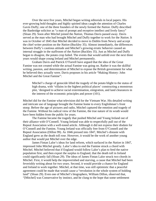Over the next five years, Mitchel began writing editorials in local papers. His ever-growing bold thoughts and highly spirited ideas caught the attention of Charles Gavin Duffy; one of the three founders of the newly formed the *Nation*. Duffy described the Banbridge solicitor as "a man of prompt and receptive intellect and lively fancy" (Sloan 29). Soon after Mitchel joined the *Nation*, Thomas Davis passed away. Davis served as the man who had brought Mitchel and Duffy together to work for the *Nation*. It was in October of 1845 that Mitchel decided to move to Dublin from Newry and accept the chief writer position on the *Nation* (Buckley 35). Almost immediately, the differences between Duffy's cautious attitude and Mitchel's growing erratic behavior caused an internal struggle in the staffroom of the *Nation* (Buckley 35). Just as Mitchel and Duffy began to disagree, the potato crop failed. The events that would unfold over the next three years would shape young Ireland and Mitchel permanently.

 Graham Davis and Patrick O'Farrell have argued that the idea of the Great Famine was not created while the actual Famine was going on. Rather it was the skillful writing, passion, and determination of Mitchel to expose the British government for what he believed they actually were. Davis proposes in his article "Making History: John Mitchel and the Great Famine":

Mitchel's charge of genocide lifted the tragedy of the potato blight to the status of high drama, with 'villains in the highest political places' constructing a monstrous plot, 'designed to achieve racial extermination, emigration, and land clearances in the interest of the economic principles and power (101).

Mitchel did for the Famine what television did for the Vietnam War. His detailed writing and intricate use of language brought the Famine home to every Englishman's front stoop. Before the age of pictures and radio, Mitchel captured the emotion and tragedy of the Famine. Without his radical view of the Famine, the true nature of its wrath would have been hidden from the public for years.

The Famine became the tragedy that pushed Mitchel and Young Ireland out of their alliance with O'Connell. Young Ireland was able to respectfully pull out of the Repeal Association with a well-toned article. Although it did not express their disdain for O'Connell and the Famine, Young Ireland was officially free from O'Connell and the Repeal Association (Dillon 99). As 1846 pressed into 1847, Mitchel's distaste with England grew as the death toll rose. However, it would be the work of another young author that would put Mitchel over the edge.

 James Fintan Lalor's ideas for land reform, which surfaced in the *Nation* in 1847, impressed John Mitchel greatly. Lalor's idea to end the Famine struck a chord with Mitchel. Mitchel believed that if England would follow Lalor's plan to feed the native population first, and then export the surplus to England, that the death toll in Ireland could significantly fall (Sloan 29). The ideas of James Fintan Lalor struck two chords in Mitchel. First, it would help the impoverished and starving, a cause that Mitchel had been feverishly writing about for two years. Second, it would provide a chance for England and Ireland to work together. Mitchel, at that time, was still optimistic that a peaceful agreement could be made that would cause a "revolution in the whole system of holding land" (Sloan 29). Even one of Mitchel's biographers, William Dillon, observed that, "[Mitchel] was Conservative by instinct, and he clung to the hope that some settlement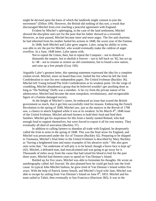might be devised upon the basis of which the landlords might consent to join the movement" (Dillon 199). However, the British did nothing of this sort, a result that discouraged Mitchel from ever reaching a peaceful agreement with England.

 Evident by Mitchel's upbringing, in the case of the land settlement, Mitchel showed the discipline and care for the poor that his father showed as a reverend. However, as time passed, Mitchel became more and more angry. The fire and charisma he had inherited from his mother fueled his actions in 1848, the worst year of the Famine.

 In 1848, both Mitchel and Lalor grew angrier. Lalor, using his ability to write, was able to stir the pot for Mitchel, who would eventually make the caldron of anger overflow. In a June, 1848 letter, Lalor opens with:

Not to repeal the Union, then, but to repeal the Conquest – not to disturb or dismantle the empire, but to abolish it forever – not to fall back on '82, but act up to '48 – not to resume or restore an old constitution, but to found a new nation, and raise up a free people (Gray 160).

Arguably Lalor's greatest letter, this opening statement expressed the idea for a complete violent revolt. Mitchel, more on board than ever, fueled the fire when he left the Irish Confederation to start his new independent paper, *The United Irishman* (Buckley 36). Mitchel left Young Ireland/The Irish Confederation at its weakest point. On the verge of crumbling, Mitchel abandoned a group that he believed wouldn't get anything done as long as "Do Nothing" Duffy was a member. A far cry from the private nature of his adolescence, Mitchel had become the most outspoken, revolutionary, and recognizable figure of a Famine damaged society.

 At the height of Mitchel's career, he embraced an issue that scared the British government so much, that it got him successfully tried for treason. Embracing the French Revolution in the spring of 1848, Mitchel saw, just as the martyrs in the Revolt of 1798 saw, a chance to attack England while it was at its weakest. In his March  $4<sup>th</sup>$ , 1848 issue of the *United Irishman*, Mitchel advised farmers to hold their food and feed their families. Mitchel got his inspiration for this from a family named Boland, who had enough food to support themselves, but were forced to export it all for rent money. They eventually all died of starvation (Buckley 37).

 In addition to calling farmers to abandon all trade with England, he desperately called the Irish to arms in the spring of 1848. This was the final straw for England, and Mitchel was prosecuted under the Act of Treason (Buckley 42). Preparing to be shipped to Tasmania, Mitchel's final letter to the *United Irishman* is described by Mary Buckley as "having a heightened tone and many examples of his abrasive style." She also goes onto write that, "An undertone of self-pity is to be heard; though a brave face is kept up" (42). Mitchel, a defeated man, had miscalculated and was going to go away for it. Thousands of miles away from the cause that had raised his blood to boil for the past three years, Mitchel had thirteen years to spend on Van Dieman's Island.

 Bottled up for five years, Mitchel was able to formulate his thoughts. He wrote an autobiography called *Jail Journal*. He also planned how he could get back into the Irish cause. In typical John Mitchel fashion, he grew tired of Van Dieman's Island within five years. With the help of Patrick James Smyth, and Mitchel's loyal wife Jane, Mitchel was able to escape by sailing from Van Dieman's Island on June  $9<sup>th</sup>$ , 1853. Mitchel and his team sailed to Tahiti, then eventually to San Francisco (Harrison 383). It was in the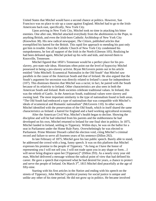United States that Mitchel would have a second chance at politics. However, San Francisco was no place to stir up a cause against England. Mitchel had to go to the Irish-Americans back east, specifically, New York City.

 Upon arriving in New York City, Mitchel took no time in attacking his bitter enemies. One after one, Mitchel attacked everybody from the abolitionists to the Pope, to anything British, and even the Irish-born Catholic Archbishop of New York City (Knowlton 38). His new radical newspaper, *The Citizen*, published articles that exemplified his hatred for the British. This rapid fire approach to mending his past only got him in trouble. Once the Catholic Church of New York City condemned his outspokenness, he lost all support of the Irish in the North (Gleeson 105). Realizing he had been defeated again, Mitchel picked up his wife and kids, and moved them to Knoxville, Tennessee.

 Mitchel figured that 1850's Tennessee would be a perfect place for his proslavery, pro-state rule ideas. Historians often point out the level of hypocrisy Mitchel possessed in being a pro-slavery activist. Bryan McGovern points out in his article entitled "John Mitchell: Ecumenical Nationalist in the Old South" that Mitchel saw parallels in the cause of the American South and that of Ireland. He also argued that the South's argument for secession was directly related to Ireland's cause for independence (107). This dismisses theories that Mitchel was a racist; in fact, he paired with the South because of its relativity to Ireland. Other characteristics are also seen in both the American South and Ireland. Both societies celebrate traditional values. In Ireland, this was the rebirth of Gaelic. In the American South, traditional values were slavery and owning land. The most important similarity is the type of nationalism found in both areas. "The Old South had embraced a type of nationalism that was compatible with Mitchel's ideals of ecumenical and Romantic nationalism" (McGovern 110). In other words, Mitchel identified with the preservation of the Old South, which in itself shared the same characteristics as Ireland: a hatred for England and a hard working agricultural economy.

 After the American Civil War, Mitchel's health began to decline. Showing the discipline and will he had inherited from his parents and the stubbornness he had developed on his own, Mitchel returned to Ireland for one final shot in politics. In 1875, Mitchel landed in Ireland, settling in Tipperary. Within days, he was on the ballot for a seat in Parliament under the Home Rule Party. Overwhelmingly he was elected to Parliament. Prime Minister Disraeli called the election void, citing Mitchel's criminal record and failure to serve all fourteen years of his sentence (Dillon 292).

 In late February of 1875, Mitchel gave his last public speech. Barely able to stand, he addressed the crowd with a long, funny speech. It was on this platform that Mitchel expresses his promise to the people of Tipperary. "As long as I have the honor of representing you I will not sell you. I will not trade upon you in any shape or form…I will never bring disgrace upon her [Tipperary]" (Dillon 293). As a nearly sixty year old man, Mitchel delivered a message without the radical point of view that had defined his career. He gave a speech that expressed what he had desired for years, a chance to protect and serve the people of Ireland. On March  $3<sup>rd</sup>$ , 1815 Mitchel died peacefully at the age of fifty-nine.

 Starting with his first articles in the *Nation* and ending with his speech on the streets of Tipperary, John Mitchel's political journey for social justice is unique and unlike any other of his time period. He did not grow up in politics. He became involved